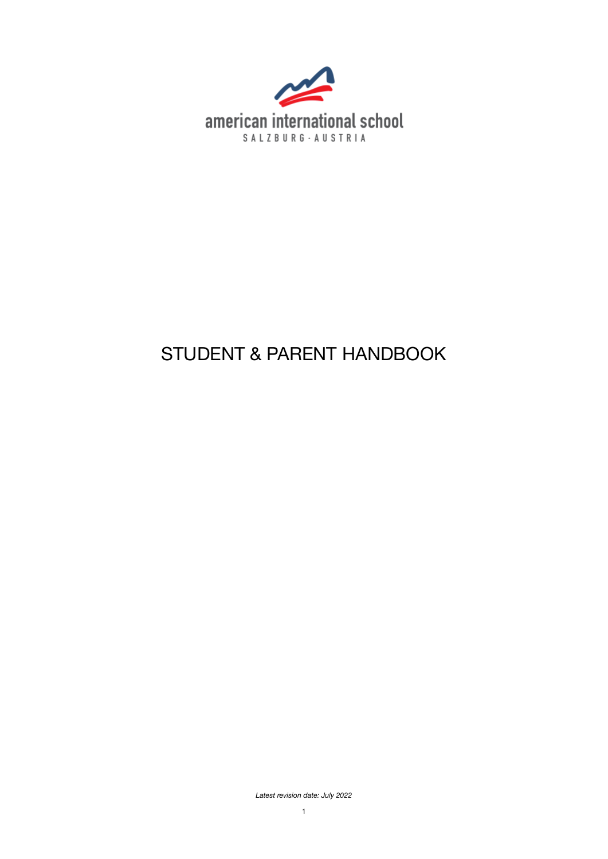

# STUDENT & PARENT HANDBOOK

*Latest revision date: July 2022*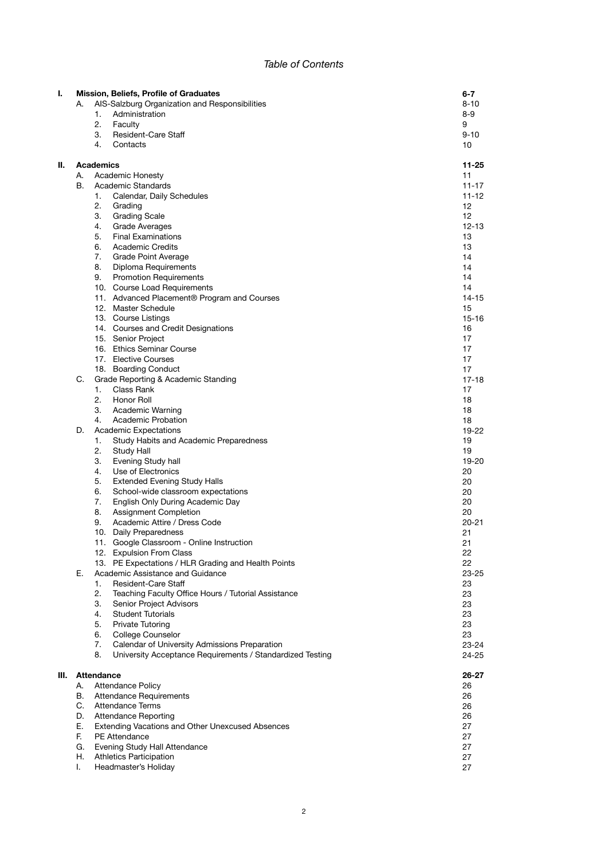# *Table of Contents*

| ı. |          | Mission, Beliefs, Profile of Graduates                                                  | 6-7         |
|----|----------|-----------------------------------------------------------------------------------------|-------------|
|    | А.       | AIS-Salzburg Organization and Responsibilities                                          | 8-10        |
|    |          | 1.<br>Administration                                                                    | 8-9         |
|    |          | 2.<br>Faculty                                                                           | 9           |
|    |          | 3.<br><b>Resident-Care Staff</b>                                                        | 9-10        |
|    |          | 4.<br>Contacts                                                                          | 10          |
| н. |          | Academics                                                                               | 11-25       |
|    | А.       | <b>Academic Honesty</b>                                                                 | 11          |
|    | В.       | Academic Standards                                                                      | $11 - 17$   |
|    |          | 1.<br>Calendar, Daily Schedules                                                         | 11-12       |
|    |          | 2.<br>Grading                                                                           | 12          |
|    |          | 3.<br><b>Grading Scale</b>                                                              | 12          |
|    |          | <b>Grade Averages</b><br>4.                                                             | 12-13       |
|    |          | 5.<br><b>Final Examinations</b>                                                         | 13          |
|    |          | 6.<br><b>Academic Credits</b>                                                           | 13          |
|    |          | 7.<br><b>Grade Point Average</b>                                                        | 14          |
|    |          | 8.<br>Diploma Requirements                                                              | 14          |
|    |          | <b>Promotion Requirements</b><br>9.                                                     | 14          |
|    |          | 10. Course Load Requirements                                                            | 14          |
|    |          | 11. Advanced Placement® Program and Courses                                             | 14-15       |
|    |          | 12. Master Schedule                                                                     | 15          |
|    |          | 13. Course Listings                                                                     | 15-16       |
|    |          | 14. Courses and Credit Designations                                                     | 16          |
|    |          | 15. Senior Project                                                                      | 17          |
|    |          | 16. Ethics Seminar Course                                                               | 17          |
|    |          | 17. Elective Courses                                                                    | 17          |
|    |          | 18. Boarding Conduct                                                                    | 17          |
|    | C.       | Grade Reporting & Academic Standing                                                     | 17-18       |
|    |          | Class Rank<br>1.                                                                        | 17          |
|    |          | 2.<br>Honor Roll                                                                        | 18          |
|    |          | 3.<br>Academic Warning                                                                  | 18          |
|    |          | Academic Probation<br>4.                                                                | 18          |
|    | D.       | <b>Academic Expectations</b>                                                            | 19-22       |
|    |          | 1.<br>Study Habits and Academic Preparedness                                            | 19          |
|    |          | 2.<br>Study Hall                                                                        | 19          |
|    |          | 3.<br>Evening Study hall                                                                | 19-20       |
|    |          | Use of Electronics<br>4.                                                                | 20          |
|    |          | 5.<br><b>Extended Evening Study Halls</b>                                               | 20          |
|    |          | School-wide classroom expectations<br>6.                                                | 20          |
|    |          | 7.<br>English Only During Academic Day                                                  | 20          |
|    |          | 8.<br><b>Assignment Completion</b>                                                      | 20          |
|    |          | 9.<br>Academic Attire / Dress Code                                                      | $20 - 21$   |
|    |          | 10. Daily Preparedness                                                                  | 21          |
|    |          | 11. Google Classroom - Online Instruction                                               | 21          |
|    |          | 12. Expulsion From Class                                                                | 22          |
|    | Е.       | 13. PE Expectations / HLR Grading and Health Points<br>Academic Assistance and Guidance | 22<br>23-25 |
|    |          | Resident-Care Staff<br>1.                                                               | 23          |
|    |          | 2.<br>Teaching Faculty Office Hours / Tutorial Assistance                               | 23          |
|    |          | 3.<br>Senior Project Advisors                                                           | 23          |
|    |          | <b>Student Tutorials</b><br>4.                                                          | 23          |
|    |          | <b>Private Tutoring</b><br>5.                                                           | 23          |
|    |          | 6.<br>College Counselor                                                                 | 23          |
|    |          | Calendar of University Admissions Preparation<br>7.                                     | $23 - 24$   |
|    |          | University Acceptance Requirements / Standardized Testing<br>8.                         | 24-25       |
|    |          |                                                                                         |             |
| Ш. |          | <b>Attendance</b>                                                                       | 26-27       |
|    | А.       | <b>Attendance Policy</b>                                                                | 26          |
|    | В.       | <b>Attendance Requirements</b>                                                          | 26          |
|    | C.       | <b>Attendance Terms</b>                                                                 | 26          |
|    | D.<br>Е. | <b>Attendance Reporting</b>                                                             | 26          |
|    | F.       | Extending Vacations and Other Unexcused Absences<br><b>PE Attendance</b>                | 27<br>27    |
|    | G.       | Evening Study Hall Attendance                                                           | 27          |
|    | Н.       | <b>Athletics Participation</b>                                                          | 27          |
|    | I.       | Headmaster's Holiday                                                                    | 27          |
|    |          |                                                                                         |             |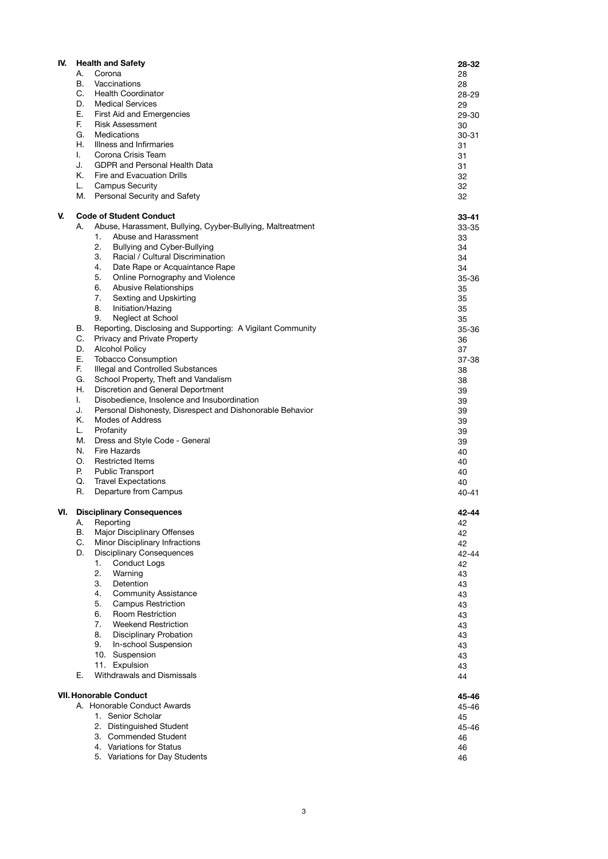| IV. |          | <b>Health and Safety</b>                                                    | 28-32           |
|-----|----------|-----------------------------------------------------------------------------|-----------------|
|     | А.       | Corona                                                                      | 28              |
|     | В.       | Vaccinations                                                                | 28              |
|     | C.       | <b>Health Coordinator</b>                                                   | 28-29           |
|     | D.       | <b>Medical Services</b>                                                     | 29              |
|     | Е.       | First Aid and Emergencies                                                   | 29-30           |
|     | F.<br>G. | <b>Risk Assessment</b><br><b>Medications</b>                                | 30<br>30-31     |
|     | Η.       | Illness and Infirmaries                                                     | 31              |
|     | I.       | Corona Crisis Team                                                          | 31              |
|     | J.       | <b>GDPR and Personal Health Data</b>                                        | 31              |
|     | Κ.       | Fire and Evacuation Drills                                                  | 32              |
|     | L.       | <b>Campus Security</b>                                                      | 32              |
|     | М.       | Personal Security and Safety                                                | 32              |
| V.  |          | <b>Code of Student Conduct</b>                                              | $33 - 41$       |
|     | А.       | Abuse, Harassment, Bullying, Cyyber-Bullying, Maltreatment                  | $33 - 35$       |
|     |          | Abuse and Harassment<br>1.                                                  | 33              |
|     |          | 2.<br>Bullying and Cyber-Bullying                                           | 34              |
|     |          | Racial / Cultural Discrimination<br>3.                                      | 34              |
|     |          | 4.<br>Date Rape or Acquaintance Rape                                        | 34              |
|     |          | 5.<br>Online Pornography and Violence<br>6.<br><b>Abusive Relationships</b> | 35-36<br>35     |
|     |          | 7.<br>Sexting and Upskirting                                                | 35              |
|     |          | 8.<br>Initiation/Hazing                                                     | 35              |
|     |          | 9.<br>Neglect at School                                                     | 35              |
|     | В.       | Reporting, Disclosing and Supporting: A Vigilant Community                  | 35-36           |
|     | C.       | Privacy and Private Property                                                | 36              |
|     | D.       | <b>Alcohol Policy</b>                                                       | 37              |
|     | Ε.       | <b>Tobacco Consumption</b>                                                  | 37-38           |
|     | F.<br>G. | Illegal and Controlled Substances                                           | 38              |
|     | Η.       | School Property, Theft and Vandalism<br>Discretion and General Deportment   | 38              |
|     | L.       | Disobedience, Insolence and Insubordination                                 | 39<br>39        |
|     | J.       | Personal Dishonesty, Disrespect and Dishonorable Behavior                   | 39              |
|     | Κ.       | Modes of Address                                                            | 39              |
|     | L.       | Profanity                                                                   | 39              |
|     | М.       | Dress and Style Code - General                                              | 39              |
|     | N.       | Fire Hazards                                                                | 40              |
|     | О.       | <b>Restricted Items</b>                                                     | 40              |
|     | Р.       | <b>Public Transport</b>                                                     | 40              |
|     | Q.<br>R. | <b>Travel Expectations</b><br>Departure from Campus                         | 40<br>$40 - 41$ |
|     |          |                                                                             |                 |
| VI. |          | <b>Disciplinary Consequences</b>                                            | 42-44           |
|     | А.       | Reporting                                                                   | 42              |
|     | В.<br>C. | Major Disciplinary Offenses<br>Minor Disciplinary Infractions               | 42              |
|     | D.       | <b>Disciplinary Consequences</b>                                            | 42<br>42-44     |
|     |          | <b>Conduct Logs</b><br>1.                                                   | 42              |
|     |          | 2.<br>Warning                                                               | 43              |
|     |          | 3.<br>Detention                                                             | 43              |
|     |          | 4.<br><b>Community Assistance</b>                                           | 43              |
|     |          | 5.<br><b>Campus Restriction</b>                                             | 43              |
|     |          | 6.<br><b>Room Restriction</b>                                               | 43              |
|     |          | 7.<br><b>Weekend Restriction</b>                                            | 43              |
|     |          | 8.<br><b>Disciplinary Probation</b><br>9.<br>In-school Suspension           | 43              |
|     |          | 10. Suspension                                                              | 43<br>43        |
|     |          | 11. Expulsion                                                               | 43              |
|     | Е.       | Withdrawals and Dismissals                                                  | 44              |
|     |          |                                                                             |                 |
|     |          | <b>VII. Honorable Conduct</b><br>A. Honorable Conduct Awards                | 45-46<br>45-46  |
|     |          | 1. Senior Scholar                                                           | 45              |
|     |          | 2. Distinguished Student                                                    | 45-46           |
|     |          | 3. Commended Student                                                        | 46              |
|     |          | 4. Variations for Status                                                    | 46              |
|     |          | 5. Variations for Day Students                                              | 46              |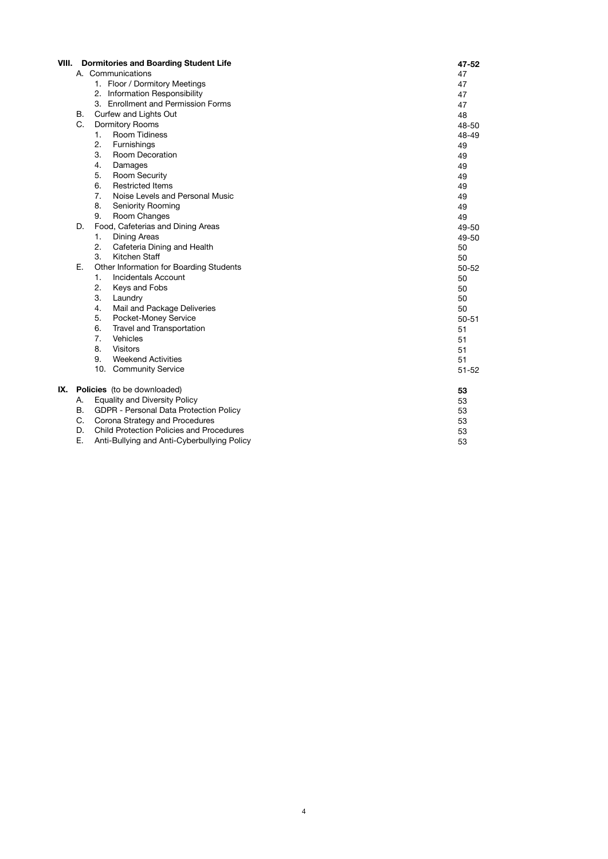| VIII. |    | <b>Dormitories and Boarding Student Life</b> | 47-52     |  |  |  |
|-------|----|----------------------------------------------|-----------|--|--|--|
|       |    | A. Communications                            |           |  |  |  |
|       |    | 1. Floor / Dormitory Meetings                | 47        |  |  |  |
|       |    | 2. Information Responsibility                | 47        |  |  |  |
|       |    | 3. Enrollment and Permission Forms           | 47        |  |  |  |
|       | В. | Curfew and Lights Out                        | 48        |  |  |  |
|       | C. | <b>Dormitory Rooms</b>                       | 48-50     |  |  |  |
|       |    | <b>Room Tidiness</b><br>1.                   | 48-49     |  |  |  |
|       |    | 2.<br>Furnishings                            | 49        |  |  |  |
|       |    | 3.<br><b>Room Decoration</b>                 | 49        |  |  |  |
|       |    | 4.<br>Damages                                | 49        |  |  |  |
|       |    | 5.<br><b>Room Security</b>                   | 49        |  |  |  |
|       |    | 6.<br><b>Restricted Items</b>                | 49        |  |  |  |
|       |    | 7.<br>Noise Levels and Personal Music        | 49        |  |  |  |
|       |    | 8.<br><b>Seniority Rooming</b>               | 49        |  |  |  |
|       |    | 9.<br>Room Changes                           | 49        |  |  |  |
|       | D. | Food, Cafeterias and Dining Areas            | 49-50     |  |  |  |
|       |    | 1.<br><b>Dining Areas</b>                    | 49-50     |  |  |  |
|       |    | 2.<br>Cafeteria Dining and Health            | 50        |  |  |  |
|       |    | 3.<br>Kitchen Staff                          | 50        |  |  |  |
|       | Ε. | Other Information for Boarding Students      | 50-52     |  |  |  |
|       |    | 1.<br><b>Incidentals Account</b>             | 50        |  |  |  |
|       |    | Keys and Fobs<br>2.                          | 50        |  |  |  |
|       |    | 3.<br>Laundry                                | 50        |  |  |  |
|       |    | 4.<br>Mail and Package Deliveries            | 50        |  |  |  |
|       |    | 5.<br>Pocket-Money Service                   | $50 - 51$ |  |  |  |
|       |    | 6.<br>Travel and Transportation              | 51        |  |  |  |
|       |    | 7.<br>Vehicles                               | 51        |  |  |  |
|       |    | 8.<br>Visitors                               | 51        |  |  |  |
|       |    | 9.<br><b>Weekend Activities</b>              | 51        |  |  |  |
|       |    | 10. Community Service                        | $51 - 52$ |  |  |  |
| IX.   |    | Policies (to be downloaded)                  | 53        |  |  |  |
|       | А. | <b>Equality and Diversity Policy</b>         | 53        |  |  |  |
|       | В. | GDPR - Personal Data Protection Policy       | 53        |  |  |  |
|       | C. | Corona Strategy and Procedures               | 53        |  |  |  |
|       | D. | Child Protection Policies and Procedures     | 53        |  |  |  |
|       | Ε. | Anti-Bullying and Anti-Cyberbullying Policy  | 53        |  |  |  |
|       |    |                                              |           |  |  |  |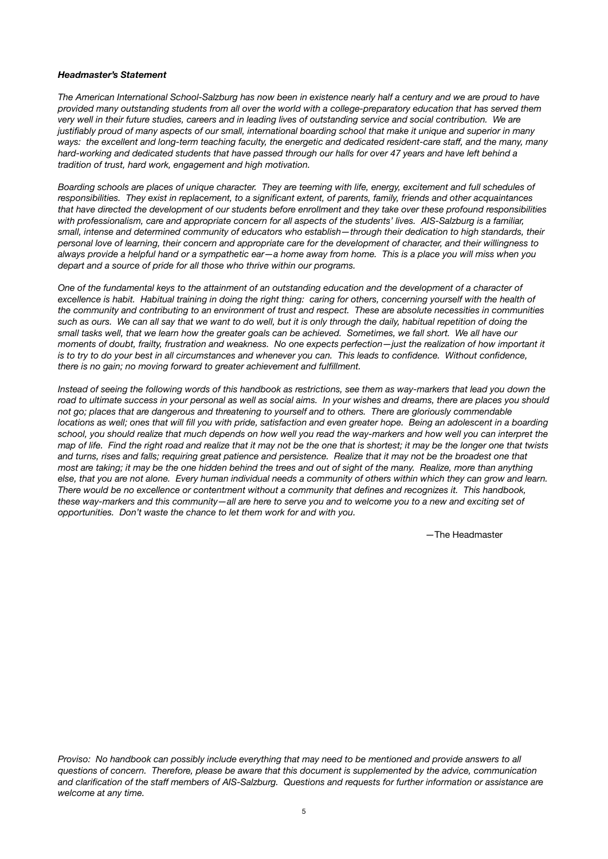### *Headmaster's Statement*

The American International School-Salzburg has now been in existence nearly half a century and we are proud to have *provided many outstanding students from all over the world with a college-preparatory education that has served them*  very well in their future studies, careers and in leading lives of outstanding service and social contribution. We are *justifiably proud of many aspects of our small, international boarding school that make it unique and superior in many ways: the excellent and long-term teaching faculty, the energetic and dedicated resident-care staff, and the many, many hard-working and dedicated students that have passed through our halls for over 47 years and have left behind a tradition of trust, hard work, engagement and high motivation.* 

*Boarding schools are places of unique character. They are teeming with life, energy, excitement and full schedules of responsibilities. They exist in replacement, to a significant extent, of parents, family, friends and other acquaintances that have directed the development of our students before enrollment and they take over these profound responsibilities with professionalism, care and appropriate concern for all aspects of the students' lives. AIS-Salzburg is a familiar, small, intense and determined community of educators who establish—through their dedication to high standards, their personal love of learning, their concern and appropriate care for the development of character, and their willingness to always provide a helpful hand or a sympathetic ear—a home away from home. This is a place you will miss when you depart and a source of pride for all those who thrive within our programs.* 

*One of the fundamental keys to the attainment of an outstanding education and the development of a character of excellence is habit. Habitual training in doing the right thing: caring for others, concerning yourself with the health of the community and contributing to an environment of trust and respect. These are absolute necessities in communities such as ours. We can all say that we want to do well, but it is only through the daily, habitual repetition of doing the small tasks well, that we learn how the greater goals can be achieved. Sometimes, we fall short. We all have our moments of doubt, frailty, frustration and weakness. No one expects perfection—just the realization of how important it is to try to do your best in all circumstances and whenever you can. This leads to confidence. Without confidence, there is no gain; no moving forward to greater achievement and fulfillment.* 

*Instead of seeing the following words of this handbook as restrictions, see them as way-markers that lead you down the road to ultimate success in your personal as well as social aims. In your wishes and dreams, there are places you should not go; places that are dangerous and threatening to yourself and to others. There are gloriously commendable locations as well; ones that will fill you with pride, satisfaction and even greater hope. Being an adolescent in a boarding school, you should realize that much depends on how well you read the way-markers and how well you can interpret the map of life. Find the right road and realize that it may not be the one that is shortest; it may be the longer one that twists and turns, rises and falls; requiring great patience and persistence. Realize that it may not be the broadest one that most are taking; it may be the one hidden behind the trees and out of sight of the many. Realize, more than anything else, that you are not alone. Every human individual needs a community of others within which they can grow and learn. There would be no excellence or contentment without a community that defines and recognizes it. This handbook, these way-markers and this community—all are here to serve you and to welcome you to a new and exciting set of opportunities. Don't waste the chance to let them work for and with you.* 

 —The Headmaster

*Proviso: No handbook can possibly include everything that may need to be mentioned and provide answers to all questions of concern. Therefore, please be aware that this document is supplemented by the advice, communication and clarification of the staff members of AIS-Salzburg. Questions and requests for further information or assistance are welcome at any time.*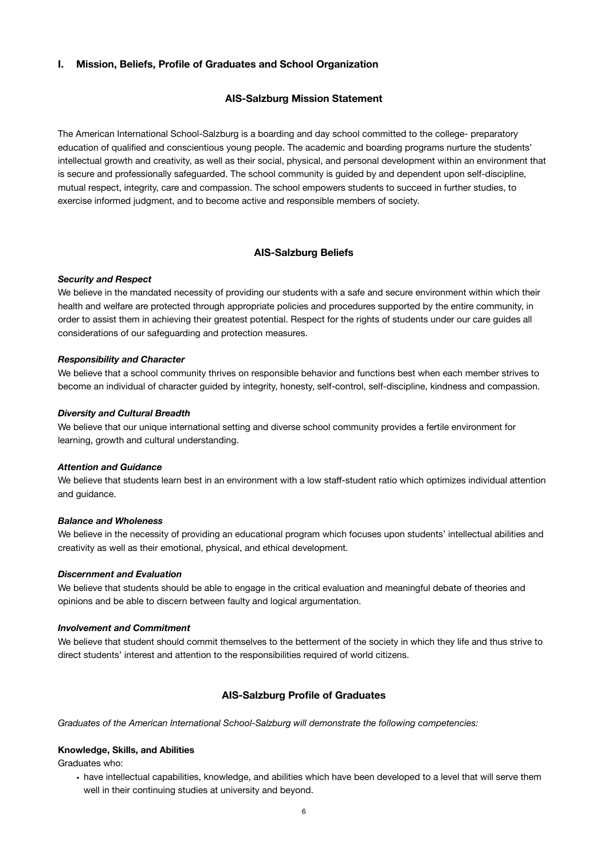### **I. Mission, Beliefs, Profile of Graduates and School Organization**

### **AIS-Salzburg Mission Statement**

The American International School-Salzburg is a boarding and day school committed to the college- preparatory education of qualified and conscientious young people. The academic and boarding programs nurture the students' intellectual growth and creativity, as well as their social, physical, and personal development within an environment that is secure and professionally safeguarded. The school community is guided by and dependent upon self-discipline, mutual respect, integrity, care and compassion. The school empowers students to succeed in further studies, to exercise informed judgment, and to become active and responsible members of society.

### **AIS-Salzburg Beliefs**

### *Security and Respect*

We believe in the mandated necessity of providing our students with a safe and secure environment within which their health and welfare are protected through appropriate policies and procedures supported by the entire community, in order to assist them in achieving their greatest potential. Respect for the rights of students under our care guides all considerations of our safeguarding and protection measures.

### *Responsibility and Character*

We believe that a school community thrives on responsible behavior and functions best when each member strives to become an individual of character guided by integrity, honesty, self-control, self-discipline, kindness and compassion.

### *Diversity and Cultural Breadth*

We believe that our unique international setting and diverse school community provides a fertile environment for learning, growth and cultural understanding.

### *Attention and Guidance*

We believe that students learn best in an environment with a low staff-student ratio which optimizes individual attention and guidance.

### *Balance and Wholeness*

We believe in the necessity of providing an educational program which focuses upon students' intellectual abilities and creativity as well as their emotional, physical, and ethical development.

### *Discernment and Evaluation*

We believe that students should be able to engage in the critical evaluation and meaningful debate of theories and opinions and be able to discern between faulty and logical argumentation.

### *Involvement and Commitment*

We believe that student should commit themselves to the betterment of the society in which they life and thus strive to direct students' interest and attention to the responsibilities required of world citizens.

### **AIS-Salzburg Profile of Graduates**

*Graduates of the American International School-Salzburg will demonstrate the following competencies:* 

### **Knowledge, Skills, and Abilities**

Graduates who:

• have intellectual capabilities, knowledge, and abilities which have been developed to a level that will serve them well in their continuing studies at university and beyond.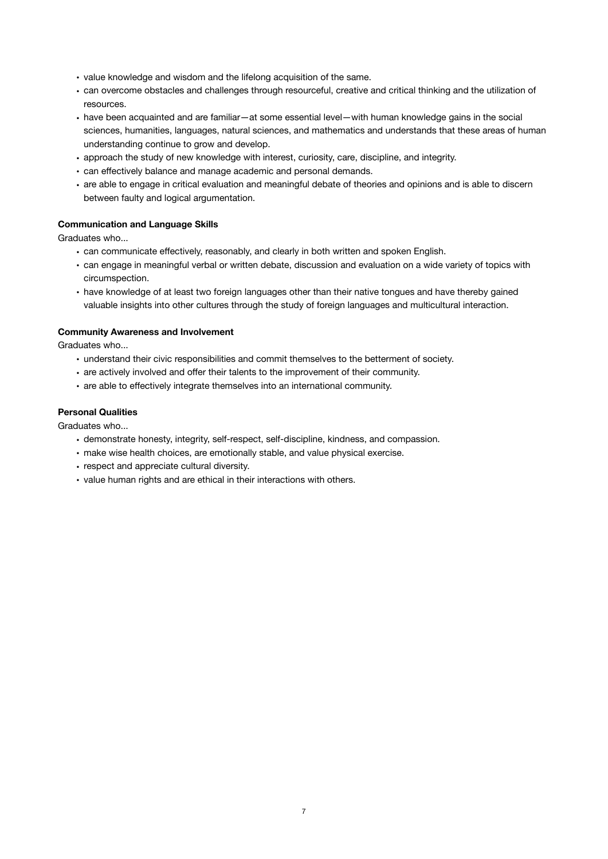- value knowledge and wisdom and the lifelong acquisition of the same.
- can overcome obstacles and challenges through resourceful, creative and critical thinking and the utilization of resources.
- have been acquainted and are familiar—at some essential level—with human knowledge gains in the social sciences, humanities, languages, natural sciences, and mathematics and understands that these areas of human understanding continue to grow and develop.
- approach the study of new knowledge with interest, curiosity, care, discipline, and integrity.
- can effectively balance and manage academic and personal demands.
- are able to engage in critical evaluation and meaningful debate of theories and opinions and is able to discern between faulty and logical argumentation.

# **Communication and Language Skills**

Graduates who...

- can communicate effectively, reasonably, and clearly in both written and spoken English.
- can engage in meaningful verbal or written debate, discussion and evaluation on a wide variety of topics with circumspection.
- have knowledge of at least two foreign languages other than their native tongues and have thereby gained valuable insights into other cultures through the study of foreign languages and multicultural interaction.

### **Community Awareness and Involvement**

Graduates who...

- understand their civic responsibilities and commit themselves to the betterment of society.
- are actively involved and offer their talents to the improvement of their community.
- are able to effectively integrate themselves into an international community.

### **Personal Qualities**

Graduates who...

- demonstrate honesty, integrity, self-respect, self-discipline, kindness, and compassion.
- make wise health choices, are emotionally stable, and value physical exercise.
- respect and appreciate cultural diversity.
- value human rights and are ethical in their interactions with others.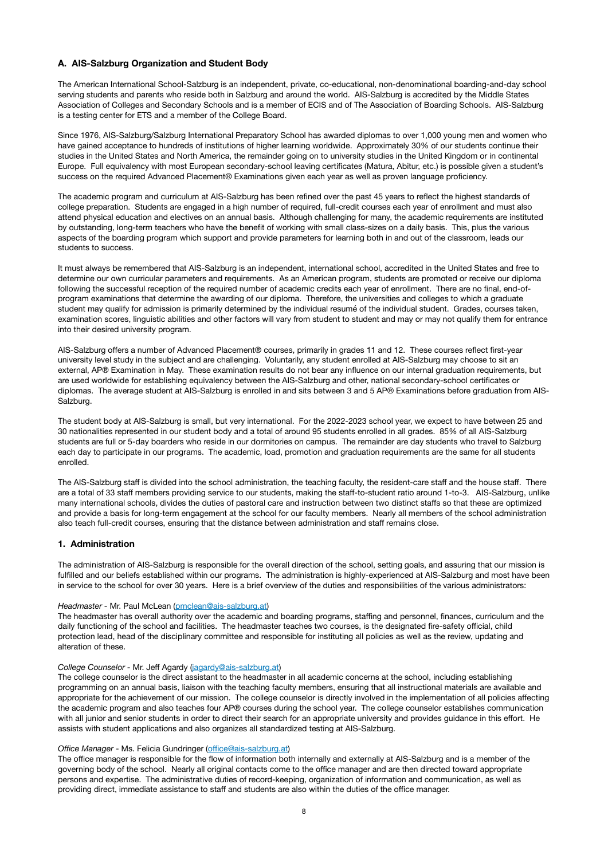### **A. AIS-Salzburg Organization and Student Body**

The American International School-Salzburg is an independent, private, co-educational, non-denominational boarding-and-day school serving students and parents who reside both in Salzburg and around the world. AIS-Salzburg is accredited by the Middle States Association of Colleges and Secondary Schools and is a member of ECIS and of The Association of Boarding Schools. AIS-Salzburg is a testing center for ETS and a member of the College Board.

Since 1976, AIS-Salzburg/Salzburg International Preparatory School has awarded diplomas to over 1,000 young men and women who have gained acceptance to hundreds of institutions of higher learning worldwide. Approximately 30% of our students continue their studies in the United States and North America, the remainder going on to university studies in the United Kingdom or in continental Europe. Full equivalency with most European secondary-school leaving certificates (Matura, Abitur, etc.) is possible given a student's success on the required Advanced Placement® Examinations given each year as well as proven language proficiency.

The academic program and curriculum at AIS-Salzburg has been refined over the past 45 years to reflect the highest standards of college preparation. Students are engaged in a high number of required, full-credit courses each year of enrollment and must also attend physical education and electives on an annual basis. Although challenging for many, the academic requirements are instituted by outstanding, long-term teachers who have the benefit of working with small class-sizes on a daily basis. This, plus the various aspects of the boarding program which support and provide parameters for learning both in and out of the classroom, leads our students to success.

It must always be remembered that AIS-Salzburg is an independent, international school, accredited in the United States and free to determine our own curricular parameters and requirements. As an American program, students are promoted or receive our diploma following the successful reception of the required number of academic credits each year of enrollment. There are no final, end-ofprogram examinations that determine the awarding of our diploma. Therefore, the universities and colleges to which a graduate student may qualify for admission is primarily determined by the individual resumé of the individual student. Grades, courses taken, examination scores, linguistic abilities and other factors will vary from student to student and may or may not qualify them for entrance into their desired university program.

AIS-Salzburg offers a number of Advanced Placement® courses, primarily in grades 11 and 12. These courses reflect first-year university level study in the subject and are challenging. Voluntarily, any student enrolled at AIS-Salzburg may choose to sit an external, AP® Examination in May. These examination results do not bear any influence on our internal graduation requirements, but are used worldwide for establishing equivalency between the AIS-Salzburg and other, national secondary-school certificates or diplomas. The average student at AIS-Salzburg is enrolled in and sits between 3 and 5 AP® Examinations before graduation from AIS-Salzburg.

The student body at AIS-Salzburg is small, but very international. For the 2022-2023 school year, we expect to have between 25 and 30 nationalities represented in our student body and a total of around 95 students enrolled in all grades. 85% of all AIS-Salzburg students are full or 5-day boarders who reside in our dormitories on campus. The remainder are day students who travel to Salzburg each day to participate in our programs. The academic, load, promotion and graduation requirements are the same for all students enrolled.

The AIS-Salzburg staff is divided into the school administration, the teaching faculty, the resident-care staff and the house staff. There are a total of 33 staff members providing service to our students, making the staff-to-student ratio around 1-to-3. AIS-Salzburg, unlike many international schools, divides the duties of pastoral care and instruction between two distinct staffs so that these are optimized and provide a basis for long-term engagement at the school for our faculty members. Nearly all members of the school administration also teach full-credit courses, ensuring that the distance between administration and staff remains close.

### **1. Administration**

The administration of AIS-Salzburg is responsible for the overall direction of the school, setting goals, and assuring that our mission is fulfilled and our beliefs established within our programs. The administration is highly-experienced at AIS-Salzburg and most have been in service to the school for over 30 years. Here is a brief overview of the duties and responsibilities of the various administrators:

#### *Headmaster -* Mr. Paul McLean ([pmclean@ais-salzburg.at](mailto:pmclean@ais-salzburg.at))

The headmaster has overall authority over the academic and boarding programs, staffing and personnel, finances, curriculum and the daily functioning of the school and facilities. The headmaster teaches two courses, is the designated fire-safety official, child protection lead, head of the disciplinary committee and responsible for instituting all policies as well as the review, updating and alteration of these.

### *College Counselor -* Mr. Jeff Agardy [\(jagardy@ais-salzburg.at](mailto:jagardy@ais-salzburg.at))

The college counselor is the direct assistant to the headmaster in all academic concerns at the school, including establishing programming on an annual basis, liaison with the teaching faculty members, ensuring that all instructional materials are available and appropriate for the achievement of our mission. The college counselor is directly involved in the implementation of all policies affecting the academic program and also teaches four AP® courses during the school year. The college counselor establishes communication with all junior and senior students in order to direct their search for an appropriate university and provides guidance in this effort. He assists with student applications and also organizes all standardized testing at AIS-Salzburg.

### *Office Manager* - Ms. Felicia Gundringer (offi[ce@ais-salzburg.at](mailto:office@ais-salzburg.at))

The office manager is responsible for the flow of information both internally and externally at AIS-Salzburg and is a member of the governing body of the school. Nearly all original contacts come to the office manager and are then directed toward appropriate persons and expertise. The administrative duties of record-keeping, organization of information and communication, as well as providing direct, immediate assistance to staff and students are also within the duties of the office manager.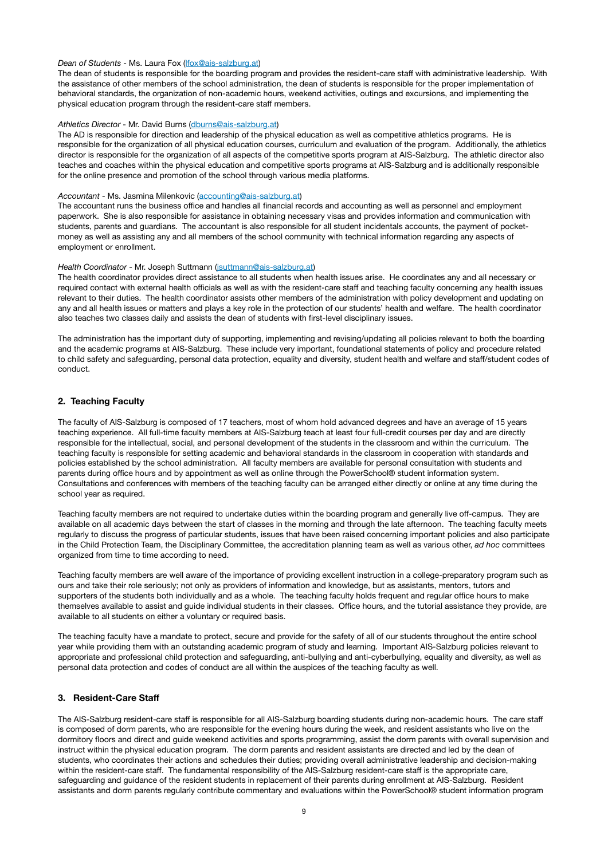### *Dean of Students* - Ms. Laura Fox ([lfox@ais-salzburg.at](mailto:lfox@ais-salzburg.at))

The dean of students is responsible for the boarding program and provides the resident-care staff with administrative leadership. With the assistance of other members of the school administration, the dean of students is responsible for the proper implementation of behavioral standards, the organization of non-academic hours, weekend activities, outings and excursions, and implementing the physical education program through the resident-care staff members.

#### *Athletics Director* - Mr. David Burns [\(dburns@ais-salzburg.at](mailto:dburns@ais-salzburg.at))

The AD is responsible for direction and leadership of the physical education as well as competitive athletics programs. He is responsible for the organization of all physical education courses, curriculum and evaluation of the program. Additionally, the athletics director is responsible for the organization of all aspects of the competitive sports program at AIS-Salzburg. The athletic director also teaches and coaches within the physical education and competitive sports programs at AIS-Salzburg and is additionally responsible for the online presence and promotion of the school through various media platforms.

#### *Accountant* - Ms. Jasmina Milenkovic [\(accounting@ais-salzburg.at\)](mailto:accounting@ais-salzburg.at)

The accountant runs the business office and handles all financial records and accounting as well as personnel and employment paperwork. She is also responsible for assistance in obtaining necessary visas and provides information and communication with students, parents and guardians. The accountant is also responsible for all student incidentals accounts, the payment of pocketmoney as well as assisting any and all members of the school community with technical information regarding any aspects of employment or enrollment.

#### *Health Coordinator* - Mr. Joseph Suttmann ([jsuttmann@ais-salzburg.at\)](mailto:jsuttmann@ais-salzburg.at)

The health coordinator provides direct assistance to all students when health issues arise. He coordinates any and all necessary or required contact with external health officials as well as with the resident-care staff and teaching faculty concerning any health issues relevant to their duties. The health coordinator assists other members of the administration with policy development and updating on any and all health issues or matters and plays a key role in the protection of our students' health and welfare. The health coordinator also teaches two classes daily and assists the dean of students with first-level disciplinary issues.

The administration has the important duty of supporting, implementing and revising/updating all policies relevant to both the boarding and the academic programs at AIS-Salzburg. These include very important, foundational statements of policy and procedure related to child safety and safeguarding, personal data protection, equality and diversity, student health and welfare and staff/student codes of conduct.

#### **2. Teaching Faculty**

The faculty of AIS-Salzburg is composed of 17 teachers, most of whom hold advanced degrees and have an average of 15 years teaching experience. All full-time faculty members at AIS-Salzburg teach at least four full-credit courses per day and are directly responsible for the intellectual, social, and personal development of the students in the classroom and within the curriculum. The teaching faculty is responsible for setting academic and behavioral standards in the classroom in cooperation with standards and policies established by the school administration. All faculty members are available for personal consultation with students and parents during office hours and by appointment as well as online through the PowerSchool® student information system. Consultations and conferences with members of the teaching faculty can be arranged either directly or online at any time during the school year as required.

Teaching faculty members are not required to undertake duties within the boarding program and generally live off-campus. They are available on all academic days between the start of classes in the morning and through the late afternoon. The teaching faculty meets regularly to discuss the progress of particular students, issues that have been raised concerning important policies and also participate in the Child Protection Team, the Disciplinary Committee, the accreditation planning team as well as various other, *ad hoc* committees organized from time to time according to need.

Teaching faculty members are well aware of the importance of providing excellent instruction in a college-preparatory program such as ours and take their role seriously; not only as providers of information and knowledge, but as assistants, mentors, tutors and supporters of the students both individually and as a whole. The teaching faculty holds frequent and regular office hours to make themselves available to assist and guide individual students in their classes. Office hours, and the tutorial assistance they provide, are available to all students on either a voluntary or required basis.

The teaching faculty have a mandate to protect, secure and provide for the safety of all of our students throughout the entire school year while providing them with an outstanding academic program of study and learning. Important AIS-Salzburg policies relevant to appropriate and professional child protection and safeguarding, anti-bullying and anti-cyberbullying, equality and diversity, as well as personal data protection and codes of conduct are all within the auspices of the teaching faculty as well.

### **3. Resident-Care Staff**

The AIS-Salzburg resident-care staff is responsible for all AIS-Salzburg boarding students during non-academic hours. The care staff is composed of dorm parents, who are responsible for the evening hours during the week, and resident assistants who live on the dormitory floors and direct and guide weekend activities and sports programming, assist the dorm parents with overall supervision and instruct within the physical education program. The dorm parents and resident assistants are directed and led by the dean of students, who coordinates their actions and schedules their duties; providing overall administrative leadership and decision-making within the resident-care staff. The fundamental responsibility of the AIS-Salzburg resident-care staff is the appropriate care, safeguarding and guidance of the resident students in replacement of their parents during enrollment at AIS-Salzburg. Resident assistants and dorm parents regularly contribute commentary and evaluations within the PowerSchool® student information program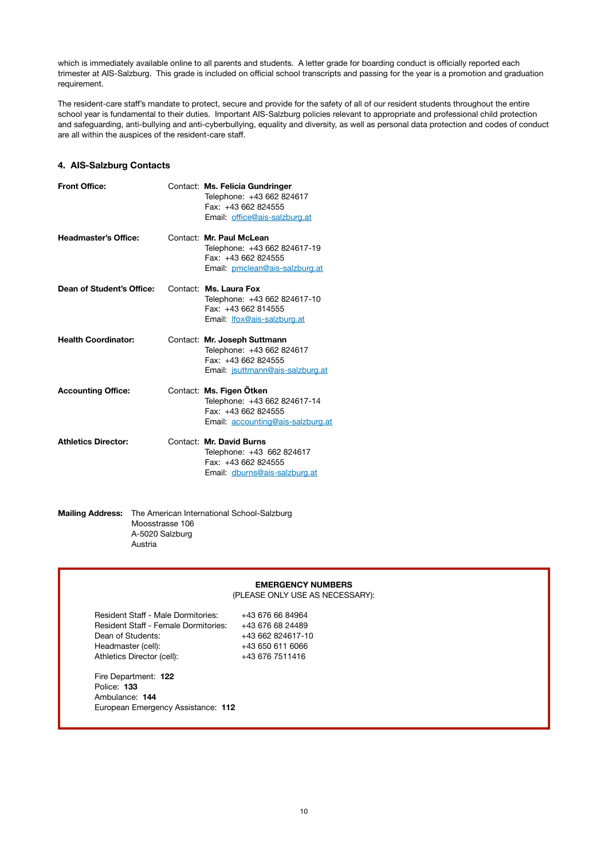which is immediately available online to all parents and students. A letter grade for boarding conduct is officially reported each trimester at AIS-Salzburg. This grade is included on official school transcripts and passing for the year is a promotion and graduation requirement.

The resident-care staff's mandate to protect, secure and provide for the safety of all of our resident students throughout the entire school year is fundamental to their duties. Important AIS-Salzburg policies relevant to appropriate and professional child protection and safeguarding, anti-bullying and anti-cyberbullying, equality and diversity, as well as personal data protection and codes of conduct are all within the auspices of the resident-care staff.

### **4. AIS-Salzburg Contacts**

| <b>Front Office:</b>        | Contact: Ms. Felicia Gundringer<br>Telephone: +43 662 824617<br>Fax: +43 662 824555<br>Email: office@ais-salzburg.at |
|-----------------------------|----------------------------------------------------------------------------------------------------------------------|
| <b>Headmaster's Office:</b> | Contact: Mr. Paul McLean<br>Telephone: +43 662 824617-19<br>Fax: +43 662 824555<br>Email: pmclean@ais-salzburg.at    |
| Dean of Student's Office:   | Contact: Ms. Laura Fox<br>Telephone: +43 662 824617-10<br>Fax: +43 662 814555<br>Email: <i>Ifox@ais-salzburg.at</i>  |
| <b>Health Coordinator:</b>  | Contact: Mr. Joseph Suttmann<br>Telephone: +43 662 824617                                                            |
|                             | Fax: +43 662 824555<br>Email: jsuttmann@ais-salzburg.at                                                              |
| <b>Accounting Office:</b>   | Contact: Ms. Figen Ötken<br>Telephone: +43 662 824617-14<br>Fax: +43 662 824555<br>Email: accounting@ais-salzburg.at |

### **Mailing Address:** The American International School-Salzburg Moosstrasse 106 A-5020 Salzburg Austria

|                                      | <b>EMERGENCY NUMBERS</b>        |
|--------------------------------------|---------------------------------|
|                                      | (PLEASE ONLY USE AS NECESSARY): |
| Resident Staff - Male Dormitories:   | +43 676 66 84964                |
| Resident Staff - Female Dormitories: | +43 676 68 24489                |
| Dean of Students:                    | +43 662 824617-10               |
| Headmaster (cell):                   | +43 650 611 6066                |
| Athletics Director (cell):           | +43 676 7511416                 |
| Fire Department: 122                 |                                 |
| Police: 133                          |                                 |
| Ambulance: 144                       |                                 |
| European Emergency Assistance: 112   |                                 |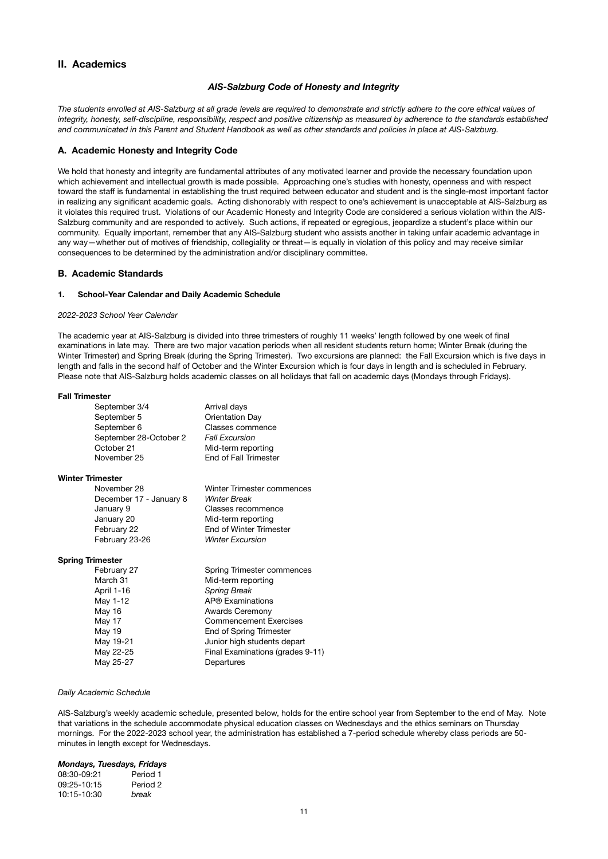# **II. Academics**

### *AIS-Salzburg Code of Honesty and Integrity*

*The students enrolled at AIS-Salzburg at all grade levels are required to demonstrate and strictly adhere to the core ethical values of integrity, honesty, self-discipline, responsibility, respect and positive citizenship as measured by adherence to the standards established and communicated in this Parent and Student Handbook as well as other standards and policies in place at AIS-Salzburg.* 

### **A. Academic Honesty and Integrity Code**

We hold that honesty and integrity are fundamental attributes of any motivated learner and provide the necessary foundation upon which achievement and intellectual growth is made possible. Approaching one's studies with honesty, openness and with respect toward the staff is fundamental in establishing the trust required between educator and student and is the single-most important factor in realizing any significant academic goals. Acting dishonorably with respect to one's achievement is unacceptable at AIS-Salzburg as it violates this required trust. Violations of our Academic Honesty and Integrity Code are considered a serious violation within the AIS-Salzburg community and are responded to actively. Such actions, if repeated or egregious, jeopardize a student's place within our community. Equally important, remember that any AIS-Salzburg student who assists another in taking unfair academic advantage in any way—whether out of motives of friendship, collegiality or threat—is equally in violation of this policy and may receive similar consequences to be determined by the administration and/or disciplinary committee.

### **B. Academic Standards**

#### **1. School-Year Calendar and Daily Academic Schedule**

#### *2022-2023 School Year Calendar*

The academic year at AIS-Salzburg is divided into three trimesters of roughly 11 weeks' length followed by one week of final examinations in late may. There are two major vacation periods when all resident students return home; Winter Break (during the Winter Trimester) and Spring Break (during the Spring Trimester). Two excursions are planned: the Fall Excursion which is five days in length and falls in the second half of October and the Winter Excursion which is four days in length and is scheduled in February. Please note that AIS-Salzburg holds academic classes on all holidays that fall on academic days (Mondays through Fridays).

#### **Fall Trimester**

| September 3/4           | Arrival days                  |
|-------------------------|-------------------------------|
| September 5             | Orientation Day               |
| September 6             | Classes commence              |
| September 28-October 2  | <b>Fall Excursion</b>         |
| October 21              | Mid-term reporting            |
| November 25             | End of Fall Trimester         |
| <b>Winter Trimester</b> |                               |
| November 28             | Winter Trimester commences    |
| December 17 - January 8 | <b>Winter Break</b>           |
| January 9               | Classes recommence            |
| January 20              | Mid-term reporting            |
| February 22             | End of Winter Trimester       |
| February 23-26          | <b>Winter Excursion</b>       |
| <b>Spring Trimester</b> |                               |
| February 27             | Spring Trimester commences    |
| March 31                | Mid-term reporting            |
| April 1-16              | <b>Spring Break</b>           |
| May 1-12                | AP® Examinations              |
| May 16                  | <b>Awards Ceremony</b>        |
| May 17                  | <b>Commencement Exercises</b> |
| May 19                  | End of Spring Trimester       |
| May 19-21               | Junior high students depart   |

May 22-25 Final Examinations (grades 9-11)

May 25-27 Departures

#### *Daily Academic Schedule*

AIS-Salzburg's weekly academic schedule, presented below, holds for the entire school year from September to the end of May. Note that variations in the schedule accommodate physical education classes on Wednesdays and the ethics seminars on Thursday mornings. For the 2022-2023 school year, the administration has established a 7-period schedule whereby class periods are 50minutes in length except for Wednesdays.

### *Mondays, Tuesdays, Fridays*

| 08:30-09:21 | Period 1 |
|-------------|----------|
| 09:25-10:15 | Period 2 |
| 10:15-10:30 | break    |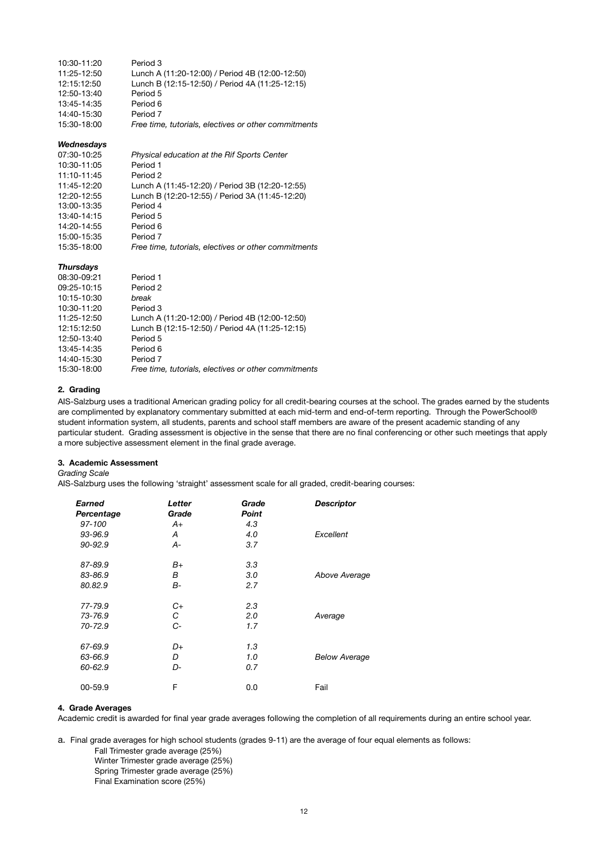| 10:30-11:20      | Period 3                                             |
|------------------|------------------------------------------------------|
| 11:25-12:50      | Lunch A (11:20-12:00) / Period 4B (12:00-12:50)      |
| 12:15:12:50      | Lunch B (12:15-12:50) / Period 4A (11:25-12:15)      |
| 12:50-13:40      | Period 5                                             |
| 13:45-14:35      | Period 6                                             |
| 14:40-15:30      | Period 7                                             |
| 15:30-18:00      | Free time, tutorials, electives or other commitments |
| Wednesdays       |                                                      |
| 07:30-10:25      | Physical education at the Rif Sports Center          |
| 10:30-11:05      | Period 1                                             |
| 11:10-11:45      | Period <sub>2</sub>                                  |
| 11:45-12:20      | Lunch A (11:45-12:20) / Period 3B (12:20-12:55)      |
| 12:20-12:55      | Lunch B (12:20-12:55) / Period 3A (11:45-12:20)      |
| 13:00-13:35      | Period 4                                             |
| 13:40-14:15      | Period 5                                             |
| 14:20-14:55      | Period 6                                             |
| 15:00-15:35      | Period 7                                             |
| 15:35-18:00      | Free time, tutorials, electives or other commitments |
| <b>Thursdays</b> |                                                      |
| 08:30-09:21      | Period 1                                             |
| 09:25-10:15      | Period 2                                             |
| 10:15-10:30      | break                                                |
| 10:30-11:20      | Period 3                                             |
| 11:25-12:50      | Lunch A (11:20-12:00) / Period 4B (12:00-12:50)      |
| 12:15:12:50      | Lunch B (12:15-12:50) / Period 4A (11:25-12:15)      |
| 12:50-13:40      | Period 5                                             |
| 13:45-14:35      | Period 6                                             |
| 14:40-15:30      | Period 7                                             |

15:30-18:00 *Free time, tutorials, electives or other commitments*

### **2. Grading**

AIS-Salzburg uses a traditional American grading policy for all credit-bearing courses at the school. The grades earned by the students are complimented by explanatory commentary submitted at each mid-term and end-of-term reporting. Through the PowerSchool® student information system, all students, parents and school staff members are aware of the present academic standing of any particular student. Grading assessment is objective in the sense that there are no final conferencing or other such meetings that apply a more subjective assessment element in the final grade average.

### **3. Academic Assessment**

### *Grading Scale*

AIS-Salzburg uses the following 'straight' assessment scale for all graded, credit-bearing courses:

| Earned<br>Percentage | Letter<br>Grade | Grade<br><b>Point</b> | <b>Descriptor</b>    |
|----------------------|-----------------|-----------------------|----------------------|
| 97-100               | A+              | 4.3                   |                      |
| 93-96.9              | Α               | 4.0                   | Excellent            |
| $90 - 92.9$          | $A-$            | 3.7                   |                      |
| 87-89.9              | B+              | 3.3                   |                      |
| 83-86.9              | В               | 3.0                   | Above Average        |
| 80.82.9              | <b>B-</b>       | 2.7                   |                      |
| 77-79.9              | C+              | 2.3                   |                      |
| 73-76.9              | С               | 2.0                   | Average              |
| 70-72.9              | $C-$            | 1.7                   |                      |
| 67-69.9              | D+              | 1.3                   |                      |
| 63-66.9              | D               | 1.0                   | <b>Below Average</b> |
| 60-62.9              | D-              | 0.7                   |                      |
| 00-59.9              | F               | 0.0                   | Fail                 |

### **4. Grade Averages**

Academic credit is awarded for final year grade averages following the completion of all requirements during an entire school year.

a. Final grade averages for high school students (grades 9-11) are the average of four equal elements as follows:

Fall Trimester grade average (25%)

- Winter Trimester grade average (25%) Spring Trimester grade average (25%)
- Final Examination score (25%)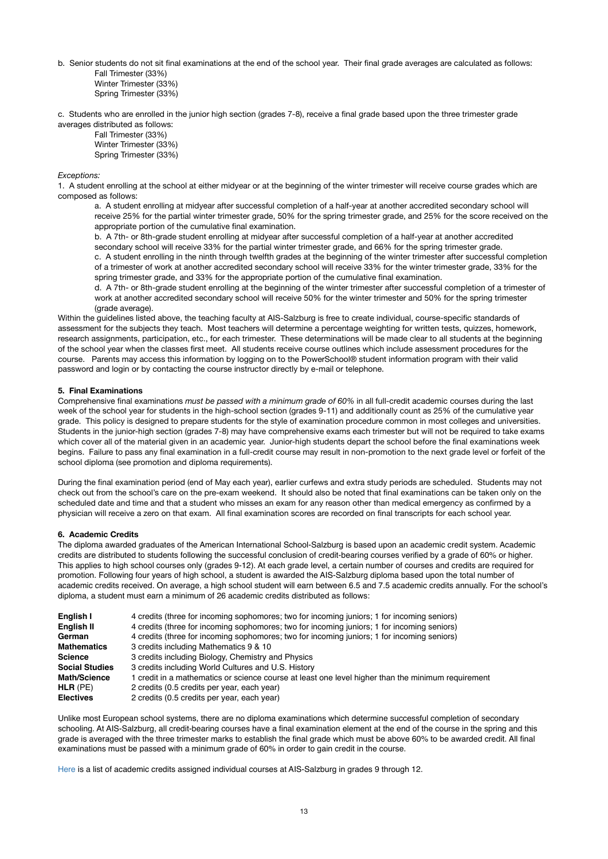b. Senior students do not sit final examinations at the end of the school year. Their final grade averages are calculated as follows: Fall Trimester (33%) Winter Trimester (33%)

Spring Trimester (33%)

c. Students who are enrolled in the junior high section (grades 7-8), receive a final grade based upon the three trimester grade averages distributed as follows:

Fall Trimester (33%) Winter Trimester (33%)

Spring Trimester (33%)

### *Exceptions:*

1. A student enrolling at the school at either midyear or at the beginning of the winter trimester will receive course grades which are composed as follows:

a. A student enrolling at midyear after successful completion of a half-year at another accredited secondary school will receive 25% for the partial winter trimester grade, 50% for the spring trimester grade, and 25% for the score received on the appropriate portion of the cumulative final examination.

b. A 7th- or 8th-grade student enrolling at midyear after successful completion of a half-year at another accredited secondary school will receive 33% for the partial winter trimester grade, and 66% for the spring trimester grade. c. A student enrolling in the ninth through twelfth grades at the beginning of the winter trimester after successful completion of a trimester of work at another accredited secondary school will receive 33% for the winter trimester grade, 33% for the spring trimester grade, and 33% for the appropriate portion of the cumulative final examination.

d. A 7th- or 8th-grade student enrolling at the beginning of the winter trimester after successful completion of a trimester of work at another accredited secondary school will receive 50% for the winter trimester and 50% for the spring trimester (grade average).

Within the guidelines listed above, the teaching faculty at AIS-Salzburg is free to create individual, course-specific standards of assessment for the subjects they teach. Most teachers will determine a percentage weighting for written tests, quizzes, homework, research assignments, participation, etc., for each trimester. These determinations will be made clear to all students at the beginning of the school year when the classes first meet. All students receive course outlines which include assessment procedures for the course. Parents may access this information by logging on to the PowerSchool® student information program with their valid password and login or by contacting the course instructor directly by e-mail or telephone.

### **5. Final Examinations**

Comprehensive final examinations *must be passed with a minimum grade of 60%* in all full-credit academic courses during the last week of the school year for students in the high-school section (grades 9-11) and additionally count as 25% of the cumulative year grade. This policy is designed to prepare students for the style of examination procedure common in most colleges and universities. Students in the junior-high section (grades 7-8) may have comprehensive exams each trimester but will not be required to take exams which cover all of the material given in an academic year. Junior-high students depart the school before the final examinations week begins. Failure to pass any final examination in a full-credit course may result in non-promotion to the next grade level or forfeit of the school diploma (see promotion and diploma requirements).

During the final examination period (end of May each year), earlier curfews and extra study periods are scheduled. Students may not check out from the school's care on the pre-exam weekend. It should also be noted that final examinations can be taken only on the scheduled date and time and that a student who misses an exam for any reason other than medical emergency as confirmed by a physician will receive a zero on that exam. All final examination scores are recorded on final transcripts for each school year.

### **6. Academic Credits**

The diploma awarded graduates of the American International School-Salzburg is based upon an academic credit system. Academic credits are distributed to students following the successful conclusion of credit-bearing courses verified by a grade of 60% or higher. This applies to high school courses only (grades 9-12). At each grade level, a certain number of courses and credits are required for promotion. Following four years of high school, a student is awarded the AIS-Salzburg diploma based upon the total number of academic credits received. On average, a high school student will earn between 6.5 and 7.5 academic credits annually. For the school's diploma, a student must earn a minimum of 26 academic credits distributed as follows:

| English I             | 4 credits (three for incoming sophomores; two for incoming juniors; 1 for incoming seniors)        |
|-----------------------|----------------------------------------------------------------------------------------------------|
| English II            | 4 credits (three for incoming sophomores; two for incoming juniors; 1 for incoming seniors)        |
| German                | 4 credits (three for incoming sophomores; two for incoming juniors; 1 for incoming seniors)        |
| <b>Mathematics</b>    | 3 credits including Mathematics 9 & 10                                                             |
| <b>Science</b>        | 3 credits including Biology, Chemistry and Physics                                                 |
| <b>Social Studies</b> | 3 credits including World Cultures and U.S. History                                                |
| <b>Math/Science</b>   | 1 credit in a mathematics or science course at least one level higher than the minimum requirement |
| $HLR$ (PE)            | 2 credits (0.5 credits per year, each year)                                                        |
| <b>Electives</b>      | 2 credits (0.5 credits per year, each year)                                                        |

Unlike most European school systems, there are no diploma examinations which determine successful completion of secondary schooling. At AIS-Salzburg, all credit-bearing courses have a final examination element at the end of the course in the spring and this grade is averaged with the three trimester marks to establish the final grade which must be above 60% to be awarded credit. All final examinations must be passed with a minimum grade of 60% in order to gain credit in the course.

[Here](https://www.ais-salzburg.at/wp-content/uploads/2020/05/AcCreditListing2018.pdf) is a list of academic credits assigned individual courses at AIS-Salzburg in grades 9 through 12.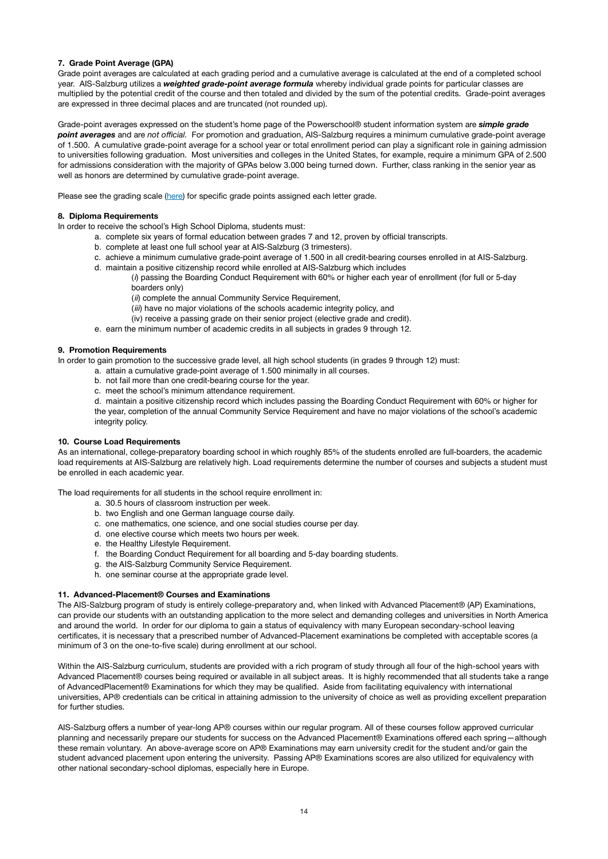### **7. Grade Point Average (GPA)**

Grade point averages are calculated at each grading period and a cumulative average is calculated at the end of a completed school year. AIS-Salzburg utilizes a *weighted grade-point average formula* whereby individual grade points for particular classes are multiplied by the potential credit of the course and then totaled and divided by the sum of the potential credits. Grade-point averages are expressed in three decimal places and are truncated (not rounded up).

Grade-point averages expressed on the student's home page of the Powerschool® student information system are *simple grade point averages* and are *not official.* For promotion and graduation, AIS-Salzburg requires a minimum cumulative grade-point average of 1.500. A cumulative grade-point average for a school year or total enrollment period can play a significant role in gaining admission to universities following graduation. Most universities and colleges in the United States, for example, require a minimum GPA of 2.500 for admissions consideration with the majority of GPAs below 3.000 being turned down. Further, class ranking in the senior year as well as honors are determined by cumulative grade-point average.

Please see the grading scale [\(here\)](https://ais-salzburgat.stage.site/wp-content/uploads/2015/02/GradePointAverageChart.pdf) for specific grade points assigned each letter grade.

### **8. Diploma Requirements**

In order to receive the school's High School Diploma, students must:

- a. complete six years of formal education between grades 7 and 12, proven by official transcripts.
- b. complete at least one full school year at AIS-Salzburg (3 trimesters).
- c. achieve a minimum cumulative grade-point average of 1.500 in all credit-bearing courses enrolled in at AIS-Salzburg.
- d. maintain a positive citizenship record while enrolled at AIS-Salzburg which includes
	- (*i*) passing the Boarding Conduct Requirement with 60% or higher each year of enrollment (for full or 5-day boarders only)
		- (*ii*) complete the annual Community Service Requirement,
		- (*iii*) have no major violations of the schools academic integrity policy, and
		- (iv) receive a passing grade on their senior project (elective grade and credit).
- e. earn the minimum number of academic credits in all subjects in grades 9 through 12.

#### **9. Promotion Requirements**

In order to gain promotion to the successive grade level, all high school students (in grades 9 through 12) must:

- a. attain a cumulative grade-point average of 1.500 minimally in all courses.
- b. not fail more than one credit-bearing course for the year.
- c. meet the school's minimum attendance requirement.
- d. maintain a positive citizenship record which includes passing the Boarding Conduct Requirement with 60% or higher for the year, completion of the annual Community Service Requirement and have no major violations of the school's academic integrity policy.

### **10. Course Load Requirements**

As an international, college-preparatory boarding school in which roughly 85% of the students enrolled are full-boarders, the academic load requirements at AIS-Salzburg are relatively high. Load requirements determine the number of courses and subjects a student must be enrolled in each academic year.

The load requirements for all students in the school require enrollment in:

- a. 30.5 hours of classroom instruction per week.
- b. two English and one German language course daily.
- c. one mathematics, one science, and one social studies course per day.
- d. one elective course which meets two hours per week.
- e. the Healthy Lifestyle Requirement.
- f. the Boarding Conduct Requirement for all boarding and 5-day boarding students.
- g. the AIS-Salzburg Community Service Requirement.
- h. one seminar course at the appropriate grade level.

#### **11. Advanced-Placement® Courses and Examinations**

The AIS-Salzburg program of study is entirely college-preparatory and, when linked with Advanced Placement® (AP) Examinations, can provide our students with an outstanding application to the more select and demanding colleges and universities in North America and around the world. In order for our diploma to gain a status of equivalency with many European secondary-school leaving certificates, it is necessary that a prescribed number of Advanced-Placement examinations be completed with acceptable scores (a minimum of 3 on the one-to-five scale) during enrollment at our school.

Within the AIS-Salzburg curriculum, students are provided with a rich program of study through all four of the high-school years with Advanced Placement® courses being required or available in all subject areas. It is highly recommended that all students take a range of AdvancedPlacement® Examinations for which they may be qualified. Aside from facilitating equivalency with international universities, AP® credentials can be critical in attaining admission to the university of choice as well as providing excellent preparation for further studies.

AIS-Salzburg offers a number of year-long AP® courses within our regular program. All of these courses follow approved curricular planning and necessarily prepare our students for success on the Advanced Placement® Examinations offered each spring—although these remain voluntary. An above-average score on AP® Examinations may earn university credit for the student and/or gain the student advanced placement upon entering the university. Passing AP® Examinations scores are also utilized for equivalency with other national secondary-school diplomas, especially here in Europe.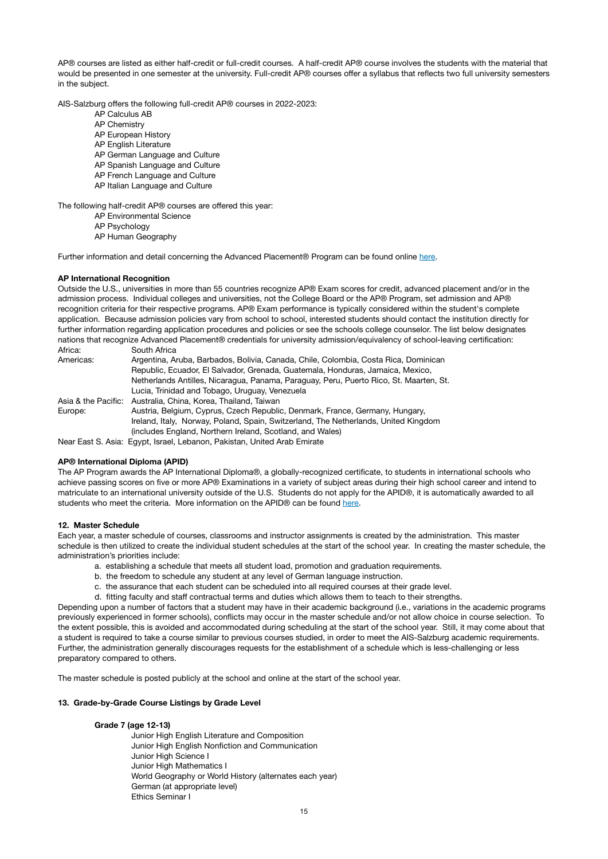AP® courses are listed as either half-credit or full-credit courses. A half-credit AP® course involves the students with the material that would be presented in one semester at the university. Full-credit AP® courses offer a syllabus that reflects two full university semesters in the subject.

AIS-Salzburg offers the following full-credit AP® courses in 2022-2023:

- AP Calculus AB
- AP Chemistry
- AP European History
- AP English Literature
- AP German Language and Culture
- AP Spanish Language and Culture
- AP French Language and Culture
- AP Italian Language and Culture

The following half-credit AP® courses are offered this year:

- AP Environmental Science
- AP Psychology
- AP Human Geography

Further information and detail concerning the Advanced Placement® Program can be found online [here](https://ap.collegeboard.org/).

### **AP International Recognition**

Outside the U.S., universities in more than 55 countries recognize AP® Exam scores for credit, advanced placement and/or in the admission process. Individual colleges and universities, not the College Board or the AP® Program, set admission and AP® recognition criteria for their respective programs. AP® Exam performance is typically considered within the student's complete application. Because admission policies vary from school to school, interested students should contact the institution directly for further information regarding application procedures and policies or see the schools college counselor. The list below designates nations that recognize Advanced Placement® credentials for university admission/equivalency of school-leaving certification: Africa: South Africa

| Americas: | Argentina, Aruba, Barbados, Bolivia, Canada, Chile, Colombia, Costa Rica, Dominican    |
|-----------|----------------------------------------------------------------------------------------|
|           | Republic, Ecuador, El Salvador, Grenada, Guatemala, Honduras, Jamaica, Mexico,         |
|           | Netherlands Antilles, Nicaragua, Panama, Paraguay, Peru, Puerto Rico, St. Maarten, St. |
|           | Lucia, Trinidad and Tobago, Uruguay, Venezuela                                         |
|           | Asia & the Pacific: Australia, China, Korea, Thailand, Taiwan                          |
| Europe:   | Austria, Belgium, Cyprus, Czech Republic, Denmark, France, Germany, Hungary,           |
|           | Ireland, Italy, Norway, Poland, Spain, Switzerland, The Netherlands, United Kingdom    |
|           | (includes England, Northern Ireland, Scotland, and Wales)                              |
|           | Near East S. Asia: Egypt, Israel, Lebanon, Pakistan, United Arab Emirate               |

# **AP® International Diploma (APID)**

The AP Program awards the AP International Diploma®, a globally-recognized certificate, to students in international schools who achieve passing scores on five or more AP® Examinations in a variety of subject areas during their high school career and intend to matriculate to an international university outside of the U.S. Students do not apply for the APID®, it is automatically awarded to all students who meet the criteria. More information on the APID® can be found [here](https://apcentral.collegeboard.org/exam-administration-ordering-scores/scores/awards/international-diploma).

#### **12. Master Schedule**

Each year, a master schedule of courses, classrooms and instructor assignments is created by the administration. This master schedule is then utilized to create the individual student schedules at the start of the school year. In creating the master schedule, the administration's priorities include:

- a. establishing a schedule that meets all student load, promotion and graduation requirements.
- b. the freedom to schedule any student at any level of German language instruction.
- c. the assurance that each student can be scheduled into all required courses at their grade level.
- d. fitting faculty and staff contractual terms and duties which allows them to teach to their strengths.

Depending upon a number of factors that a student may have in their academic background (i.e., variations in the academic programs previously experienced in former schools), conflicts may occur in the master schedule and/or not allow choice in course selection. To the extent possible, this is avoided and accommodated during scheduling at the start of the school year. Still, it may come about that a student is required to take a course similar to previous courses studied, in order to meet the AIS-Salzburg academic requirements. Further, the administration generally discourages requests for the establishment of a schedule which is less-challenging or less preparatory compared to others.

The master schedule is posted publicly at the school and online at the start of the school year.

#### **13. Grade-by-Grade Course Listings by Grade Level**

#### **Grade 7 (age 12-13)**

 Junior High English Literature and Composition Junior High English Nonfiction and Communication Junior High Science I Junior High Mathematics I World Geography or World History (alternates each year) German (at appropriate level) Ethics Seminar I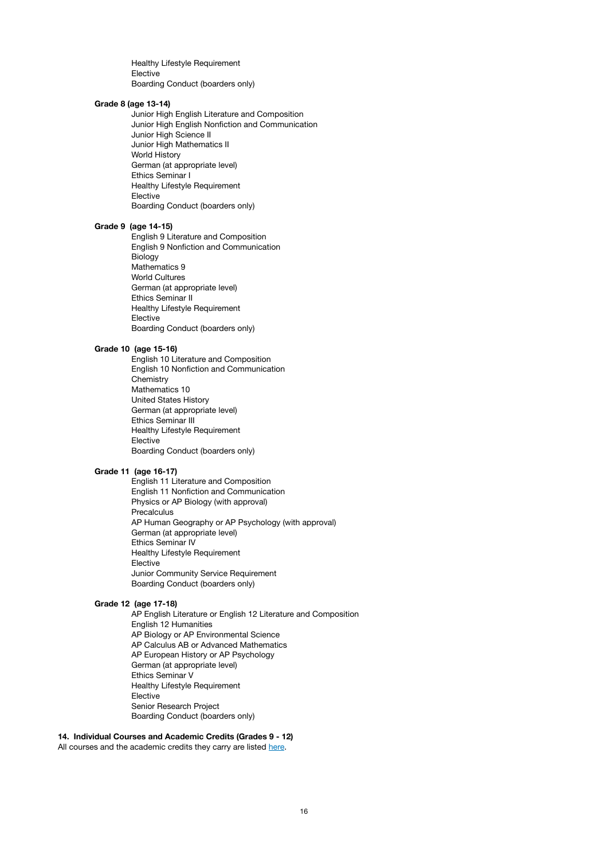Healthy Lifestyle Requirement Elective Boarding Conduct (boarders only)

#### **Grade 8 (age 13-14)**

 Junior High English Literature and Composition Junior High English Nonfiction and Communication Junior High Science II Junior High Mathematics II World History German (at appropriate level) Ethics Seminar I Healthy Lifestyle Requirement Elective Boarding Conduct (boarders only)

#### **Grade 9 (age 14-15)**

 English 9 Literature and Composition English 9 Nonfiction and Communication Biology Mathematics 9 World Cultures German (at appropriate level) Ethics Seminar II Healthy Lifestyle Requirement **Elective**  Boarding Conduct (boarders only)

#### **Grade 10 (age 15-16)**

 English 10 Literature and Composition English 10 Nonfiction and Communication **Chemistry** Mathematics 10 United States History German (at appropriate level) Ethics Seminar III Healthy Lifestyle Requirement **Elective**  Boarding Conduct (boarders only)

### **Grade 11 (age 16-17)**

 English 11 Literature and Composition English 11 Nonfiction and Communication Physics or AP Biology (with approval) **Precalculus**  AP Human Geography or AP Psychology (with approval) German (at appropriate level) Ethics Seminar IV Healthy Lifestyle Requirement **Elective**  Junior Community Service Requirement Boarding Conduct (boarders only)

#### **Grade 12 (age 17-18)**

 AP English Literature or English 12 Literature and Composition English 12 Humanities AP Biology or AP Environmental Science AP Calculus AB or Advanced Mathematics AP European History or AP Psychology German (at appropriate level) Ethics Seminar V Healthy Lifestyle Requirement Elective Senior Research Project Boarding Conduct (boarders only)

### **14. Individual Courses and Academic Credits (Grades 9 - 12)**

All courses and the academic credits they carry are listed [here.](https://www.ais-salzburg.at/wp-content/uploads/2021/08/AcCreditListing2021-1.pdf)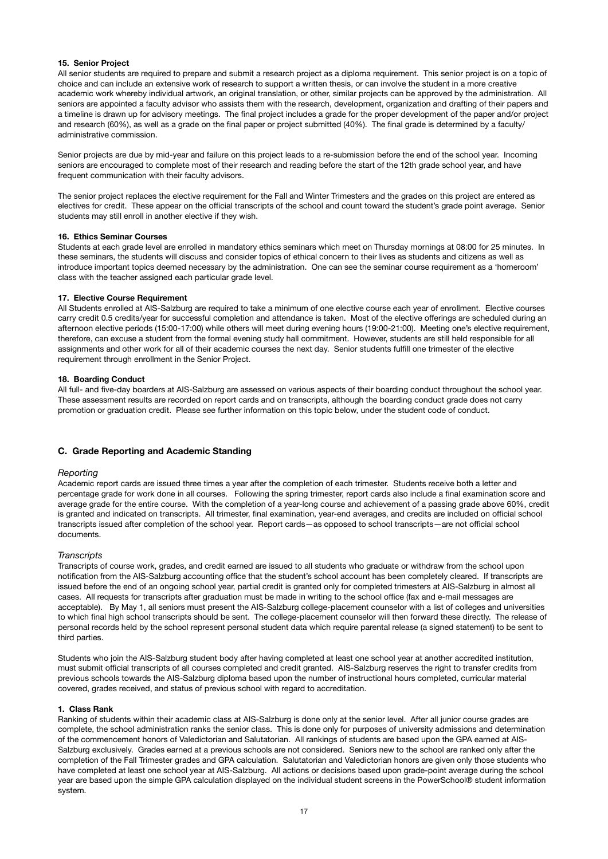### **15. Senior Project**

All senior students are required to prepare and submit a research project as a diploma requirement. This senior project is on a topic of choice and can include an extensive work of research to support a written thesis, or can involve the student in a more creative academic work whereby individual artwork, an original translation, or other, similar projects can be approved by the administration. All seniors are appointed a faculty advisor who assists them with the research, development, organization and drafting of their papers and a timeline is drawn up for advisory meetings. The final project includes a grade for the proper development of the paper and/or project and research (60%), as well as a grade on the final paper or project submitted (40%). The final grade is determined by a faculty/ administrative commission.

Senior projects are due by mid-year and failure on this project leads to a re-submission before the end of the school year. Incoming seniors are encouraged to complete most of their research and reading before the start of the 12th grade school year, and have frequent communication with their faculty advisors.

The senior project replaces the elective requirement for the Fall and Winter Trimesters and the grades on this project are entered as electives for credit. These appear on the official transcripts of the school and count toward the student's grade point average. Senior students may still enroll in another elective if they wish.

#### **16. Ethics Seminar Courses**

Students at each grade level are enrolled in mandatory ethics seminars which meet on Thursday mornings at 08:00 for 25 minutes. In these seminars, the students will discuss and consider topics of ethical concern to their lives as students and citizens as well as introduce important topics deemed necessary by the administration. One can see the seminar course requirement as a 'homeroom' class with the teacher assigned each particular grade level.

#### **17. Elective Course Requirement**

All Students enrolled at AIS-Salzburg are required to take a minimum of one elective course each year of enrollment. Elective courses carry credit 0.5 credits/year for successful completion and attendance is taken. Most of the elective offerings are scheduled during an afternoon elective periods (15:00-17:00) while others will meet during evening hours (19:00-21:00). Meeting one's elective requirement, therefore, can excuse a student from the formal evening study hall commitment. However, students are still held responsible for all assignments and other work for all of their academic courses the next day. Senior students fulfill one trimester of the elective requirement through enrollment in the Senior Project.

#### **18. Boarding Conduct**

All full- and five-day boarders at AIS-Salzburg are assessed on various aspects of their boarding conduct throughout the school year. These assessment results are recorded on report cards and on transcripts, although the boarding conduct grade does not carry promotion or graduation credit. Please see further information on this topic below, under the student code of conduct.

#### **C. Grade Reporting and Academic Standing**

#### *Reporting*

Academic report cards are issued three times a year after the completion of each trimester. Students receive both a letter and percentage grade for work done in all courses. Following the spring trimester, report cards also include a final examination score and average grade for the entire course. With the completion of a year-long course and achievement of a passing grade above 60%, credit is granted and indicated on transcripts. All trimester, final examination, year-end averages, and credits are included on official school transcripts issued after completion of the school year. Report cards—as opposed to school transcripts—are not official school documents.

#### *Transcripts*

Transcripts of course work, grades, and credit earned are issued to all students who graduate or withdraw from the school upon notification from the AIS-Salzburg accounting office that the student's school account has been completely cleared. If transcripts are issued before the end of an ongoing school year, partial credit is granted only for completed trimesters at AIS-Salzburg in almost all cases. All requests for transcripts after graduation must be made in writing to the school office (fax and e-mail messages are acceptable). By May 1, all seniors must present the AIS-Salzburg college-placement counselor with a list of colleges and universities to which final high school transcripts should be sent. The college-placement counselor will then forward these directly. The release of personal records held by the school represent personal student data which require parental release (a signed statement) to be sent to third parties.

Students who join the AIS-Salzburg student body after having completed at least one school year at another accredited institution, must submit official transcripts of all courses completed and credit granted. AIS-Salzburg reserves the right to transfer credits from previous schools towards the AIS-Salzburg diploma based upon the number of instructional hours completed, curricular material covered, grades received, and status of previous school with regard to accreditation.

#### **1. Class Rank**

Ranking of students within their academic class at AIS-Salzburg is done only at the senior level. After all junior course grades are complete, the school administration ranks the senior class. This is done only for purposes of university admissions and determination of the commencement honors of Valedictorian and Salutatorian. All rankings of students are based upon the GPA earned at AIS-Salzburg exclusively. Grades earned at a previous schools are not considered. Seniors new to the school are ranked only after the completion of the Fall Trimester grades and GPA calculation. Salutatorian and Valedictorian honors are given only those students who have completed at least one school year at AIS-Salzburg. All actions or decisions based upon grade-point average during the school year are based upon the simple GPA calculation displayed on the individual student screens in the PowerSchool® student information system.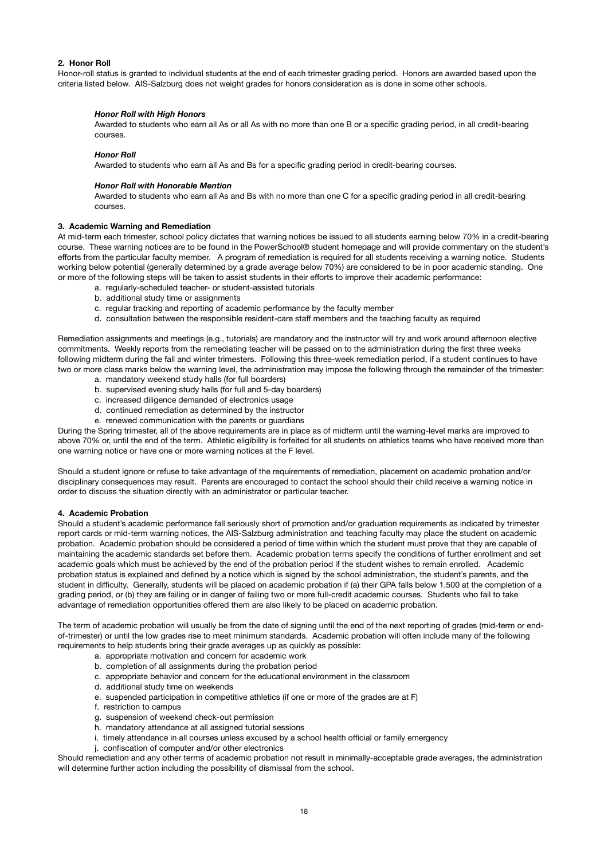### **2. Honor Roll**

Honor-roll status is granted to individual students at the end of each trimester grading period. Honors are awarded based upon the criteria listed below. AIS-Salzburg does not weight grades for honors consideration as is done in some other schools.

### *Honor Roll with High Honors*

Awarded to students who earn all As or all As with no more than one B or a specific grading period, in all credit-bearing courses.

#### *Honor Roll*

Awarded to students who earn all As and Bs for a specific grading period in credit-bearing courses.

### *Honor Roll with Honorable Mention*

Awarded to students who earn all As and Bs with no more than one C for a specific grading period in all credit-bearing courses.

#### **3. Academic Warning and Remediation**

At mid-term each trimester, school policy dictates that warning notices be issued to all students earning below 70% in a credit-bearing course. These warning notices are to be found in the PowerSchool® student homepage and will provide commentary on the student's efforts from the particular faculty member. A program of remediation is required for all students receiving a warning notice. Students working below potential (generally determined by a grade average below 70%) are considered to be in poor academic standing. One or more of the following steps will be taken to assist students in their efforts to improve their academic performance:

- a. regularly-scheduled teacher- or student-assisted tutorials
- b. additional study time or assignments
- c. regular tracking and reporting of academic performance by the faculty member
- d. consultation between the responsible resident-care staff members and the teaching faculty as required

Remediation assignments and meetings (e.g., tutorials) are mandatory and the instructor will try and work around afternoon elective commitments. Weekly reports from the remediating teacher will be passed on to the administration during the first three weeks following midterm during the fall and winter trimesters. Following this three-week remediation period, if a student continues to have two or more class marks below the warning level, the administration may impose the following through the remainder of the trimester:

- a. mandatory weekend study halls (for full boarders)
- b. supervised evening study halls (for full and 5-day boarders)
- c. increased diligence demanded of electronics usage
- d. continued remediation as determined by the instructor
- e. renewed communication with the parents or guardians

During the Spring trimester, all of the above requirements are in place as of midterm until the warning-level marks are improved to above 70% or, until the end of the term. Athletic eligibility is forfeited for all students on athletics teams who have received more than one warning notice or have one or more warning notices at the F level.

Should a student ignore or refuse to take advantage of the requirements of remediation, placement on academic probation and/or disciplinary consequences may result. Parents are encouraged to contact the school should their child receive a warning notice in order to discuss the situation directly with an administrator or particular teacher.

#### **4. Academic Probation**

Should a student's academic performance fall seriously short of promotion and/or graduation requirements as indicated by trimester report cards or mid-term warning notices, the AIS-Salzburg administration and teaching faculty may place the student on academic probation. Academic probation should be considered a period of time within which the student must prove that they are capable of maintaining the academic standards set before them. Academic probation terms specify the conditions of further enrollment and set academic goals which must be achieved by the end of the probation period if the student wishes to remain enrolled. Academic probation status is explained and defined by a notice which is signed by the school administration, the student's parents, and the student in difficulty. Generally, students will be placed on academic probation if (a) their GPA falls below 1.500 at the completion of a grading period, or (b) they are failing or in danger of failing two or more full-credit academic courses. Students who fail to take advantage of remediation opportunities offered them are also likely to be placed on academic probation.

The term of academic probation will usually be from the date of signing until the end of the next reporting of grades (mid-term or endof-trimester) or until the low grades rise to meet minimum standards. Academic probation will often include many of the following requirements to help students bring their grade averages up as quickly as possible:

- a. appropriate motivation and concern for academic work
- b. completion of all assignments during the probation period
- c. appropriate behavior and concern for the educational environment in the classroom
- d. additional study time on weekends
- e. suspended participation in competitive athletics (if one or more of the grades are at F)
- f. restriction to campus
- g. suspension of weekend check-out permission
- h. mandatory attendance at all assigned tutorial sessions
- i. timely attendance in all courses unless excused by a school health official or family emergency
- j. confiscation of computer and/or other electronics

Should remediation and any other terms of academic probation not result in minimally-acceptable grade averages, the administration will determine further action including the possibility of dismissal from the school.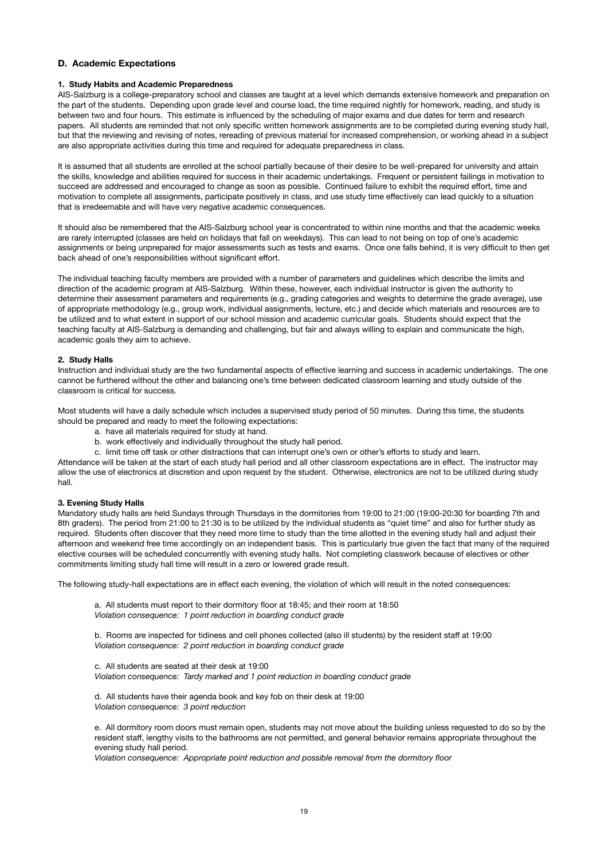### **D. Academic Expectations**

### **1. Study Habits and Academic Preparedness**

AIS-Salzburg is a college-preparatory school and classes are taught at a level which demands extensive homework and preparation on the part of the students. Depending upon grade level and course load, the time required nightly for homework, reading, and study is between two and four hours. This estimate is influenced by the scheduling of major exams and due dates for term and research papers. All students are reminded that not only specific written homework assignments are to be completed during evening study hall, but that the reviewing and revising of notes, rereading of previous material for increased comprehension, or working ahead in a subject are also appropriate activities during this time and required for adequate preparedness in class.

It is assumed that all students are enrolled at the school partially because of their desire to be well-prepared for university and attain the skills, knowledge and abilities required for success in their academic undertakings. Frequent or persistent failings in motivation to succeed are addressed and encouraged to change as soon as possible. Continued failure to exhibit the required effort, time and motivation to complete all assignments, participate positively in class, and use study time effectively can lead quickly to a situation that is irredeemable and will have very negative academic consequences.

It should also be remembered that the AIS-Salzburg school year is concentrated to within nine months and that the academic weeks are rarely interrupted (classes are held on holidays that fall on weekdays). This can lead to not being on top of one's academic assignments or being unprepared for major assessments such as tests and exams. Once one falls behind, it is very difficult to then get back ahead of one's responsibilities without significant effort.

The individual teaching faculty members are provided with a number of parameters and guidelines which describe the limits and direction of the academic program at AIS-Salzburg. Within these, however, each individual instructor is given the authority to determine their assessment parameters and requirements (e.g., grading categories and weights to determine the grade average), use of appropriate methodology (e.g., group work, individual assignments, lecture, etc.) and decide which materials and resources are to be utilized and to what extent in support of our school mission and academic curricular goals. Students should expect that the teaching faculty at AIS-Salzburg is demanding and challenging, but fair and always willing to explain and communicate the high, academic goals they aim to achieve.

### **2. Study Halls**

Instruction and individual study are the two fundamental aspects of effective learning and success in academic undertakings. The one cannot be furthered without the other and balancing one's time between dedicated classroom learning and study outside of the classroom is critical for success.

Most students will have a daily schedule which includes a supervised study period of 50 minutes. During this time, the students should be prepared and ready to meet the following expectations:

- a. have all materials required for study at hand.
- b. work effectively and individually throughout the study hall period.
- c. limit time off task or other distractions that can interrupt one's own or other's efforts to study and learn.

Attendance will be taken at the start of each study hall period and all other classroom expectations are in effect. The instructor may allow the use of electronics at discretion and upon request by the student. Otherwise, electronics are not to be utilized during study hall.

#### **3. Evening Study Halls**

Mandatory study halls are held Sundays through Thursdays in the dormitories from 19:00 to 21:00 (19:00-20:30 for boarding 7th and 8th graders). The period from 21:00 to 21:30 is to be utilized by the individual students as "quiet time" and also for further study as required. Students often discover that they need more time to study than the time allotted in the evening study hall and adjust their afternoon and weekend free time accordingly on an independent basis. This is particularly true given the fact that many of the required elective courses will be scheduled concurrently with evening study halls. Not completing classwork because of electives or other commitments limiting study hall time will result in a zero or lowered grade result.

The following study-hall expectations are in effect each evening, the violation of which will result in the noted consequences:

a. All students must report to their dormitory floor at 18:45; and their room at 18:50 *Violation consequence: 1 point reduction in boarding conduct grade* 

b. Rooms are inspected for tidiness and cell phones collected (also ill students) by the resident staff at 19:00 *Violation consequence: 2 point reduction in boarding conduct grade* 

c. All students are seated at their desk at 19:00 *Violation consequence: Tardy marked and 1 point reduction in boarding conduct grade* 

d. All students have their agenda book and key fob on their desk at 19:00 *Violation consequence: 3 point reduction* 

e. All dormitory room doors must remain open, students may not move about the building unless requested to do so by the resident staff, lengthy visits to the bathrooms are not permitted, and general behavior remains appropriate throughout the evening study hall period.

*Violation consequence: Appropriate point reduction and possible removal from the dormitory floor*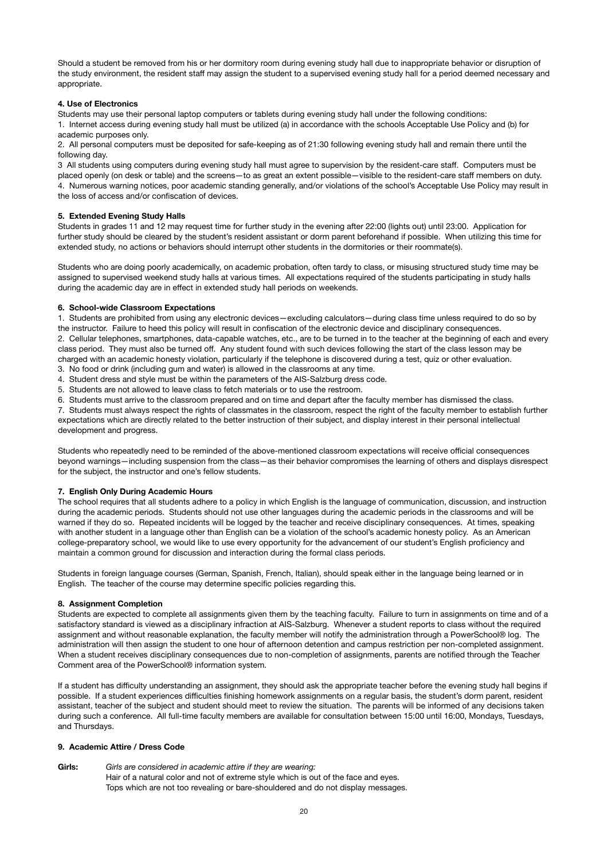Should a student be removed from his or her dormitory room during evening study hall due to inappropriate behavior or disruption of the study environment, the resident staff may assign the student to a supervised evening study hall for a period deemed necessary and appropriate.

### **4. Use of Electronics**

Students may use their personal laptop computers or tablets during evening study hall under the following conditions: 1. Internet access during evening study hall must be utilized (a) in accordance with the schools Acceptable Use Policy and (b) for

# academic purposes only.

2. All personal computers must be deposited for safe-keeping as of 21:30 following evening study hall and remain there until the following day.

3 All students using computers during evening study hall must agree to supervision by the resident-care staff. Computers must be placed openly (on desk or table) and the screens—to as great an extent possible—visible to the resident-care staff members on duty. 4. Numerous warning notices, poor academic standing generally, and/or violations of the school's Acceptable Use Policy may result in the loss of access and/or confiscation of devices.

#### **5. Extended Evening Study Halls**

Students in grades 11 and 12 may request time for further study in the evening after 22:00 (lights out) until 23:00. Application for further study should be cleared by the student's resident assistant or dorm parent beforehand if possible. When utilizing this time for extended study, no actions or behaviors should interrupt other students in the dormitories or their roommate(s).

Students who are doing poorly academically, on academic probation, often tardy to class, or misusing structured study time may be assigned to supervised weekend study halls at various times. All expectations required of the students participating in study halls during the academic day are in effect in extended study hall periods on weekends.

### **6. School-wide Classroom Expectations**

1. Students are prohibited from using any electronic devices—excluding calculators—during class time unless required to do so by the instructor. Failure to heed this policy will result in confiscation of the electronic device and disciplinary consequences. 2. Cellular telephones, smartphones, data-capable watches, etc., are to be turned in to the teacher at the beginning of each and every class period. They must also be turned off. Any student found with such devices following the start of the class lesson may be charged with an academic honesty violation, particularly if the telephone is discovered during a test, quiz or other evaluation.

3. No food or drink (including gum and water) is allowed in the classrooms at any time.

4. Student dress and style must be within the parameters of the AIS-Salzburg dress code.

5. Students are not allowed to leave class to fetch materials or to use the restroom.

6. Students must arrive to the classroom prepared and on time and depart after the faculty member has dismissed the class.

7. Students must always respect the rights of classmates in the classroom, respect the right of the faculty member to establish further expectations which are directly related to the better instruction of their subject, and display interest in their personal intellectual development and progress.

Students who repeatedly need to be reminded of the above-mentioned classroom expectations will receive official consequences beyond warnings—including suspension from the class—as their behavior compromises the learning of others and displays disrespect for the subject, the instructor and one's fellow students.

### **7. English Only During Academic Hours**

The school requires that all students adhere to a policy in which English is the language of communication, discussion, and instruction during the academic periods. Students should not use other languages during the academic periods in the classrooms and will be warned if they do so. Repeated incidents will be logged by the teacher and receive disciplinary consequences. At times, speaking with another student in a language other than English can be a violation of the school's academic honesty policy. As an American college-preparatory school, we would like to use every opportunity for the advancement of our student's English proficiency and maintain a common ground for discussion and interaction during the formal class periods.

Students in foreign language courses (German, Spanish, French, Italian), should speak either in the language being learned or in English. The teacher of the course may determine specific policies regarding this.

#### **8. Assignment Completion**

Students are expected to complete all assignments given them by the teaching faculty. Failure to turn in assignments on time and of a satisfactory standard is viewed as a disciplinary infraction at AIS-Salzburg. Whenever a student reports to class without the required assignment and without reasonable explanation, the faculty member will notify the administration through a PowerSchool® log. The administration will then assign the student to one hour of afternoon detention and campus restriction per non-completed assignment. When a student receives disciplinary consequences due to non-completion of assignments, parents are notified through the Teacher Comment area of the PowerSchool® information system.

If a student has difficulty understanding an assignment, they should ask the appropriate teacher before the evening study hall begins if possible. If a student experiences difficulties finishing homework assignments on a regular basis, the student's dorm parent, resident assistant, teacher of the subject and student should meet to review the situation. The parents will be informed of any decisions taken during such a conference. All full-time faculty members are available for consultation between 15:00 until 16:00, Mondays, Tuesdays, and Thursdays.

#### **9. Academic Attire / Dress Code**

**Girls:** *Girls are considered in academic attire if they are wearing:* Hair of a natural color and not of extreme style which is out of the face and eyes. Tops which are not too revealing or bare-shouldered and do not display messages.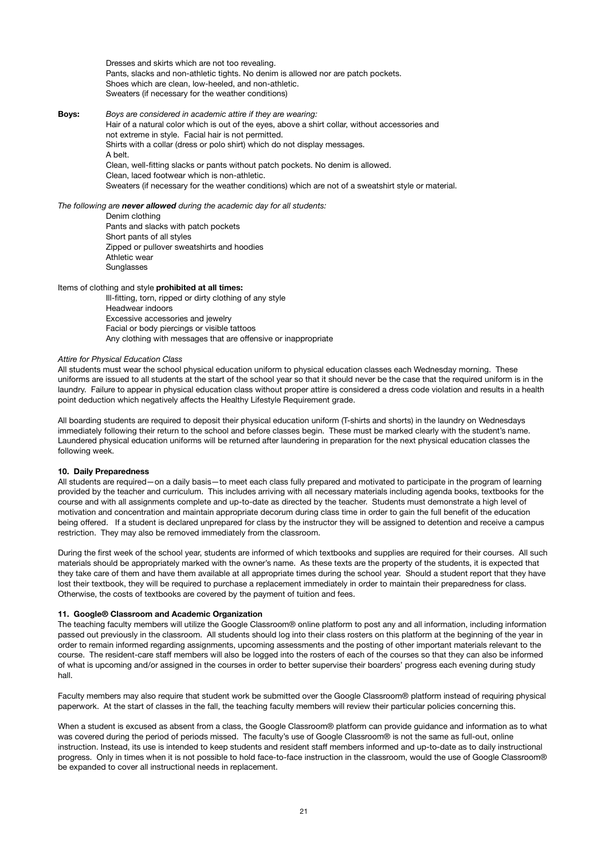Dresses and skirts which are not too revealing. Pants, slacks and non-athletic tights. No denim is allowed nor are patch pockets. Shoes which are clean, low-heeled, and non-athletic. Sweaters (if necessary for the weather conditions)

### **Boys:** *Boys are considered in academic attire if they are wearing:*

Hair of a natural color which is out of the eyes, above a shirt collar, without accessories and not extreme in style. Facial hair is not permitted. Shirts with a collar (dress or polo shirt) which do not display messages. A belt. Clean, well-fitting slacks or pants without patch pockets. No denim is allowed. Clean, laced footwear which is non-athletic. Sweaters (if necessary for the weather conditions) which are not of a sweatshirt style or material.

### *The following are never allowed during the academic day for all students:*

Denim clothing Pants and slacks with patch pockets Short pants of all styles Zipped or pullover sweatshirts and hoodies Athletic wear Sunglasses

### Items of clothing and style **prohibited at all times:**

Ill-fitting, torn, ripped or dirty clothing of any style Headwear indoors Excessive accessories and jewelry Facial or body piercings or visible tattoos Any clothing with messages that are offensive or inappropriate

#### *Attire for Physical Education Class*

All students must wear the school physical education uniform to physical education classes each Wednesday morning. These uniforms are issued to all students at the start of the school year so that it should never be the case that the required uniform is in the laundry. Failure to appear in physical education class without proper attire is considered a dress code violation and results in a health point deduction which negatively affects the Healthy Lifestyle Requirement grade.

All boarding students are required to deposit their physical education uniform (T-shirts and shorts) in the laundry on Wednesdays immediately following their return to the school and before classes begin. These must be marked clearly with the student's name. Laundered physical education uniforms will be returned after laundering in preparation for the next physical education classes the following week.

#### **10. Daily Preparedness**

All students are required—on a daily basis—to meet each class fully prepared and motivated to participate in the program of learning provided by the teacher and curriculum. This includes arriving with all necessary materials including agenda books, textbooks for the course and with all assignments complete and up-to-date as directed by the teacher. Students must demonstrate a high level of motivation and concentration and maintain appropriate decorum during class time in order to gain the full benefit of the education being offered. If a student is declared unprepared for class by the instructor they will be assigned to detention and receive a campus restriction. They may also be removed immediately from the classroom.

During the first week of the school year, students are informed of which textbooks and supplies are required for their courses. All such materials should be appropriately marked with the owner's name. As these texts are the property of the students, it is expected that they take care of them and have them available at all appropriate times during the school year. Should a student report that they have lost their textbook, they will be required to purchase a replacement immediately in order to maintain their preparedness for class. Otherwise, the costs of textbooks are covered by the payment of tuition and fees.

#### **11. Google® Classroom and Academic Organization**

The teaching faculty members will utilize the Google Classroom® online platform to post any and all information, including information passed out previously in the classroom. All students should log into their class rosters on this platform at the beginning of the year in order to remain informed regarding assignments, upcoming assessments and the posting of other important materials relevant to the course. The resident-care staff members will also be logged into the rosters of each of the courses so that they can also be informed of what is upcoming and/or assigned in the courses in order to better supervise their boarders' progress each evening during study hall.

Faculty members may also require that student work be submitted over the Google Classroom® platform instead of requiring physical paperwork. At the start of classes in the fall, the teaching faculty members will review their particular policies concerning this.

When a student is excused as absent from a class, the Google Classroom® platform can provide guidance and information as to what was covered during the period of periods missed. The faculty's use of Google Classroom® is not the same as full-out, online instruction. Instead, its use is intended to keep students and resident staff members informed and up-to-date as to daily instructional progress. Only in times when it is not possible to hold face-to-face instruction in the classroom, would the use of Google Classroom® be expanded to cover all instructional needs in replacement.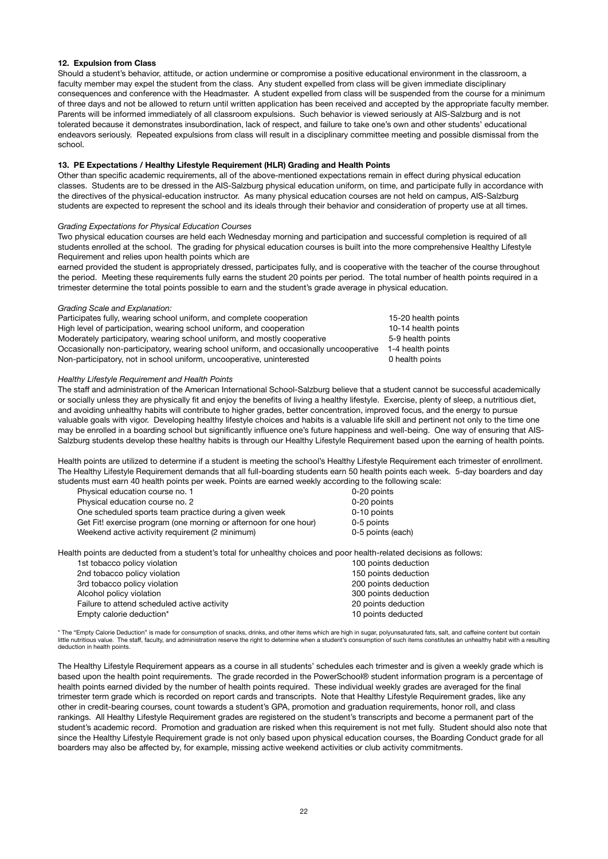### **12. Expulsion from Class**

Should a student's behavior, attitude, or action undermine or compromise a positive educational environment in the classroom, a faculty member may expel the student from the class. Any student expelled from class will be given immediate disciplinary consequences and conference with the Headmaster. A student expelled from class will be suspended from the course for a minimum of three days and not be allowed to return until written application has been received and accepted by the appropriate faculty member. Parents will be informed immediately of all classroom expulsions. Such behavior is viewed seriously at AIS-Salzburg and is not tolerated because it demonstrates insubordination, lack of respect, and failure to take one's own and other students' educational endeavors seriously. Repeated expulsions from class will result in a disciplinary committee meeting and possible dismissal from the school.

### **13. PE Expectations / Healthy Lifestyle Requirement (HLR) Grading and Health Points**

Other than specific academic requirements, all of the above-mentioned expectations remain in effect during physical education classes. Students are to be dressed in the AIS-Salzburg physical education uniform, on time, and participate fully in accordance with the directives of the physical-education instructor. As many physical education courses are not held on campus, AIS-Salzburg students are expected to represent the school and its ideals through their behavior and consideration of property use at all times.

#### *Grading Expectations for Physical Education Courses*

Two physical education courses are held each Wednesday morning and participation and successful completion is required of all students enrolled at the school. The grading for physical education courses is built into the more comprehensive Healthy Lifestyle Requirement and relies upon health points which are

earned provided the student is appropriately dressed, participates fully, and is cooperative with the teacher of the course throughout the period. Meeting these requirements fully earns the student 20 points per period. The total number of health points required in a trimester determine the total points possible to earn and the student's grade average in physical education.

### *Grading Scale and Explanation:*

Participates fully, wearing school uniform, and complete cooperation 15-20 health points High level of participation, wearing school uniform, and cooperation 10-14 health points Moderately participatory, wearing school uniform, and mostly cooperative 5-9 health points Occasionally non-participatory, wearing school uniform, and occasionally uncooperative 1-4 health points Non-participatory, not in school uniform, uncooperative, uninterested 0 health points

### *Healthy Lifestyle Requirement and Health Points*

The staff and administration of the American International School-Salzburg believe that a student cannot be successful academically or socially unless they are physically fit and enjoy the benefits of living a healthy lifestyle. Exercise, plenty of sleep, a nutritious diet, and avoiding unhealthy habits will contribute to higher grades, better concentration, improved focus, and the energy to pursue valuable goals with vigor. Developing healthy lifestyle choices and habits is a valuable life skill and pertinent not only to the time one may be enrolled in a boarding school but significantly influence one's future happiness and well-being. One way of ensuring that AIS-Salzburg students develop these healthy habits is through our Healthy Lifestyle Requirement based upon the earning of health points.

Health points are utilized to determine if a student is meeting the school's Healthy Lifestyle Requirement each trimester of enrollment. The Healthy Lifestyle Requirement demands that all full-boarding students earn 50 health points each week. 5-day boarders and day students must earn 40 health points per week. Points are earned weekly according to the following scale:

| Physical education course no. 1                                   | 0-20 points       |
|-------------------------------------------------------------------|-------------------|
| Physical education course no. 2                                   | 0-20 points       |
| One scheduled sports team practice during a given week            | 0-10 points       |
| Get Fit! exercise program (one morning or afternoon for one hour) | 0-5 points        |
| Weekend active activity requirement (2 minimum)                   | 0-5 points (each) |
|                                                                   |                   |

Health points are deducted from a student's total for unhealthy choices and poor health-related decisions as follows:

| 1st tobacco policy violation                | 100 points deduction |
|---------------------------------------------|----------------------|
| 2nd tobacco policy violation                | 150 points deduction |
| 3rd tobacco policy violation                | 200 points deduction |
| Alcohol policy violation                    | 300 points deduction |
| Failure to attend scheduled active activity | 20 points deduction  |
| Empty calorie deduction*                    | 10 points deducted   |
|                                             |                      |

\* The "Empty Calorie Deduction" is made for consumption of snacks, drinks, and other items which are high in sugar, polyunsaturated fats, salt, and caffeine content but contain little nutritious value. The staff, faculty, and administration reserve the right to determine when a student's consumption of such items constitutes an unhealthy habit with a resulting deduction in health points.

The Healthy Lifestyle Requirement appears as a course in all students' schedules each trimester and is given a weekly grade which is based upon the health point requirements. The grade recorded in the PowerSchool® student information program is a percentage of health points earned divided by the number of health points required. These individual weekly grades are averaged for the final trimester term grade which is recorded on report cards and transcripts. Note that Healthy Lifestyle Requirement grades, like any other in credit-bearing courses, count towards a student's GPA, promotion and graduation requirements, honor roll, and class rankings. All Healthy Lifestyle Requirement grades are registered on the student's transcripts and become a permanent part of the student's academic record. Promotion and graduation are risked when this requirement is not met fully. Student should also note that since the Healthy Lifestyle Requirement grade is not only based upon physical education courses, the Boarding Conduct grade for all boarders may also be affected by, for example, missing active weekend activities or club activity commitments.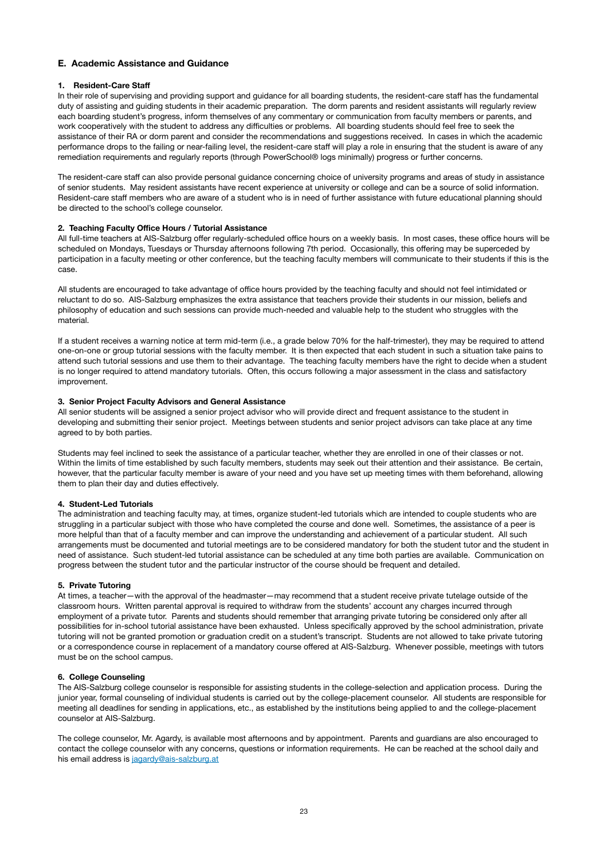### **E. Academic Assistance and Guidance**

### **1. Resident-Care Staff**

In their role of supervising and providing support and guidance for all boarding students, the resident-care staff has the fundamental duty of assisting and guiding students in their academic preparation. The dorm parents and resident assistants will regularly review each boarding student's progress, inform themselves of any commentary or communication from faculty members or parents, and work cooperatively with the student to address any difficulties or problems. All boarding students should feel free to seek the assistance of their RA or dorm parent and consider the recommendations and suggestions received. In cases in which the academic performance drops to the failing or near-failing level, the resident-care staff will play a role in ensuring that the student is aware of any remediation requirements and regularly reports (through PowerSchool® logs minimally) progress or further concerns.

The resident-care staff can also provide personal guidance concerning choice of university programs and areas of study in assistance of senior students. May resident assistants have recent experience at university or college and can be a source of solid information. Resident-care staff members who are aware of a student who is in need of further assistance with future educational planning should be directed to the school's college counselor.

### **2. Teaching Faculty Office Hours / Tutorial Assistance**

All full-time teachers at AIS-Salzburg offer regularly-scheduled office hours on a weekly basis. In most cases, these office hours will be scheduled on Mondays, Tuesdays or Thursday afternoons following 7th period. Occasionally, this offering may be superceded by participation in a faculty meeting or other conference, but the teaching faculty members will communicate to their students if this is the case.

All students are encouraged to take advantage of office hours provided by the teaching faculty and should not feel intimidated or reluctant to do so. AIS-Salzburg emphasizes the extra assistance that teachers provide their students in our mission, beliefs and philosophy of education and such sessions can provide much-needed and valuable help to the student who struggles with the material.

If a student receives a warning notice at term mid-term (i.e., a grade below 70% for the half-trimester), they may be required to attend one-on-one or group tutorial sessions with the faculty member. It is then expected that each student in such a situation take pains to attend such tutorial sessions and use them to their advantage. The teaching faculty members have the right to decide when a student is no longer required to attend mandatory tutorials. Often, this occurs following a major assessment in the class and satisfactory improvement.

### **3. Senior Project Faculty Advisors and General Assistance**

All senior students will be assigned a senior project advisor who will provide direct and frequent assistance to the student in developing and submitting their senior project. Meetings between students and senior project advisors can take place at any time agreed to by both parties.

Students may feel inclined to seek the assistance of a particular teacher, whether they are enrolled in one of their classes or not. Within the limits of time established by such faculty members, students may seek out their attention and their assistance. Be certain, however, that the particular faculty member is aware of your need and you have set up meeting times with them beforehand, allowing them to plan their day and duties effectively.

#### **4. Student-Led Tutorials**

The administration and teaching faculty may, at times, organize student-led tutorials which are intended to couple students who are struggling in a particular subject with those who have completed the course and done well. Sometimes, the assistance of a peer is more helpful than that of a faculty member and can improve the understanding and achievement of a particular student. All such arrangements must be documented and tutorial meetings are to be considered mandatory for both the student tutor and the student in need of assistance. Such student-led tutorial assistance can be scheduled at any time both parties are available. Communication on progress between the student tutor and the particular instructor of the course should be frequent and detailed.

#### **5. Private Tutoring**

At times, a teacher—with the approval of the headmaster—may recommend that a student receive private tutelage outside of the classroom hours. Written parental approval is required to withdraw from the students' account any charges incurred through employment of a private tutor. Parents and students should remember that arranging private tutoring be considered only after all possibilities for in-school tutorial assistance have been exhausted. Unless specifically approved by the school administration, private tutoring will not be granted promotion or graduation credit on a student's transcript. Students are not allowed to take private tutoring or a correspondence course in replacement of a mandatory course offered at AIS-Salzburg. Whenever possible, meetings with tutors must be on the school campus.

#### **6. College Counseling**

The AIS-Salzburg college counselor is responsible for assisting students in the college-selection and application process. During the junior year, formal counseling of individual students is carried out by the college-placement counselor. All students are responsible for meeting all deadlines for sending in applications, etc., as established by the institutions being applied to and the college-placement counselor at AIS-Salzburg.

The college counselor, Mr. Agardy, is available most afternoons and by appointment. Parents and guardians are also encouraged to contact the college counselor with any concerns, questions or information requirements. He can be reached at the school daily and his email address is [jagardy@ais-salzburg.at](mailto:jagardy@ais-salzburg.at)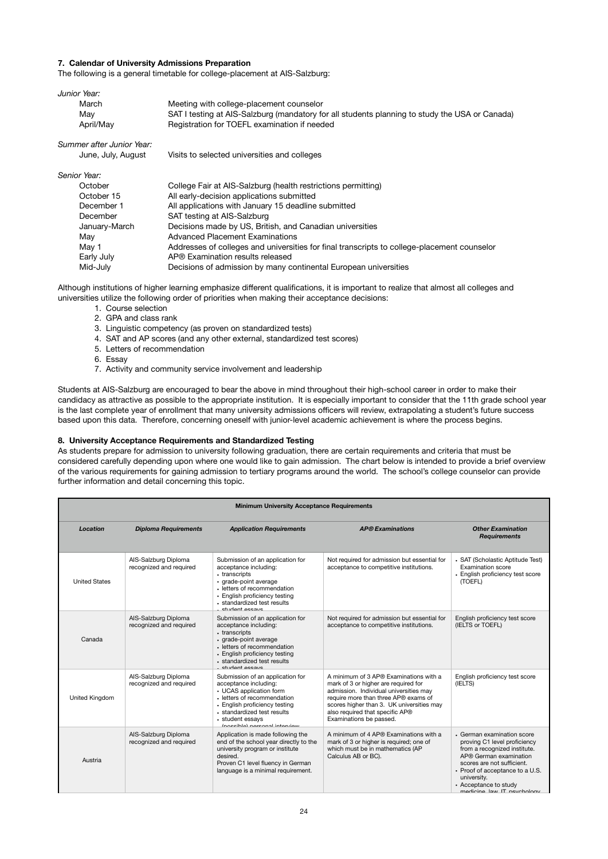### **7. Calendar of University Admissions Preparation**

The following is a general timetable for college-placement at AIS-Salzburg:

| Junior Year:              |                                                                                                |
|---------------------------|------------------------------------------------------------------------------------------------|
| March                     | Meeting with college-placement counselor                                                       |
| May                       | SAT I testing at AIS-Salzburg (mandatory for all students planning to study the USA or Canada) |
| April/May                 | Registration for TOEFL examination if needed                                                   |
| Summer after Junior Year: |                                                                                                |
| June, July, August        | Visits to selected universities and colleges                                                   |
| Senior Year:              |                                                                                                |
| October                   | College Fair at AIS-Salzburg (health restrictions permitting)                                  |
| October 15                | All early-decision applications submitted                                                      |
| December 1                | All applications with January 15 deadline submitted                                            |
| December                  | SAT testing at AIS-Salzburg                                                                    |
| January-March             | Decisions made by US, British, and Canadian universities                                       |
| May                       | <b>Advanced Placement Examinations</b>                                                         |
| May 1                     | Addresses of colleges and universities for final transcripts to college-placement counselor    |
| Early July                | AP® Examination results released                                                               |
| Mid-July                  | Decisions of admission by many continental European universities                               |

Although institutions of higher learning emphasize different qualifications, it is important to realize that almost all colleges and universities utilize the following order of priorities when making their acceptance decisions:

- 1. Course selection
- 2. GPA and class rank
- 3. Linguistic competency (as proven on standardized tests)
- 4. SAT and AP scores (and any other external, standardized test scores)
- 5. Letters of recommendation
- 6. Essay
- 7. Activity and community service involvement and leadership

Students at AIS-Salzburg are encouraged to bear the above in mind throughout their high-school career in order to make their candidacy as attractive as possible to the appropriate institution. It is especially important to consider that the 11th grade school year is the last complete year of enrollment that many university admissions officers will review, extrapolating a student's future success based upon this data. Therefore, concerning oneself with junior-level academic achievement is where the process begins.

### **8. University Acceptance Requirements and Standardized Testing**

As students prepare for admission to university following graduation, there are certain requirements and criteria that must be considered carefully depending upon where one would like to gain admission. The chart below is intended to provide a brief overview of the various requirements for gaining admission to tertiary programs around the world. The school's college counselor can provide further information and detail concerning this topic.

| <b>Minimum University Acceptance Requirements</b> |                                                 |                                                                                                                                                                                                                                          |                                                                                                                                                                                                                                                                             |                                                                                                                                                                                                                                                             |
|---------------------------------------------------|-------------------------------------------------|------------------------------------------------------------------------------------------------------------------------------------------------------------------------------------------------------------------------------------------|-----------------------------------------------------------------------------------------------------------------------------------------------------------------------------------------------------------------------------------------------------------------------------|-------------------------------------------------------------------------------------------------------------------------------------------------------------------------------------------------------------------------------------------------------------|
| Location                                          | <b>Diploma Requirements</b>                     | <b>Application Requirements</b>                                                                                                                                                                                                          | <b>AP®</b> Examinations                                                                                                                                                                                                                                                     | <b>Other Examination</b><br><b>Requirements</b>                                                                                                                                                                                                             |
| <b>United States</b>                              | AIS-Salzburg Diploma<br>recognized and required | Submission of an application for<br>acceptance including:<br>• transcripts<br>· grade-point average<br>• letters of recommendation<br>• English proficiency testing<br>standardized test results<br>student occave                       | Not required for admission but essential for<br>acceptance to competitive institutions.                                                                                                                                                                                     | • SAT (Scholastic Aptitude Test)<br>Examination score<br>• English proficiency test score<br>(TOEFL)                                                                                                                                                        |
| Canada                                            | AIS-Salzburg Diploma<br>recognized and required | Submission of an application for<br>acceptance including:<br>• transcripts<br>· grade-point average<br>· letters of recommendation<br>• English proficiency testing<br>standardized test results<br>cturiont occave                      | Not required for admission but essential for<br>acceptance to competitive institutions.                                                                                                                                                                                     | English proficiency test score<br>(IELTS or TOEFL)                                                                                                                                                                                                          |
| United Kingdom                                    | AIS-Salzburg Diploma<br>recognized and required | Submission of an application for<br>acceptance including:<br>• UCAS application form<br>• letters of recommendation<br>• English proficiency testing<br>- standardized test results<br>· student essays<br>(poccible) perconal interview | A minimum of 3 AP® Examinations with a<br>mark of 3 or higher are required for<br>admission. Individual universities may<br>require more than three AP® exams of<br>scores higher than 3. UK universities may<br>also required that specific AP®<br>Examinations be passed. | English proficiency test score<br>(IELTS)                                                                                                                                                                                                                   |
| Austria                                           | AIS-Salzburg Diploma<br>recognized and required | Application is made following the<br>end of the school year directly to the<br>university program or institute<br>desired.<br>Proven C1 level fluency in German<br>language is a minimal requirement.                                    | A minimum of 4 AP® Examinations with a<br>mark of 3 or higher is required; one of<br>which must be in mathematics (AP<br>Calculus AB or BC).                                                                                                                                | • German examination score<br>proving C1 level proficiency<br>from a recognized institute.<br>AP® German examination<br>scores are not sufficient.<br>• Proof of acceptance to a U.S.<br>university.<br>• Acceptance to study<br>modicing low IT neuchology |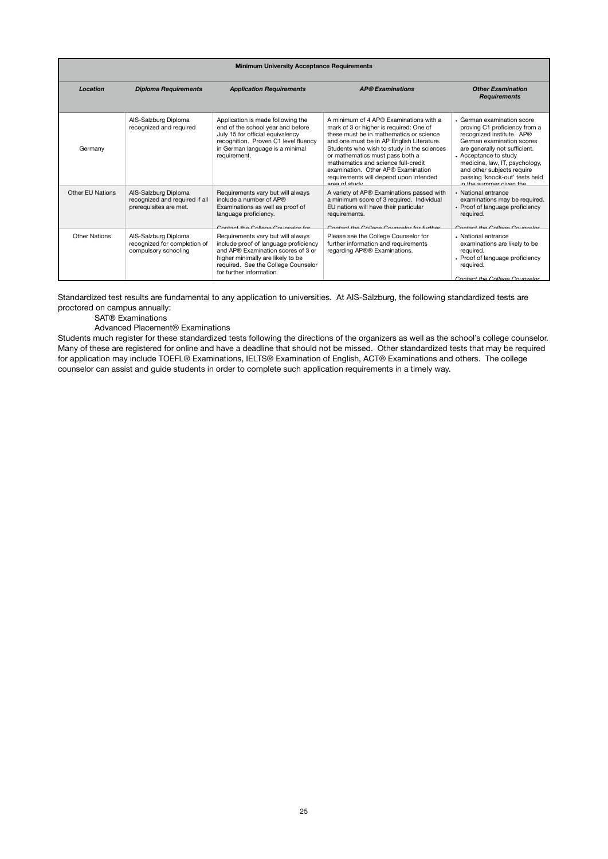| <b>Minimum University Acceptance Requirements</b> |                                                                                  |                                                                                                                                                                                                                          |                                                                                                                                                                                                                                                                                                                                                                                                                     |                                                                                                                                                                                                                                                                                                              |
|---------------------------------------------------|----------------------------------------------------------------------------------|--------------------------------------------------------------------------------------------------------------------------------------------------------------------------------------------------------------------------|---------------------------------------------------------------------------------------------------------------------------------------------------------------------------------------------------------------------------------------------------------------------------------------------------------------------------------------------------------------------------------------------------------------------|--------------------------------------------------------------------------------------------------------------------------------------------------------------------------------------------------------------------------------------------------------------------------------------------------------------|
| Location                                          | <b>Diploma Requirements</b>                                                      | <b>Application Requirements</b>                                                                                                                                                                                          | <b>AP®</b> Examinations                                                                                                                                                                                                                                                                                                                                                                                             | <b>Other Examination</b><br><b>Requirements</b>                                                                                                                                                                                                                                                              |
| Germany                                           | AIS-Salzburg Diploma<br>recognized and required                                  | Application is made following the<br>end of the school year and before<br>July 15 for official equivalency<br>recognition. Proven C1 level fluency<br>in German language is a minimal<br>requirement.                    | A minimum of 4 AP® Examinations with a<br>mark of 3 or higher is required: One of<br>these must be in mathematics or science<br>and one must be in AP English Literature.<br>Students who wish to study in the sciences<br>or mathematics must pass both a<br>mathematics and science full-credit<br>examination. Other AP® Examination<br>requirements will depend upon intended<br>$\cos \theta$ of $\sin \theta$ | • German examination score<br>proving C1 proficiency from a<br>recognized institute. AP®<br>German examination scores<br>are generally not sufficient.<br>• Acceptance to study<br>medicine, law, IT, psychology,<br>and other subjects require<br>passing 'knock-out' tests held<br>in the cummer given the |
| Other EU Nations                                  | AIS-Salzburg Diploma<br>recognized and required if all<br>prerequisites are met. | Requirements vary but will always<br>include a number of AP®<br>Examinations as well as proof of<br>language proficiency.<br>Contact the College Councelor for                                                           | A variety of AP® Examinations passed with<br>a minimum score of 3 required. Individual<br>EU nations will have their particular<br>requirements.<br>Contact the College Councelor for further                                                                                                                                                                                                                       | • National entrance<br>examinations may be required.<br>• Proof of language proficiency<br>required.<br>Contact the College Councelor                                                                                                                                                                        |
| Other Nations                                     | AIS-Salzburg Diploma<br>recognized for completion of<br>compulsory schooling     | Requirements vary but will always<br>include proof of language proficiency<br>and AP® Examination scores of 3 or<br>higher minimally are likely to be<br>required. See the College Counselor<br>for further information. | Please see the College Counselor for<br>further information and requirements<br>regarding AP®® Examinations.                                                                                                                                                                                                                                                                                                        | • National entrance<br>examinations are likely to be<br>reauired.<br>• Proof of language proficiency<br>required.<br>Contact the College Counselor                                                                                                                                                           |

Standardized test results are fundamental to any application to universities. At AIS-Salzburg, the following standardized tests are proctored on campus annually:

SAT® Examinations

Advanced Placement® Examinations

Students much register for these standardized tests following the directions of the organizers as well as the school's college counselor. Many of these are registered for online and have a deadline that should not be missed. Other standardized tests that may be required for application may include TOEFL® Examinations, IELTS® Examination of English, ACT® Examinations and others. The college counselor can assist and guide students in order to complete such application requirements in a timely way.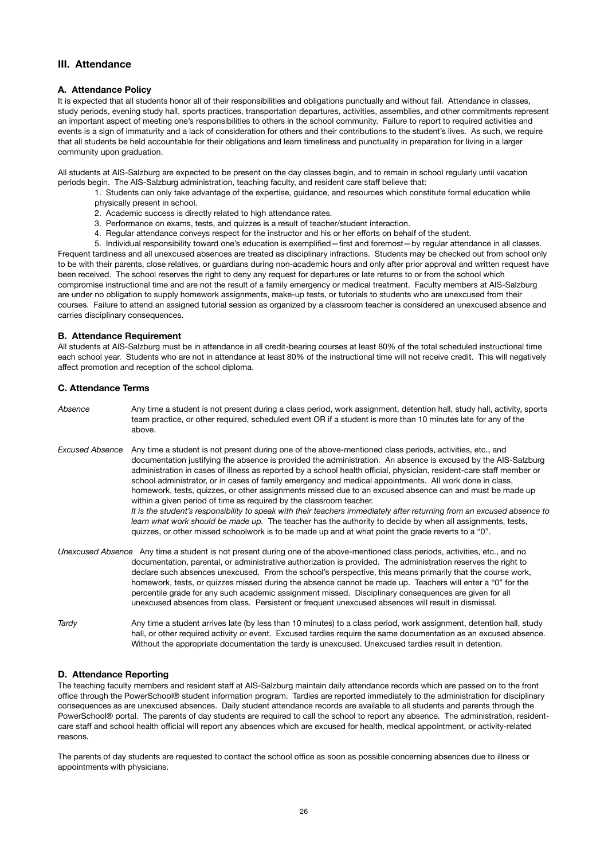# **III. Attendance**

### **A. Attendance Policy**

It is expected that all students honor all of their responsibilities and obligations punctually and without fail. Attendance in classes, study periods, evening study hall, sports practices, transportation departures, activities, assemblies, and other commitments represent an important aspect of meeting one's responsibilities to others in the school community. Failure to report to required activities and events is a sign of immaturity and a lack of consideration for others and their contributions to the student's lives. As such, we require that all students be held accountable for their obligations and learn timeliness and punctuality in preparation for living in a larger community upon graduation.

All students at AIS-Salzburg are expected to be present on the day classes begin, and to remain in school regularly until vacation periods begin. The AIS-Salzburg administration, teaching faculty, and resident care staff believe that:

- 1. Students can only take advantage of the expertise, guidance, and resources which constitute formal education while physically present in school.
- 2. Academic success is directly related to high attendance rates.
- 3. Performance on exams, tests, and quizzes is a result of teacher/student interaction.
- 4. Regular attendance conveys respect for the instructor and his or her efforts on behalf of the student.

5. Individual responsibility toward one's education is exemplified—first and foremost—by regular attendance in all classes. Frequent tardiness and all unexcused absences are treated as disciplinary infractions. Students may be checked out from school only to be with their parents, close relatives, or guardians during non-academic hours and only after prior approval and written request have been received. The school reserves the right to deny any request for departures or late returns to or from the school which compromise instructional time and are not the result of a family emergency or medical treatment. Faculty members at AIS-Salzburg are under no obligation to supply homework assignments, make-up tests, or tutorials to students who are unexcused from their courses. Failure to attend an assigned tutorial session as organized by a classroom teacher is considered an unexcused absence and carries disciplinary consequences.

### **B. Attendance Requirement**

All students at AIS-Salzburg must be in attendance in all credit-bearing courses at least 80% of the total scheduled instructional time each school year. Students who are not in attendance at least 80% of the instructional time will not receive credit. This will negatively affect promotion and reception of the school diploma.

### **C. Attendance Terms**

- *Absence*  Any time a student is not present during a class period, work assignment, detention hall, study hall, activity, sports team practice, or other required, scheduled event OR if a student is more than 10 minutes late for any of the above. *Excused Absence* Any time a student is not present during one of the above-mentioned class periods, activities, etc., and documentation justifying the absence is provided the administration. An absence is excused by the AIS-Salzburg administration in cases of illness as reported by a school health official, physician, resident-care staff member or school administrator, or in cases of family emergency and medical appointments. All work done in class, homework, tests, quizzes, or other assignments missed due to an excused absence can and must be made up within a given period of time as required by the classroom teacher.  *It is the student's responsibility to speak with their teachers immediately after returning from an excused absence to learn what work should be made up.* The teacher has the authority to decide by when all assignments, tests, quizzes, or other missed schoolwork is to be made up and at what point the grade reverts to a "0". *Unexcused Absence* Any time a student is not present during one of the above-mentioned class periods, activities, etc., and no documentation, parental, or administrative authorization is provided. The administration reserves the right to declare such absences unexcused. From the school's perspective, this means primarily that the course work, homework, tests, or quizzes missed during the absence cannot be made up. Teachers will enter a "0" for the percentile grade for any such academic assignment missed. Disciplinary consequences are given for all unexcused absences from class. Persistent or frequent unexcused absences will result in dismissal.
- *Tardy* Any time a student arrives late (by less than 10 minutes) to a class period, work assignment, detention hall, study hall, or other required activity or event. Excused tardies require the same documentation as an excused absence. Without the appropriate documentation the tardy is unexcused. Unexcused tardies result in detention.

### **D. Attendance Reporting**

The teaching faculty members and resident staff at AIS-Salzburg maintain daily attendance records which are passed on to the front office through the PowerSchool® student information program. Tardies are reported immediately to the administration for disciplinary consequences as are unexcused absences. Daily student attendance records are available to all students and parents through the PowerSchool® portal. The parents of day students are required to call the school to report any absence. The administration, residentcare staff and school health official will report any absences which are excused for health, medical appointment, or activity-related reasons.

The parents of day students are requested to contact the school office as soon as possible concerning absences due to illness or appointments with physicians.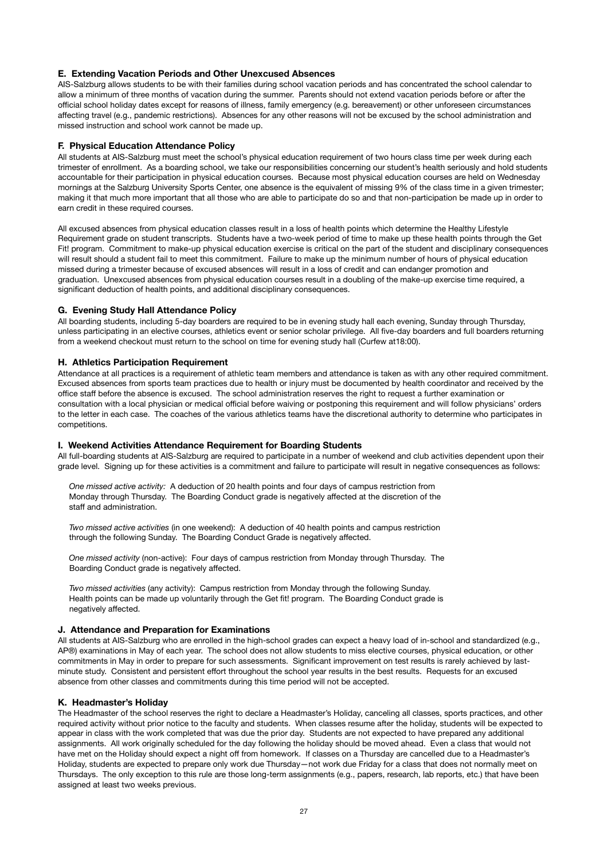### **E. Extending Vacation Periods and Other Unexcused Absences**

AIS-Salzburg allows students to be with their families during school vacation periods and has concentrated the school calendar to allow a minimum of three months of vacation during the summer. Parents should not extend vacation periods before or after the official school holiday dates except for reasons of illness, family emergency (e.g. bereavement) or other unforeseen circumstances affecting travel (e.g., pandemic restrictions). Absences for any other reasons will not be excused by the school administration and missed instruction and school work cannot be made up.

#### **F. Physical Education Attendance Policy**

All students at AIS-Salzburg must meet the school's physical education requirement of two hours class time per week during each trimester of enrollment. As a boarding school, we take our responsibilities concerning our student's health seriously and hold students accountable for their participation in physical education courses. Because most physical education courses are held on Wednesday mornings at the Salzburg University Sports Center, one absence is the equivalent of missing 9% of the class time in a given trimester; making it that much more important that all those who are able to participate do so and that non-participation be made up in order to earn credit in these required courses.

All excused absences from physical education classes result in a loss of health points which determine the Healthy Lifestyle Requirement grade on student transcripts. Students have a two-week period of time to make up these health points through the Get Fit! program. Commitment to make-up physical education exercise is critical on the part of the student and disciplinary consequences will result should a student fail to meet this commitment. Failure to make up the minimum number of hours of physical education missed during a trimester because of excused absences will result in a loss of credit and can endanger promotion and graduation. Unexcused absences from physical education courses result in a doubling of the make-up exercise time required, a significant deduction of health points, and additional disciplinary consequences.

### **G. Evening Study Hall Attendance Policy**

All boarding students, including 5-day boarders are required to be in evening study hall each evening, Sunday through Thursday, unless participating in an elective courses, athletics event or senior scholar privilege. All five-day boarders and full boarders returning from a weekend checkout must return to the school on time for evening study hall (Curfew at18:00).

### **H. Athletics Participation Requirement**

Attendance at all practices is a requirement of athletic team members and attendance is taken as with any other required commitment. Excused absences from sports team practices due to health or injury must be documented by health coordinator and received by the office staff before the absence is excused. The school administration reserves the right to request a further examination or consultation with a local physician or medical official before waiving or postponing this requirement and will follow physicians' orders to the letter in each case. The coaches of the various athletics teams have the discretional authority to determine who participates in competitions.

#### **I. Weekend Activities Attendance Requirement for Boarding Students**

All full-boarding students at AIS-Salzburg are required to participate in a number of weekend and club activities dependent upon their grade level. Signing up for these activities is a commitment and failure to participate will result in negative consequences as follows:

*One missed active activity:* A deduction of 20 health points and four days of campus restriction from Monday through Thursday. The Boarding Conduct grade is negatively affected at the discretion of the staff and administration.

*Two missed active activities* (in one weekend): A deduction of 40 health points and campus restriction through the following Sunday. The Boarding Conduct Grade is negatively affected.

*One missed activity* (non-active): Four days of campus restriction from Monday through Thursday. The Boarding Conduct grade is negatively affected.

*Two missed activities* (any activity): Campus restriction from Monday through the following Sunday. Health points can be made up voluntarily through the Get fit! program. The Boarding Conduct grade is negatively affected.

### **J. Attendance and Preparation for Examinations**

All students at AIS-Salzburg who are enrolled in the high-school grades can expect a heavy load of in-school and standardized (e.g., AP®) examinations in May of each year. The school does not allow students to miss elective courses, physical education, or other commitments in May in order to prepare for such assessments. Significant improvement on test results is rarely achieved by lastminute study. Consistent and persistent effort throughout the school year results in the best results. Requests for an excused absence from other classes and commitments during this time period will not be accepted.

### **K. Headmaster's Holiday**

The Headmaster of the school reserves the right to declare a Headmaster's Holiday, canceling all classes, sports practices, and other required activity without prior notice to the faculty and students. When classes resume after the holiday, students will be expected to appear in class with the work completed that was due the prior day. Students are not expected to have prepared any additional assignments. All work originally scheduled for the day following the holiday should be moved ahead. Even a class that would not have met on the Holiday should expect a night off from homework. If classes on a Thursday are cancelled due to a Headmaster's Holiday, students are expected to prepare only work due Thursday—not work due Friday for a class that does not normally meet on Thursdays. The only exception to this rule are those long-term assignments (e.g., papers, research, lab reports, etc.) that have been assigned at least two weeks previous.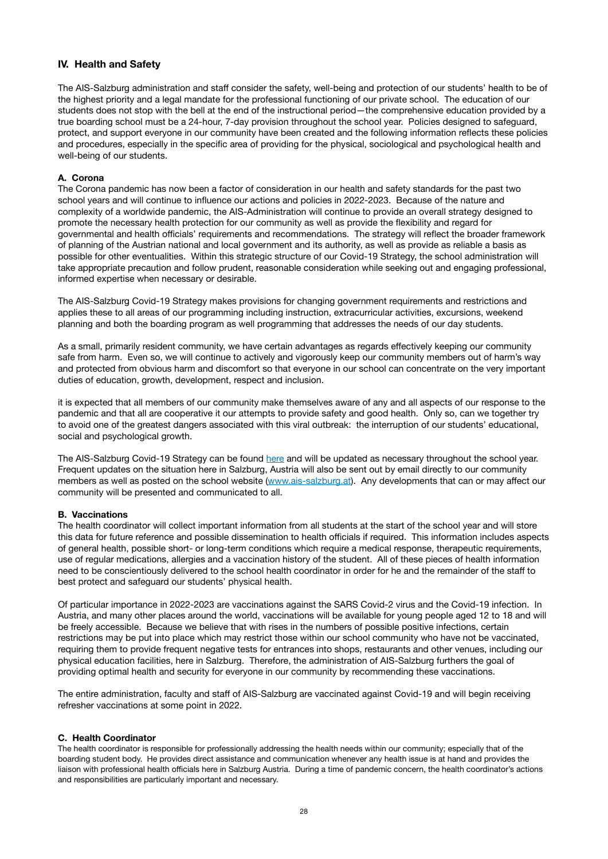# **IV. Health and Safety**

The AIS-Salzburg administration and staff consider the safety, well-being and protection of our students' health to be of the highest priority and a legal mandate for the professional functioning of our private school. The education of our students does not stop with the bell at the end of the instructional period—the comprehensive education provided by a true boarding school must be a 24-hour, 7-day provision throughout the school year. Policies designed to safeguard, protect, and support everyone in our community have been created and the following information reflects these policies and procedures, especially in the specific area of providing for the physical, sociological and psychological health and well-being of our students.

### **A. Corona**

The Corona pandemic has now been a factor of consideration in our health and safety standards for the past two school years and will continue to influence our actions and policies in 2022-2023. Because of the nature and complexity of a worldwide pandemic, the AIS-Administration will continue to provide an overall strategy designed to promote the necessary health protection for our community as well as provide the flexibility and regard for governmental and health officials' requirements and recommendations. The strategy will reflect the broader framework of planning of the Austrian national and local government and its authority, as well as provide as reliable a basis as possible for other eventualities. Within this strategic structure of our Covid-19 Strategy, the school administration will take appropriate precaution and follow prudent, reasonable consideration while seeking out and engaging professional, informed expertise when necessary or desirable.

The AIS-Salzburg Covid-19 Strategy makes provisions for changing government requirements and restrictions and applies these to all areas of our programming including instruction, extracurricular activities, excursions, weekend planning and both the boarding program as well programming that addresses the needs of our day students.

As a small, primarily resident community, we have certain advantages as regards effectively keeping our community safe from harm. Even so, we will continue to actively and vigorously keep our community members out of harm's way and protected from obvious harm and discomfort so that everyone in our school can concentrate on the very important duties of education, growth, development, respect and inclusion.

it is expected that all members of our community make themselves aware of any and all aspects of our response to the pandemic and that all are cooperative it our attempts to provide safety and good health. Only so, can we together try to avoid one of the greatest dangers associated with this viral outbreak: the interruption of our students' educational, social and psychological growth.

The AIS-Salzburg Covid-19 Strategy can be found [here](https://www.ais-salzburg.at/wp-content/uploads/2021/08/CoronaUpdateAugust4_2021.pdf) and will be updated as necessary throughout the school year. Frequent updates on the situation here in Salzburg, Austria will also be sent out by email directly to our community members as well as posted on the school website [\(www.ais-salzburg.at\)](http://www.ais-salzburg.at). Any developments that can or may affect our community will be presented and communicated to all.

### **B. Vaccinations**

The health coordinator will collect important information from all students at the start of the school year and will store this data for future reference and possible dissemination to health officials if required. This information includes aspects of general health, possible short- or long-term conditions which require a medical response, therapeutic requirements, use of regular medications, allergies and a vaccination history of the student. All of these pieces of health information need to be conscientiously delivered to the school health coordinator in order for he and the remainder of the staff to best protect and safeguard our students' physical health.

Of particular importance in 2022-2023 are vaccinations against the SARS Covid-2 virus and the Covid-19 infection. In Austria, and many other places around the world, vaccinations will be available for young people aged 12 to 18 and will be freely accessible. Because we believe that with rises in the numbers of possible positive infections, certain restrictions may be put into place which may restrict those within our school community who have not be vaccinated, requiring them to provide frequent negative tests for entrances into shops, restaurants and other venues, including our physical education facilities, here in Salzburg. Therefore, the administration of AIS-Salzburg furthers the goal of providing optimal health and security for everyone in our community by recommending these vaccinations.

The entire administration, faculty and staff of AIS-Salzburg are vaccinated against Covid-19 and will begin receiving refresher vaccinations at some point in 2022.

### **C. Health Coordinator**

The health coordinator is responsible for professionally addressing the health needs within our community; especially that of the boarding student body. He provides direct assistance and communication whenever any health issue is at hand and provides the liaison with professional health officials here in Salzburg Austria. During a time of pandemic concern, the health coordinator's actions and responsibilities are particularly important and necessary.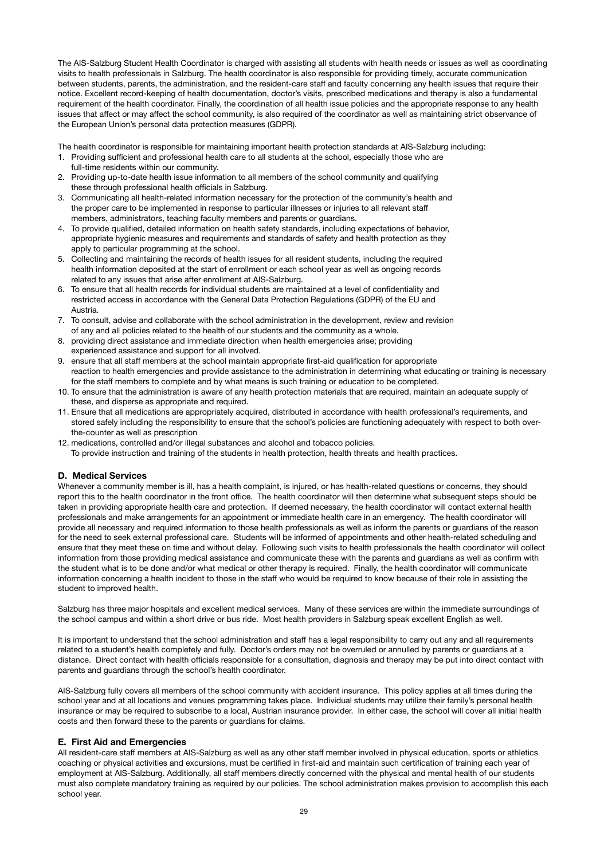The AIS-Salzburg Student Health Coordinator is charged with assisting all students with health needs or issues as well as coordinating visits to health professionals in Salzburg. The health coordinator is also responsible for providing timely, accurate communication between students, parents, the administration, and the resident-care staff and faculty concerning any health issues that require their notice. Excellent record-keeping of health documentation, doctor's visits, prescribed medications and therapy is also a fundamental requirement of the health coordinator. Finally, the coordination of all health issue policies and the appropriate response to any health issues that affect or may affect the school community, is also required of the coordinator as well as maintaining strict observance of the European Union's personal data protection measures (GDPR).

The health coordinator is responsible for maintaining important health protection standards at AIS-Salzburg including:

- 1. Providing sufficient and professional health care to all students at the school, especially those who are full-time residents within our community.
- 2. Providing up-to-date health issue information to all members of the school community and qualifying these through professional health officials in Salzburg.
- 3. Communicating all health-related information necessary for the protection of the community's health and the proper care to be implemented in response to particular illnesses or injuries to all relevant staff members, administrators, teaching faculty members and parents or guardians.
- 4. To provide qualified, detailed information on health safety standards, including expectations of behavior, appropriate hygienic measures and requirements and standards of safety and health protection as they apply to particular programming at the school.
- 5. Collecting and maintaining the records of health issues for all resident students, including the required health information deposited at the start of enrollment or each school year as well as ongoing records related to any issues that arise after enrollment at AIS-Salzburg.
- 6. To ensure that all health records for individual students are maintained at a level of confidentiality and restricted access in accordance with the General Data Protection Regulations (GDPR) of the EU and Austria.
- 7. To consult, advise and collaborate with the school administration in the development, review and revision of any and all policies related to the health of our students and the community as a whole.
- 8. providing direct assistance and immediate direction when health emergencies arise; providing experienced assistance and support for all involved.
- 9. ensure that all staff members at the school maintain appropriate first-aid qualification for appropriate reaction to health emergencies and provide assistance to the administration in determining what educating or training is necessary for the staff members to complete and by what means is such training or education to be completed.
- 10. To ensure that the administration is aware of any health protection materials that are required, maintain an adequate supply of these, and disperse as appropriate and required.
- 11. Ensure that all medications are appropriately acquired, distributed in accordance with health professional's requirements, and stored safely including the responsibility to ensure that the school's policies are functioning adequately with respect to both overthe-counter as well as prescription
- 12. medications, controlled and/or illegal substances and alcohol and tobacco policies.
- To provide instruction and training of the students in health protection, health threats and health practices.

### **D. Medical Services**

Whenever a community member is ill, has a health complaint, is injured, or has health-related questions or concerns, they should report this to the health coordinator in the front office. The health coordinator will then determine what subsequent steps should be taken in providing appropriate health care and protection. If deemed necessary, the health coordinator will contact external health professionals and make arrangements for an appointment or immediate health care in an emergency. The health coordinator will provide all necessary and required information to those health professionals as well as inform the parents or guardians of the reason for the need to seek external professional care. Students will be informed of appointments and other health-related scheduling and ensure that they meet these on time and without delay. Following such visits to health professionals the health coordinator will collect information from those providing medical assistance and communicate these with the parents and guardians as well as confirm with the student what is to be done and/or what medical or other therapy is required. Finally, the health coordinator will communicate information concerning a health incident to those in the staff who would be required to know because of their role in assisting the student to improved health.

Salzburg has three major hospitals and excellent medical services. Many of these services are within the immediate surroundings of the school campus and within a short drive or bus ride. Most health providers in Salzburg speak excellent English as well.

It is important to understand that the school administration and staff has a legal responsibility to carry out any and all requirements related to a student's health completely and fully. Doctor's orders may not be overruled or annulled by parents or guardians at a distance. Direct contact with health officials responsible for a consultation, diagnosis and therapy may be put into direct contact with parents and guardians through the school's health coordinator.

AIS-Salzburg fully covers all members of the school community with accident insurance. This policy applies at all times during the school year and at all locations and venues programming takes place. Individual students may utilize their family's personal health insurance or may be required to subscribe to a local, Austrian insurance provider. In either case, the school will cover all initial health costs and then forward these to the parents or guardians for claims.

### **E. First Aid and Emergencies**

All resident-care staff members at AIS-Salzburg as well as any other staff member involved in physical education, sports or athletics coaching or physical activities and excursions, must be certified in first-aid and maintain such certification of training each year of employment at AIS-Salzburg. Additionally, all staff members directly concerned with the physical and mental health of our students must also complete mandatory training as required by our policies. The school administration makes provision to accomplish this each school year.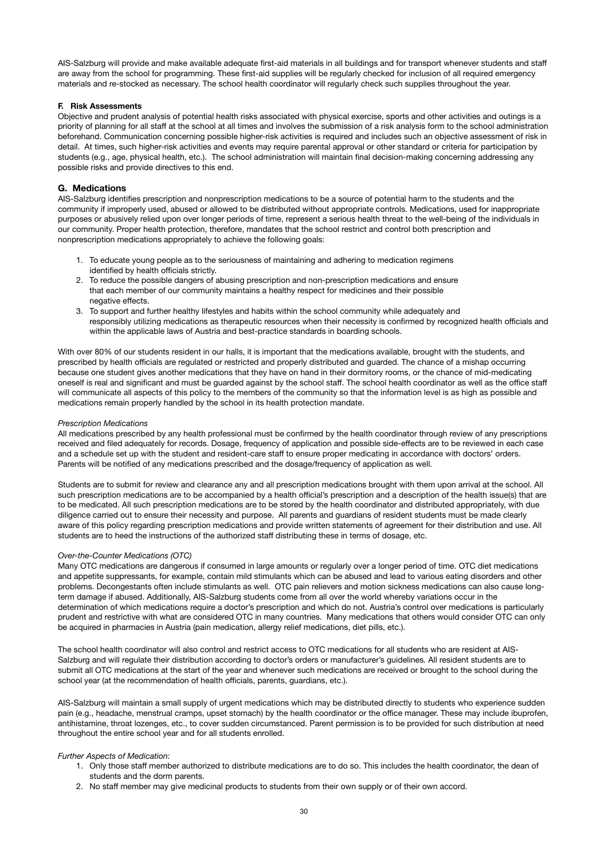AIS-Salzburg will provide and make available adequate first-aid materials in all buildings and for transport whenever students and staff are away from the school for programming. These first-aid supplies will be regularly checked for inclusion of all required emergency materials and re-stocked as necessary. The school health coordinator will regularly check such supplies throughout the year.

### **F. Risk Assessments**

Objective and prudent analysis of potential health risks associated with physical exercise, sports and other activities and outings is a priority of planning for all staff at the school at all times and involves the submission of a risk analysis form to the school administration beforehand. Communication concerning possible higher-risk activities is required and includes such an objective assessment of risk in detail. At times, such higher-risk activities and events may require parental approval or other standard or criteria for participation by students (e.g., age, physical health, etc.). The school administration will maintain final decision-making concerning addressing any possible risks and provide directives to this end.

### **G. Medications**

AIS-Salzburg identifies prescription and nonprescription medications to be a source of potential harm to the students and the community if improperly used, abused or allowed to be distributed without appropriate controls. Medications, used for inappropriate purposes or abusively relied upon over longer periods of time, represent a serious health threat to the well-being of the individuals in our community. Proper health protection, therefore, mandates that the school restrict and control both prescription and nonprescription medications appropriately to achieve the following goals:

- 1. To educate young people as to the seriousness of maintaining and adhering to medication regimens identified by health officials strictly.
- 2. To reduce the possible dangers of abusing prescription and non-prescription medications and ensure that each member of our community maintains a healthy respect for medicines and their possible negative effects.
- 3. To support and further healthy lifestyles and habits within the school community while adequately and responsibly utilizing medications as therapeutic resources when their necessity is confirmed by recognized health officials and within the applicable laws of Austria and best-practice standards in boarding schools.

With over 80% of our students resident in our halls, it is important that the medications available, brought with the students, and prescribed by health officials are regulated or restricted and properly distributed and guarded. The chance of a mishap occurring because one student gives another medications that they have on hand in their dormitory rooms, or the chance of mid-medicating oneself is real and significant and must be guarded against by the school staff. The school health coordinator as well as the office staff will communicate all aspects of this policy to the members of the community so that the information level is as high as possible and medications remain properly handled by the school in its health protection mandate.

### *Prescription Medications*

All medications prescribed by any health professional must be confirmed by the health coordinator through review of any prescriptions received and filed adequately for records. Dosage, frequency of application and possible side-effects are to be reviewed in each case and a schedule set up with the student and resident-care staff to ensure proper medicating in accordance with doctors' orders. Parents will be notified of any medications prescribed and the dosage/frequency of application as well.

Students are to submit for review and clearance any and all prescription medications brought with them upon arrival at the school. All such prescription medications are to be accompanied by a health official's prescription and a description of the health issue(s) that are to be medicated. All such prescription medications are to be stored by the health coordinator and distributed appropriately, with due diligence carried out to ensure their necessity and purpose. All parents and guardians of resident students must be made clearly aware of this policy regarding prescription medications and provide written statements of agreement for their distribution and use. All students are to heed the instructions of the authorized staff distributing these in terms of dosage, etc.

#### *Over-the-Counter Medications (OTC)*

Many OTC medications are dangerous if consumed in large amounts or regularly over a longer period of time. OTC diet medications and appetite suppressants, for example, contain mild stimulants which can be abused and lead to various eating disorders and other problems. Decongestants often include stimulants as well. OTC pain relievers and motion sickness medications can also cause longterm damage if abused. Additionally, AIS-Salzburg students come from all over the world whereby variations occur in the determination of which medications require a doctor's prescription and which do not. Austria's control over medications is particularly prudent and restrictive with what are considered OTC in many countries. Many medications that others would consider OTC can only be acquired in pharmacies in Austria (pain medication, allergy relief medications, diet pills, etc.).

The school health coordinator will also control and restrict access to OTC medications for all students who are resident at AIS-Salzburg and will regulate their distribution according to doctor's orders or manufacturer's guidelines. All resident students are to submit all OTC medications at the start of the year and whenever such medications are received or brought to the school during the school year (at the recommendation of health officials, parents, guardians, etc.).

AIS-Salzburg will maintain a small supply of urgent medications which may be distributed directly to students who experience sudden pain (e.g., headache, menstrual cramps, upset stomach) by the health coordinator or the office manager. These may include ibuprofen, antihistamine, throat lozenges, etc., to cover sudden circumstanced. Parent permission is to be provided for such distribution at need throughout the entire school year and for all students enrolled.

### *Further Aspects of Medication:*

- 1. Only those staff member authorized to distribute medications are to do so. This includes the health coordinator, the dean of students and the dorm parents.
- 2. No staff member may give medicinal products to students from their own supply or of their own accord.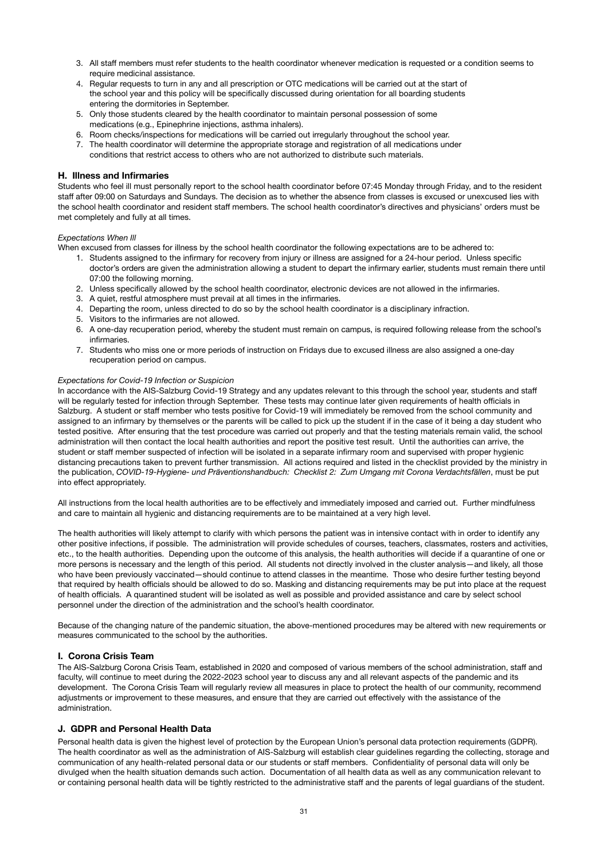- 3. All staff members must refer students to the health coordinator whenever medication is requested or a condition seems to require medicinal assistance.
- 4. Regular requests to turn in any and all prescription or OTC medications will be carried out at the start of the school year and this policy will be specifically discussed during orientation for all boarding students entering the dormitories in September.
- 5. Only those students cleared by the health coordinator to maintain personal possession of some medications (e.g., Epinephrine injections, asthma inhalers).
- 6. Room checks/inspections for medications will be carried out irregularly throughout the school year.
- 7. The health coordinator will determine the appropriate storage and registration of all medications under conditions that restrict access to others who are not authorized to distribute such materials.

### **H. Illness and Infirmaries**

Students who feel ill must personally report to the school health coordinator before 07:45 Monday through Friday, and to the resident staff after 09:00 on Saturdays and Sundays. The decision as to whether the absence from classes is excused or unexcused lies with the school health coordinator and resident staff members. The school health coordinator's directives and physicians' orders must be met completely and fully at all times.

### *Expectations When Ill*

When excused from classes for illness by the school health coordinator the following expectations are to be adhered to:

- 1. Students assigned to the infirmary for recovery from injury or illness are assigned for a 24-hour period. Unless specific doctor's orders are given the administration allowing a student to depart the infirmary earlier, students must remain there until 07:00 the following morning.
- 2. Unless specifically allowed by the school health coordinator, electronic devices are not allowed in the infirmaries.
- 3. A quiet, restful atmosphere must prevail at all times in the infirmaries.
- 4. Departing the room, unless directed to do so by the school health coordinator is a disciplinary infraction.
- 5. Visitors to the infirmaries are not allowed.
- 6. A one-day recuperation period, whereby the student must remain on campus, is required following release from the school's infirmaries.
- 7. Students who miss one or more periods of instruction on Fridays due to excused illness are also assigned a one-day recuperation period on campus.

### *Expectations for Covid-19 Infection or Suspicion*

In accordance with the AIS-Salzburg Covid-19 Strategy and any updates relevant to this through the school year, students and staff will be regularly tested for infection through September. These tests may continue later given requirements of health officials in Salzburg. A student or staff member who tests positive for Covid-19 will immediately be removed from the school community and assigned to an infirmary by themselves or the parents will be called to pick up the student if in the case of it being a day student who tested positive. After ensuring that the test procedure was carried out properly and that the testing materials remain valid, the school administration will then contact the local health authorities and report the positive test result. Until the authorities can arrive, the student or staff member suspected of infection will be isolated in a separate infirmary room and supervised with proper hygienic distancing precautions taken to prevent further transmission. All actions required and listed in the checklist provided by the ministry in the publication, *COVID-19-Hygiene- und Präventionshandbuch: Checklist 2: Zum Umgang mit Corona Verdachtsfällen*, must be put into effect appropriately.

All instructions from the local health authorities are to be effectively and immediately imposed and carried out. Further mindfulness and care to maintain all hygienic and distancing requirements are to be maintained at a very high level.

The health authorities will likely attempt to clarify with which persons the patient was in intensive contact with in order to identify any other positive infections, if possible. The administration will provide schedules of courses, teachers, classmates, rosters and activities, etc., to the health authorities. Depending upon the outcome of this analysis, the health authorities will decide if a quarantine of one or more persons is necessary and the length of this period. All students not directly involved in the cluster analysis—and likely, all those who have been previously vaccinated—should continue to attend classes in the meantime. Those who desire further testing beyond that required by health officials should be allowed to do so. Masking and distancing requirements may be put into place at the request of health officials. A quarantined student will be isolated as well as possible and provided assistance and care by select school personnel under the direction of the administration and the school's health coordinator.

Because of the changing nature of the pandemic situation, the above-mentioned procedures may be altered with new requirements or measures communicated to the school by the authorities.

### **I. Corona Crisis Team**

The AIS-Salzburg Corona Crisis Team, established in 2020 and composed of various members of the school administration, staff and faculty, will continue to meet during the 2022-2023 school year to discuss any and all relevant aspects of the pandemic and its development. The Corona Crisis Team will regularly review all measures in place to protect the health of our community, recommend adjustments or improvement to these measures, and ensure that they are carried out effectively with the assistance of the administration.

### **J. GDPR and Personal Health Data**

Personal health data is given the highest level of protection by the European Union's personal data protection requirements (GDPR). The health coordinator as well as the administration of AIS-Salzburg will establish clear guidelines regarding the collecting, storage and communication of any health-related personal data or our students or staff members. Confidentiality of personal data will only be divulged when the health situation demands such action. Documentation of all health data as well as any communication relevant to or containing personal health data will be tightly restricted to the administrative staff and the parents of legal guardians of the student.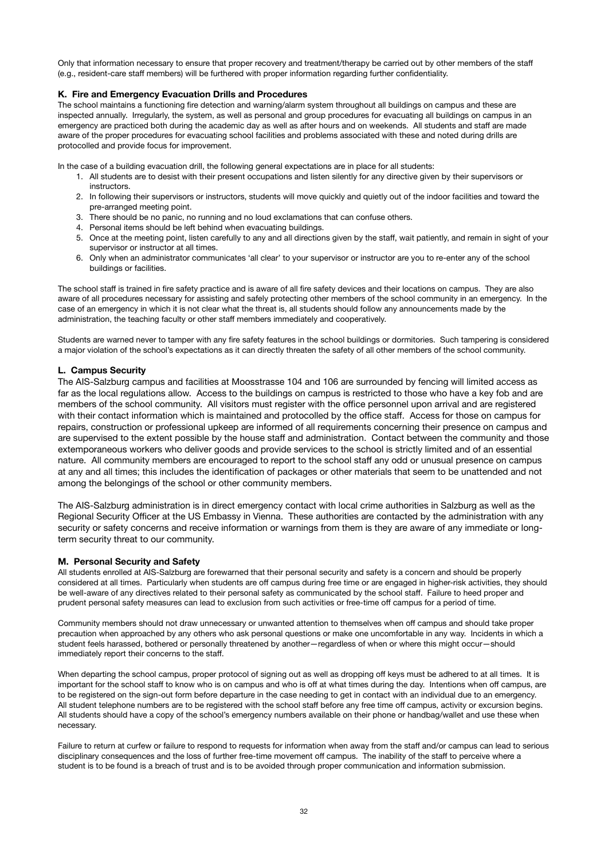Only that information necessary to ensure that proper recovery and treatment/therapy be carried out by other members of the staff (e.g., resident-care staff members) will be furthered with proper information regarding further confidentiality.

### **K. Fire and Emergency Evacuation Drills and Procedures**

The school maintains a functioning fire detection and warning/alarm system throughout all buildings on campus and these are inspected annually. Irregularly, the system, as well as personal and group procedures for evacuating all buildings on campus in an emergency are practiced both during the academic day as well as after hours and on weekends. All students and staff are made aware of the proper procedures for evacuating school facilities and problems associated with these and noted during drills are protocolled and provide focus for improvement.

In the case of a building evacuation drill, the following general expectations are in place for all students:

- 1. All students are to desist with their present occupations and listen silently for any directive given by their supervisors or instructors.
- 2. In following their supervisors or instructors, students will move quickly and quietly out of the indoor facilities and toward the pre-arranged meeting point.
- 3. There should be no panic, no running and no loud exclamations that can confuse others.
- 4. Personal items should be left behind when evacuating buildings.
- 5. Once at the meeting point, listen carefully to any and all directions given by the staff, wait patiently, and remain in sight of your supervisor or instructor at all times.
- 6. Only when an administrator communicates 'all clear' to your supervisor or instructor are you to re-enter any of the school buildings or facilities.

The school staff is trained in fire safety practice and is aware of all fire safety devices and their locations on campus. They are also aware of all procedures necessary for assisting and safely protecting other members of the school community in an emergency. In the case of an emergency in which it is not clear what the threat is, all students should follow any announcements made by the administration, the teaching faculty or other staff members immediately and cooperatively.

Students are warned never to tamper with any fire safety features in the school buildings or dormitories. Such tampering is considered a major violation of the school's expectations as it can directly threaten the safety of all other members of the school community.

### **L. Campus Security**

The AIS-Salzburg campus and facilities at Moosstrasse 104 and 106 are surrounded by fencing will limited access as far as the local regulations allow. Access to the buildings on campus is restricted to those who have a key fob and are members of the school community. All visitors must register with the office personnel upon arrival and are registered with their contact information which is maintained and protocolled by the office staff. Access for those on campus for repairs, construction or professional upkeep are informed of all requirements concerning their presence on campus and are supervised to the extent possible by the house staff and administration. Contact between the community and those extemporaneous workers who deliver goods and provide services to the school is strictly limited and of an essential nature. All community members are encouraged to report to the school staff any odd or unusual presence on campus at any and all times; this includes the identification of packages or other materials that seem to be unattended and not among the belongings of the school or other community members.

The AIS-Salzburg administration is in direct emergency contact with local crime authorities in Salzburg as well as the Regional Security Officer at the US Embassy in Vienna. These authorities are contacted by the administration with any security or safety concerns and receive information or warnings from them is they are aware of any immediate or longterm security threat to our community.

### **M. Personal Security and Safety**

All students enrolled at AIS-Salzburg are forewarned that their personal security and safety is a concern and should be properly considered at all times. Particularly when students are off campus during free time or are engaged in higher-risk activities, they should be well-aware of any directives related to their personal safety as communicated by the school staff. Failure to heed proper and prudent personal safety measures can lead to exclusion from such activities or free-time off campus for a period of time.

Community members should not draw unnecessary or unwanted attention to themselves when off campus and should take proper precaution when approached by any others who ask personal questions or make one uncomfortable in any way. Incidents in which a student feels harassed, bothered or personally threatened by another—regardless of when or where this might occur—should immediately report their concerns to the staff.

When departing the school campus, proper protocol of signing out as well as dropping off keys must be adhered to at all times. It is important for the school staff to know who is on campus and who is off at what times during the day. Intentions when off campus, are to be registered on the sign-out form before departure in the case needing to get in contact with an individual due to an emergency. All student telephone numbers are to be registered with the school staff before any free time off campus, activity or excursion begins. All students should have a copy of the school's emergency numbers available on their phone or handbag/wallet and use these when necessary.

Failure to return at curfew or failure to respond to requests for information when away from the staff and/or campus can lead to serious disciplinary consequences and the loss of further free-time movement off campus. The inability of the staff to perceive where a student is to be found is a breach of trust and is to be avoided through proper communication and information submission.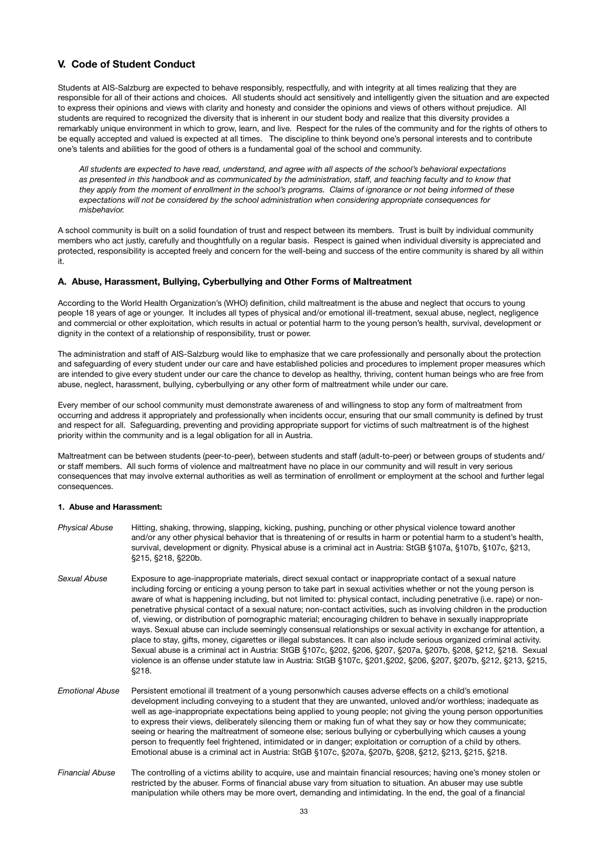# **V. Code of Student Conduct**

Students at AIS-Salzburg are expected to behave responsibly, respectfully, and with integrity at all times realizing that they are responsible for all of their actions and choices. All students should act sensitively and intelligently given the situation and are expected to express their opinions and views with clarity and honesty and consider the opinions and views of others without prejudice. All students are required to recognized the diversity that is inherent in our student body and realize that this diversity provides a remarkably unique environment in which to grow, learn, and live. Respect for the rules of the community and for the rights of others to be equally accepted and valued is expected at all times. The discipline to think beyond one's personal interests and to contribute one's talents and abilities for the good of others is a fundamental goal of the school and community.

*All students are expected to have read, understand, and agree with all aspects of the school's behavioral expectations as presented in this handbook and as communicated by the administration, staff, and teaching faculty and to know that they apply from the moment of enrollment in the school's programs. Claims of ignorance or not being informed of these expectations will not be considered by the school administration when considering appropriate consequences for misbehavior.* 

A school community is built on a solid foundation of trust and respect between its members. Trust is built by individual community members who act justly, carefully and thoughtfully on a regular basis. Respect is gained when individual diversity is appreciated and protected, responsibility is accepted freely and concern for the well-being and success of the entire community is shared by all within it.

### **A. Abuse, Harassment, Bullying, Cyberbullying and Other Forms of Maltreatment**

According to the World Health Organization's (WHO) definition, child maltreatment is the abuse and neglect that occurs to young people 18 years of age or younger. It includes all types of physical and/or emotional ill-treatment, sexual abuse, neglect, negligence and commercial or other exploitation, which results in actual or potential harm to the young person's health, survival, development or dignity in the context of a relationship of responsibility, trust or power.

The administration and staff of AIS-Salzburg would like to emphasize that we care professionally and personally about the protection and safeguarding of every student under our care and have established policies and procedures to implement proper measures which are intended to give every student under our care the chance to develop as healthy, thriving, content human beings who are free from abuse, neglect, harassment, bullying, cyberbullying or any other form of maltreatment while under our care.

Every member of our school community must demonstrate awareness of and willingness to stop any form of maltreatment from occurring and address it appropriately and professionally when incidents occur, ensuring that our small community is defined by trust and respect for all. Safeguarding, preventing and providing appropriate support for victims of such maltreatment is of the highest priority within the community and is a legal obligation for all in Austria.

Maltreatment can be between students (peer-to-peer), between students and staff (adult-to-peer) or between groups of students and/ or staff members. All such forms of violence and maltreatment have no place in our community and will result in very serious consequences that may involve external authorities as well as termination of enrollment or employment at the school and further legal consequences.

#### **1. Abuse and Harassment:**

*Physical Abuse* Hitting, shaking, throwing, slapping, kicking, pushing, punching or other physical violence toward another and/or any other physical behavior that is threatening of or results in harm or potential harm to a student's health, survival, development or dignity. Physical abuse is a criminal act in Austria: StGB §107a, §107b, §107c, §213, §215, §218, §220b. *Sexual Abuse* Exposure to age-inappropriate materials, direct sexual contact or inappropriate contact of a sexual nature including forcing or enticing a young person to take part in sexual activities whether or not the young person is aware of what is happening including, but not limited to: physical contact, including penetrative (i.e. rape) or non- penetrative physical contact of a sexual nature; non-contact activities, such as involving children in the production of, viewing, or distribution of pornographic material; encouraging children to behave in sexually inappropriate ways. Sexual abuse can include seemingly consensual relationships or sexual activity in exchange for attention, a place to stay, gifts, money, cigarettes or illegal substances. It can also include serious organized criminal activity. Sexual abuse is a criminal act in Austria: StGB §107c, §202, §206, §207, §207a, §207b, §208, §212, §218. Sexual violence is an offense under statute law in Austria: StGB §107c, §201,§202, §206, §207, §207b, §212, §213, §215, §218. *Emotional Abuse* Persistent emotional ill treatment of a young personwhich causes adverse effects on a child's emotional development including conveying to a student that they are unwanted, unloved and/or worthless; inadequate as well as age-inappropriate expectations being applied to young people; not giving the young person opportunities to express their views, deliberately silencing them or making fun of what they say or how they communicate; seeing or hearing the maltreatment of someone else; serious bullying or cyberbullying which causes a young person to frequently feel frightened, intimidated or in danger; exploitation or corruption of a child by others. Emotional abuse is a criminal act in Austria: StGB §107c, §207a, §207b, §208, §212, §213, §215, §218. *Financial Abuse* The controlling of a victims ability to acquire, use and maintain financial resources; having one's money stolen or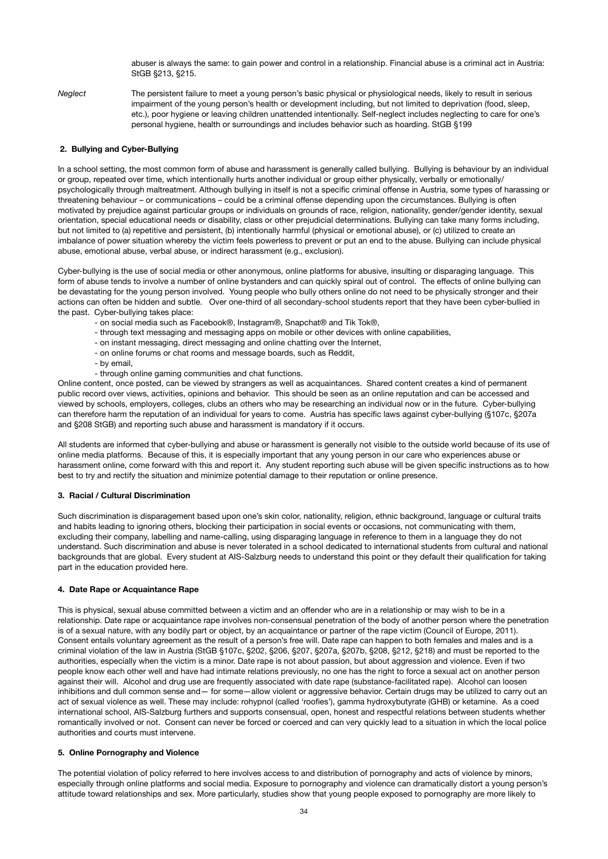abuser is always the same: to gain power and control in a relationship. Financial abuse is a criminal act in Austria: StGB §213, §215.

*Neglect* The persistent failure to meet a young person's basic physical or physiological needs, likely to result in serious impairment of the young person's health or development including, but not limited to deprivation (food, sleep, etc.), poor hygiene or leaving children unattended intentionally. Self-neglect includes neglecting to care for one's personal hygiene, health or surroundings and includes behavior such as hoarding. StGB §199

### **2. Bullying and Cyber-Bullying**

In a school setting, the most common form of abuse and harassment is generally called bullying. Bullying is behaviour by an individual or group, repeated over time, which intentionally hurts another individual or group either physically, verbally or emotionally/ psychologically through maltreatment. Although bullying in itself is not a specific criminal offense in Austria, some types of harassing or threatening behaviour – or communications – could be a criminal offense depending upon the circumstances. Bullying is often motivated by prejudice against particular groups or individuals on grounds of race, religion, nationality, gender/gender identity, sexual orientation, special educational needs or disability, class or other prejudicial determinations. Bullying can take many forms including, but not limited to (a) repetitive and persistent, (b) intentionally harmful (physical or emotional abuse), or (c) utilized to create an imbalance of power situation whereby the victim feels powerless to prevent or put an end to the abuse. Bullying can include physical abuse, emotional abuse, verbal abuse, or indirect harassment (e.g., exclusion).

Cyber-bullying is the use of social media or other anonymous, online platforms for abusive, insulting or disparaging language. This form of abuse tends to involve a number of online bystanders and can quickly spiral out of control. The effects of online bullying can be devastating for the young person involved. Young people who bully others online do not need to be physically stronger and their actions can often be hidden and subtle. Over one-third of all secondary-school students report that they have been cyber-bullied in the past. Cyber-bullying takes place:

- on social media such as Facebook®, Instagram®, Snapchat® and Tik Tok®,
- through text messaging and messaging apps on mobile or other devices with online capabilities,
- on instant messaging, direct messaging and online chatting over the Internet,
- on online forums or chat rooms and message boards, such as Reddit,
- by email,
- through online gaming communities and chat functions.

Online content, once posted, can be viewed by strangers as well as acquaintances. Shared content creates a kind of permanent public record over views, activities, opinions and behavior. This should be seen as an online reputation and can be accessed and viewed by schools, employers, colleges, clubs an others who may be researching an individual now or in the future. Cyber-bullying can therefore harm the reputation of an individual for years to come. Austria has specific laws against cyber-bullying (§107c, §207a and §208 StGB) and reporting such abuse and harassment is mandatory if it occurs.

All students are informed that cyber-bullying and abuse or harassment is generally not visible to the outside world because of its use of online media platforms. Because of this, it is especially important that any young person in our care who experiences abuse or harassment online, come forward with this and report it. Any student reporting such abuse will be given specific instructions as to how best to try and rectify the situation and minimize potential damage to their reputation or online presence.

#### **3. Racial / Cultural Discrimination**

Such discrimination is disparagement based upon one's skin color, nationality, religion, ethnic background, language or cultural traits and habits leading to ignoring others, blocking their participation in social events or occasions, not communicating with them, excluding their company, labelling and name-calling, using disparaging language in reference to them in a language they do not understand. Such discrimination and abuse is never tolerated in a school dedicated to international students from cultural and national backgrounds that are global. Every student at AIS-Salzburg needs to understand this point or they default their qualification for taking part in the education provided here.

#### **4. Date Rape or Acquaintance Rape**

This is physical, sexual abuse committed between a victim and an offender who are in a relationship or may wish to be in a relationship. Date rape or acquaintance rape involves non-consensual penetration of the body of another person where the penetration is of a sexual nature, with any bodily part or object, by an acquaintance or partner of the rape victim (Council of Europe, 2011). Consent entails voluntary agreement as the result of a person's free will. Date rape can happen to both females and males and is a criminal violation of the law in Austria (StGB §107c, §202, §206, §207, §207a, §207b, §208, §212, §218) and must be reported to the authorities, especially when the victim is a minor. Date rape is not about passion, but about aggression and violence. Even if two people know each other well and have had intimate relations previously, no one has the right to force a sexual act on another person against their will. Alcohol and drug use are frequently associated with date rape (substance-facilitated rape). Alcohol can loosen inhibitions and dull common sense and— for some—allow violent or aggressive behavior. Certain drugs may be utilized to carry out an act of sexual violence as well. These may include: rohypnol (called 'roofies'), gamma hydroxybutyrate (GHB) or ketamine. As a coed international school, AIS-Salzburg furthers and supports consensual, open, honest and respectful relations between students whether romantically involved or not. Consent can never be forced or coerced and can very quickly lead to a situation in which the local police authorities and courts must intervene.

### **5. Online Pornography and Violence**

The potential violation of policy referred to here involves access to and distribution of pornography and acts of violence by minors, especially through online platforms and social media. Exposure to pornography and violence can dramatically distort a young person's attitude toward relationships and sex. More particularly, studies show that young people exposed to pornography are more likely to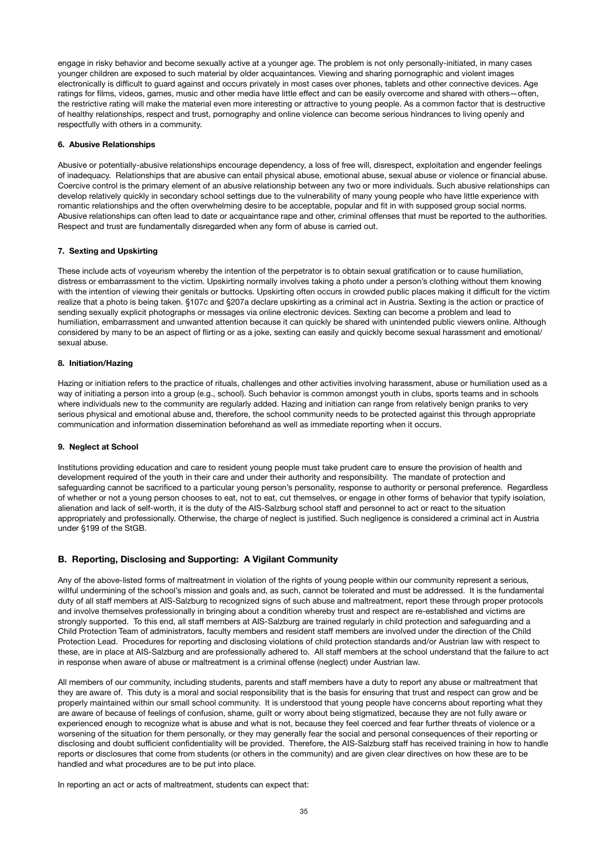engage in risky behavior and become sexually active at a younger age. The problem is not only personally-initiated, in many cases younger children are exposed to such material by older acquaintances. Viewing and sharing pornographic and violent images electronically is difficult to guard against and occurs privately in most cases over phones, tablets and other connective devices. Age ratings for films, videos, games, music and other media have little effect and can be easily overcome and shared with others—often, the restrictive rating will make the material even more interesting or attractive to young people. As a common factor that is destructive of healthy relationships, respect and trust, pornography and online violence can become serious hindrances to living openly and respectfully with others in a community.

### **6. Abusive Relationships**

Abusive or potentially-abusive relationships encourage dependency, a loss of free will, disrespect, exploitation and engender feelings of inadequacy. Relationships that are abusive can entail physical abuse, emotional abuse, sexual abuse or violence or financial abuse. Coercive control is the primary element of an abusive relationship between any two or more individuals. Such abusive relationships can develop relatively quickly in secondary school settings due to the vulnerability of many young people who have little experience with romantic relationships and the often overwhelming desire to be acceptable, popular and fit in with supposed group social norms. Abusive relationships can often lead to date or acquaintance rape and other, criminal offenses that must be reported to the authorities. Respect and trust are fundamentally disregarded when any form of abuse is carried out.

### **7. Sexting and Upskirting**

These include acts of voyeurism whereby the intention of the perpetrator is to obtain sexual gratification or to cause humiliation, distress or embarrassment to the victim. Upskirting normally involves taking a photo under a person's clothing without them knowing with the intention of viewing their genitals or buttocks. Upskirting often occurs in crowded public places making it difficult for the victim realize that a photo is being taken. §107c and §207a declare upskirting as a criminal act in Austria. Sexting is the action or practice of sending sexually explicit photographs or messages via online electronic devices. Sexting can become a problem and lead to humiliation, embarrassment and unwanted attention because it can quickly be shared with unintended public viewers online. Although considered by many to be an aspect of flirting or as a joke, sexting can easily and quickly become sexual harassment and emotional/ sexual abuse.

### **8. Initiation/Hazing**

Hazing or initiation refers to the practice of rituals, challenges and other activities involving harassment, abuse or humiliation used as a way of initiating a person into a group (e.g., school). Such behavior is common amongst youth in clubs, sports teams and in schools where individuals new to the community are regularly added. Hazing and initiation can range from relatively benign pranks to very serious physical and emotional abuse and, therefore, the school community needs to be protected against this through appropriate communication and information dissemination beforehand as well as immediate reporting when it occurs.

### **9. Neglect at School**

Institutions providing education and care to resident young people must take prudent care to ensure the provision of health and development required of the youth in their care and under their authority and responsibility. The mandate of protection and safeguarding cannot be sacrificed to a particular young person's personality, response to authority or personal preference. Regardless of whether or not a young person chooses to eat, not to eat, cut themselves, or engage in other forms of behavior that typify isolation, alienation and lack of self-worth, it is the duty of the AIS-Salzburg school staff and personnel to act or react to the situation appropriately and professionally. Otherwise, the charge of neglect is justified. Such negligence is considered a criminal act in Austria under §199 of the StGB.

### **B. Reporting, Disclosing and Supporting: A Vigilant Community**

Any of the above-listed forms of maltreatment in violation of the rights of young people within our community represent a serious, willful undermining of the school's mission and goals and, as such, cannot be tolerated and must be addressed. It is the fundamental duty of all staff members at AIS-Salzburg to recognized signs of such abuse and maltreatment, report these through proper protocols and involve themselves professionally in bringing about a condition whereby trust and respect are re-established and victims are strongly supported. To this end, all staff members at AIS-Salzburg are trained regularly in child protection and safeguarding and a Child Protection Team of administrators, faculty members and resident staff members are involved under the direction of the Child Protection Lead. Procedures for reporting and disclosing violations of child protection standards and/or Austrian law with respect to these, are in place at AIS-Salzburg and are professionally adhered to. All staff members at the school understand that the failure to act in response when aware of abuse or maltreatment is a criminal offense (neglect) under Austrian law.

All members of our community, including students, parents and staff members have a duty to report any abuse or maltreatment that they are aware of. This duty is a moral and social responsibility that is the basis for ensuring that trust and respect can grow and be properly maintained within our small school community. It is understood that young people have concerns about reporting what they are aware of because of feelings of confusion, shame, guilt or worry about being stigmatized, because they are not fully aware or experienced enough to recognize what is abuse and what is not, because they feel coerced and fear further threats of violence or a worsening of the situation for them personally, or they may generally fear the social and personal consequences of their reporting or disclosing and doubt sufficient confidentiality will be provided. Therefore, the AIS-Salzburg staff has received training in how to handle reports or disclosures that come from students (or others in the community) and are given clear directives on how these are to be handled and what procedures are to be put into place.

In reporting an act or acts of maltreatment, students can expect that: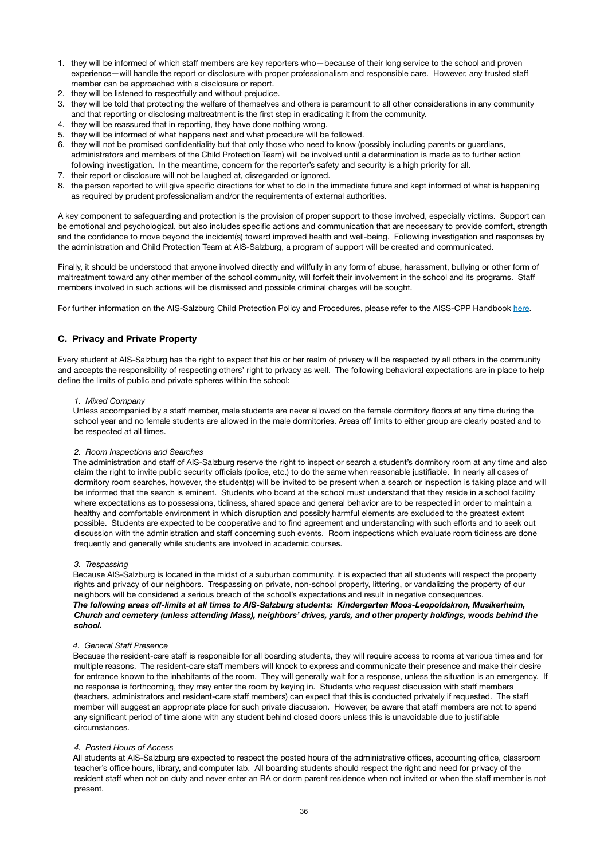- 1. they will be informed of which staff members are key reporters who—because of their long service to the school and proven experience—will handle the report or disclosure with proper professionalism and responsible care. However, any trusted staff member can be approached with a disclosure or report.
- 2. they will be listened to respectfully and without prejudice.
- 3. they will be told that protecting the welfare of themselves and others is paramount to all other considerations in any community and that reporting or disclosing maltreatment is the first step in eradicating it from the community.
- 4. they will be reassured that in reporting, they have done nothing wrong.
- 5. they will be informed of what happens next and what procedure will be followed.
- 6. they will not be promised confidentiality but that only those who need to know (possibly including parents or guardians, administrators and members of the Child Protection Team) will be involved until a determination is made as to further action following investigation. In the meantime, concern for the reporter's safety and security is a high priority for all.
- 7. their report or disclosure will not be laughed at, disregarded or ignored.
- 8. the person reported to will give specific directions for what to do in the immediate future and kept informed of what is happening as required by prudent professionalism and/or the requirements of external authorities.

A key component to safeguarding and protection is the provision of proper support to those involved, especially victims. Support can be emotional and psychological, but also includes specific actions and communication that are necessary to provide comfort, strength and the confidence to move beyond the incident(s) toward improved health and well-being. Following investigation and responses by the administration and Child Protection Team at AIS-Salzburg, a program of support will be created and communicated.

Finally, it should be understood that anyone involved directly and willfully in any form of abuse, harassment, bullying or other form of maltreatment toward any other member of the school community, will forfeit their involvement in the school and its programs. Staff members involved in such actions will be dismissed and possible criminal charges will be sought.

For further information on the AIS-Salzburg Child Protection Policy and Procedures, please refer to the AISS-CPP Handbook [here](https://www.ais-salzburg.at/wp-content/uploads/2021/07/AIS-SCCPDraft30July.pdf).

### **C. Privacy and Private Property**

Every student at AIS-Salzburg has the right to expect that his or her realm of privacy will be respected by all others in the community and accepts the responsibility of respecting others' right to privacy as well. The following behavioral expectations are in place to help define the limits of public and private spheres within the school:

### *1. Mixed Company*

Unless accompanied by a staff member, male students are never allowed on the female dormitory floors at any time during the school year and no female students are allowed in the male dormitories. Areas off limits to either group are clearly posted and to be respected at all times.

### *2. Room Inspections and Searches*

The administration and staff of AIS-Salzburg reserve the right to inspect or search a student's dormitory room at any time and also claim the right to invite public security officials (police, etc.) to do the same when reasonable justifiable. In nearly all cases of dormitory room searches, however, the student(s) will be invited to be present when a search or inspection is taking place and will be informed that the search is eminent. Students who board at the school must understand that they reside in a school facility where expectations as to possessions, tidiness, shared space and general behavior are to be respected in order to maintain a healthy and comfortable environment in which disruption and possibly harmful elements are excluded to the greatest extent possible. Students are expected to be cooperative and to find agreement and understanding with such efforts and to seek out discussion with the administration and staff concerning such events. Room inspections which evaluate room tidiness are done frequently and generally while students are involved in academic courses.

#### *3. Trespassing*

Because AIS-Salzburg is located in the midst of a suburban community, it is expected that all students will respect the property rights and privacy of our neighbors. Trespassing on private, non-school property, littering, or vandalizing the property of our neighbors will be considered a serious breach of the school's expectations and result in negative consequences. *The following areas off-limits at all times to AIS-Salzburg students: Kindergarten Moos-Leopoldskron, Musikerheim, Church and cemetery (unless attending Mass), neighbors' drives, yards, and other property holdings, woods behind the school.* 

#### *4. General Staff Presence*

Because the resident-care staff is responsible for all boarding students, they will require access to rooms at various times and for multiple reasons. The resident-care staff members will knock to express and communicate their presence and make their desire for entrance known to the inhabitants of the room. They will generally wait for a response, unless the situation is an emergency. If no response is forthcoming, they may enter the room by keying in. Students who request discussion with staff members (teachers, administrators and resident-care staff members) can expect that this is conducted privately if requested. The staff member will suggest an appropriate place for such private discussion. However, be aware that staff members are not to spend any significant period of time alone with any student behind closed doors unless this is unavoidable due to justifiable circumstances.

#### *4. Posted Hours of Access*

All students at AIS-Salzburg are expected to respect the posted hours of the administrative offices, accounting office, classroom teacher's office hours, library, and computer lab. All boarding students should respect the right and need for privacy of the resident staff when not on duty and never enter an RA or dorm parent residence when not invited or when the staff member is not present.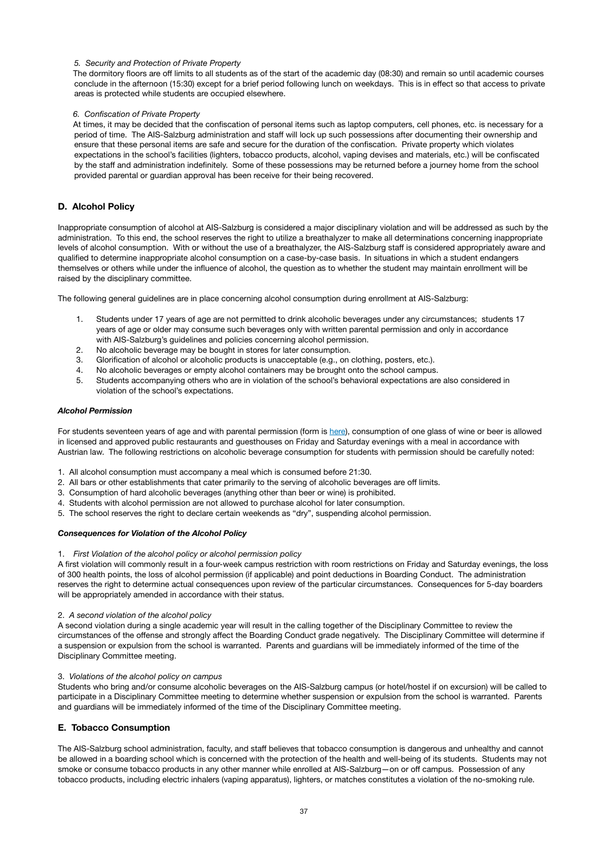### *5. Security and Protection of Private Property*

The dormitory floors are off limits to all students as of the start of the academic day (08:30) and remain so until academic courses conclude in the afternoon (15:30) except for a brief period following lunch on weekdays. This is in effect so that access to private areas is protected while students are occupied elsewhere.

### *6. Confiscation of Private Property*

At times, it may be decided that the confiscation of personal items such as laptop computers, cell phones, etc. is necessary for a period of time. The AIS-Salzburg administration and staff will lock up such possessions after documenting their ownership and ensure that these personal items are safe and secure for the duration of the confiscation. Private property which violates expectations in the school's facilities (lighters, tobacco products, alcohol, vaping devises and materials, etc.) will be confiscated by the staff and administration indefinitely. Some of these possessions may be returned before a journey home from the school provided parental or guardian approval has been receive for their being recovered.

### **D. Alcohol Policy**

Inappropriate consumption of alcohol at AIS-Salzburg is considered a major disciplinary violation and will be addressed as such by the administration. To this end, the school reserves the right to utilize a breathalyzer to make all determinations concerning inappropriate levels of alcohol consumption. With or without the use of a breathalyzer, the AIS-Salzburg staff is considered appropriately aware and qualified to determine inappropriate alcohol consumption on a case-by-case basis. In situations in which a student endangers themselves or others while under the influence of alcohol, the question as to whether the student may maintain enrollment will be raised by the disciplinary committee.

The following general guidelines are in place concerning alcohol consumption during enrollment at AIS-Salzburg:

- 1. Students under 17 years of age are not permitted to drink alcoholic beverages under any circumstances; students 17 years of age or older may consume such beverages only with written parental permission and only in accordance with AIS-Salzburg's guidelines and policies concerning alcohol permission.
- 2. No alcoholic beverage may be bought in stores for later consumption.
- 3. Glorification of alcohol or alcoholic products is unacceptable (e.g., on clothing, posters, etc.).
- 4. No alcoholic beverages or empty alcohol containers may be brought onto the school campus.
- 5. Students accompanying others who are in violation of the school's behavioral expectations are also considered in violation of the school's expectations.

#### *Alcohol Permission*

For students seventeen years of age and with parental permission (form is [here](https://www.ais-salzburg.at/wp-content/uploads/2021/07/PermissionFormsBoarders2021.pdf)), consumption of one glass of wine or beer is allowed in licensed and approved public restaurants and guesthouses on Friday and Saturday evenings with a meal in accordance with Austrian law. The following restrictions on alcoholic beverage consumption for students with permission should be carefully noted:

- 1. All alcohol consumption must accompany a meal which is consumed before 21:30.
- 2. All bars or other establishments that cater primarily to the serving of alcoholic beverages are off limits.
- 3. Consumption of hard alcoholic beverages (anything other than beer or wine) is prohibited.
- 4. Students with alcohol permission are not allowed to purchase alcohol for later consumption.
- 5. The school reserves the right to declare certain weekends as "dry", suspending alcohol permission.

#### *Consequences for Violation of the Alcohol Policy*

1. *First Violation of the alcohol policy or alcohol permission policy* 

A first violation will commonly result in a four-week campus restriction with room restrictions on Friday and Saturday evenings, the loss of 300 health points, the loss of alcohol permission (if applicable) and point deductions in Boarding Conduct. The administration reserves the right to determine actual consequences upon review of the particular circumstances. Consequences for 5-day boarders will be appropriately amended in accordance with their status.

#### 2. *A second violation of the alcohol policy*

A second violation during a single academic year will result in the calling together of the Disciplinary Committee to review the circumstances of the offense and strongly affect the Boarding Conduct grade negatively. The Disciplinary Committee will determine if a suspension or expulsion from the school is warranted. Parents and guardians will be immediately informed of the time of the Disciplinary Committee meeting.

#### 3. *Violations of the alcohol policy on campus*

Students who bring and/or consume alcoholic beverages on the AIS-Salzburg campus (or hotel/hostel if on excursion) will be called to participate in a Disciplinary Committee meeting to determine whether suspension or expulsion from the school is warranted. Parents and guardians will be immediately informed of the time of the Disciplinary Committee meeting.

### **E. Tobacco Consumption**

The AIS-Salzburg school administration, faculty, and staff believes that tobacco consumption is dangerous and unhealthy and cannot be allowed in a boarding school which is concerned with the protection of the health and well-being of its students. Students may not smoke or consume tobacco products in any other manner while enrolled at AIS-Salzburg—on or off campus. Possession of any tobacco products, including electric inhalers (vaping apparatus), lighters, or matches constitutes a violation of the no-smoking rule.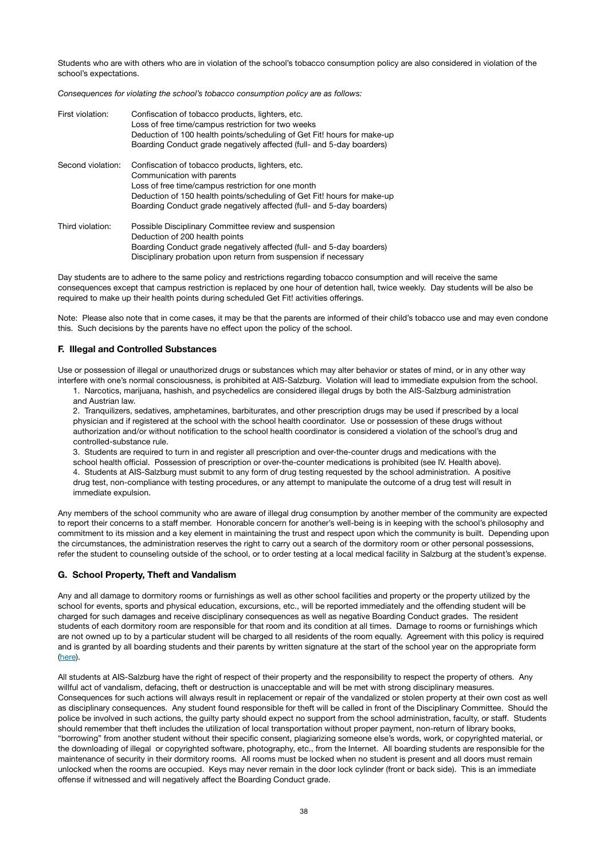Students who are with others who are in violation of the school's tobacco consumption policy are also considered in violation of the school's expectations.

*Consequences for violating the school's tobacco consumption policy are as follows:* 

| First violation:  | Confiscation of tobacco products, lighters, etc.<br>Loss of free time/campus restriction for two weeks<br>Deduction of 100 health points/scheduling of Get Fit! hours for make-up<br>Boarding Conduct grade negatively affected (full- and 5-day boarders)                               |
|-------------------|------------------------------------------------------------------------------------------------------------------------------------------------------------------------------------------------------------------------------------------------------------------------------------------|
| Second violation: | Confiscation of tobacco products, lighters, etc.<br>Communication with parents<br>Loss of free time/campus restriction for one month<br>Deduction of 150 health points/scheduling of Get Fit! hours for make-up<br>Boarding Conduct grade negatively affected (full- and 5-day boarders) |
| Third violation:  | Possible Disciplinary Committee review and suspension<br>Deduction of 200 health points<br>Boarding Conduct grade negatively affected (full- and 5-day boarders)<br>Disciplinary probation upon return from suspension if necessary                                                      |

Day students are to adhere to the same policy and restrictions regarding tobacco consumption and will receive the same consequences except that campus restriction is replaced by one hour of detention hall, twice weekly. Day students will be also be required to make up their health points during scheduled Get Fit! activities offerings.

Note: Please also note that in come cases, it may be that the parents are informed of their child's tobacco use and may even condone this. Such decisions by the parents have no effect upon the policy of the school.

### **F. Illegal and Controlled Substances**

Use or possession of illegal or unauthorized drugs or substances which may alter behavior or states of mind, or in any other way interfere with one's normal consciousness, is prohibited at AIS-Salzburg. Violation will lead to immediate expulsion from the school.

1. Narcotics, marijuana, hashish, and psychedelics are considered illegal drugs by both the AIS-Salzburg administration and Austrian law.

2. Tranquilizers, sedatives, amphetamines, barbiturates, and other prescription drugs may be used if prescribed by a local physician and if registered at the school with the school health coordinator. Use or possession of these drugs without authorization and/or without notification to the school health coordinator is considered a violation of the school's drug and controlled-substance rule.

3. Students are required to turn in and register all prescription and over-the-counter drugs and medications with the school health official. Possession of prescription or over-the-counter medications is prohibited (see IV. Health above). 4. Students at AIS-Salzburg must submit to any form of drug testing requested by the school administration. A positive drug test, non-compliance with testing procedures, or any attempt to manipulate the outcome of a drug test will result in immediate expulsion.

Any members of the school community who are aware of illegal drug consumption by another member of the community are expected to report their concerns to a staff member. Honorable concern for another's well-being is in keeping with the school's philosophy and commitment to its mission and a key element in maintaining the trust and respect upon which the community is built. Depending upon the circumstances, the administration reserves the right to carry out a search of the dormitory room or other personal possessions, refer the student to counseling outside of the school, or to order testing at a local medical facility in Salzburg at the student's expense.

### **G. School Property, Theft and Vandalism**

Any and all damage to dormitory rooms or furnishings as well as other school facilities and property or the property utilized by the school for events, sports and physical education, excursions, etc., will be reported immediately and the offending student will be charged for such damages and receive disciplinary consequences as well as negative Boarding Conduct grades. The resident students of each dormitory room are responsible for that room and its condition at all times. Damage to rooms or furnishings which are not owned up to by a particular student will be charged to all residents of the room equally. Agreement with this policy is required and is granted by all boarding students and their parents by written signature at the start of the school year on the appropriate form ([here](https://www.ais-salzburg.at/wp-content/uploads/2021/07/PermissionFormsBoarders2021.pdf)).

All students at AIS-Salzburg have the right of respect of their property and the responsibility to respect the property of others. Any willful act of vandalism, defacing, theft or destruction is unacceptable and will be met with strong disciplinary measures. Consequences for such actions will always result in replacement or repair of the vandalized or stolen property at their own cost as well as disciplinary consequences. Any student found responsible for theft will be called in front of the Disciplinary Committee. Should the police be involved in such actions, the guilty party should expect no support from the school administration, faculty, or staff. Students should remember that theft includes the utilization of local transportation without proper payment, non-return of library books, "borrowing" from another student without their specific consent, plagiarizing someone else's words, work, or copyrighted material, or the downloading of illegal or copyrighted software, photography, etc., from the Internet. All boarding students are responsible for the maintenance of security in their dormitory rooms. All rooms must be locked when no student is present and all doors must remain unlocked when the rooms are occupied. Keys may never remain in the door lock cylinder (front or back side). This is an immediate offense if witnessed and will negatively affect the Boarding Conduct grade.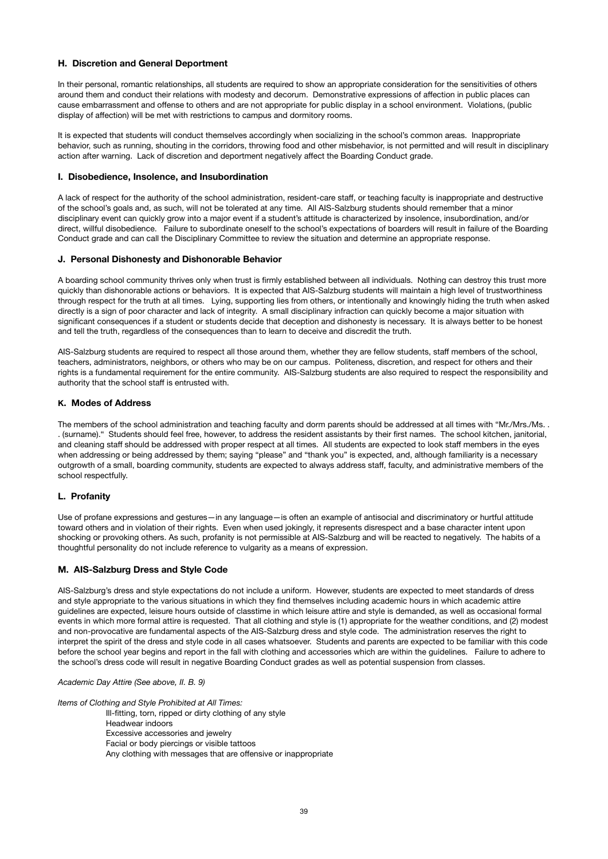### **H. Discretion and General Deportment**

In their personal, romantic relationships, all students are required to show an appropriate consideration for the sensitivities of others around them and conduct their relations with modesty and decorum. Demonstrative expressions of affection in public places can cause embarrassment and offense to others and are not appropriate for public display in a school environment. Violations, (public display of affection) will be met with restrictions to campus and dormitory rooms.

It is expected that students will conduct themselves accordingly when socializing in the school's common areas. Inappropriate behavior, such as running, shouting in the corridors, throwing food and other misbehavior, is not permitted and will result in disciplinary action after warning. Lack of discretion and deportment negatively affect the Boarding Conduct grade.

### **I. Disobedience, Insolence, and Insubordination**

A lack of respect for the authority of the school administration, resident-care staff, or teaching faculty is inappropriate and destructive of the school's goals and, as such, will not be tolerated at any time. All AIS-Salzburg students should remember that a minor disciplinary event can quickly grow into a major event if a student's attitude is characterized by insolence, insubordination, and/or direct, willful disobedience. Failure to subordinate oneself to the school's expectations of boarders will result in failure of the Boarding Conduct grade and can call the Disciplinary Committee to review the situation and determine an appropriate response.

### **J. Personal Dishonesty and Dishonorable Behavior**

A boarding school community thrives only when trust is firmly established between all individuals. Nothing can destroy this trust more quickly than dishonorable actions or behaviors. It is expected that AIS-Salzburg students will maintain a high level of trustworthiness through respect for the truth at all times. Lying, supporting lies from others, or intentionally and knowingly hiding the truth when asked directly is a sign of poor character and lack of integrity. A small disciplinary infraction can quickly become a major situation with significant consequences if a student or students decide that deception and dishonesty is necessary. It is always better to be honest and tell the truth, regardless of the consequences than to learn to deceive and discredit the truth.

AIS-Salzburg students are required to respect all those around them, whether they are fellow students, staff members of the school, teachers, administrators, neighbors, or others who may be on our campus. Politeness, discretion, and respect for others and their rights is a fundamental requirement for the entire community. AIS-Salzburg students are also required to respect the responsibility and authority that the school staff is entrusted with.

### **K. Modes of Address**

The members of the school administration and teaching faculty and dorm parents should be addressed at all times with "Mr./Mrs./Ms. . . (surname)." Students should feel free, however, to address the resident assistants by their first names. The school kitchen, janitorial, and cleaning staff should be addressed with proper respect at all times. All students are expected to look staff members in the eyes when addressing or being addressed by them; saying "please" and "thank you" is expected, and, although familiarity is a necessary outgrowth of a small, boarding community, students are expected to always address staff, faculty, and administrative members of the school respectfully.

### **L. Profanity**

Use of profane expressions and gestures—in any language—is often an example of antisocial and discriminatory or hurtful attitude toward others and in violation of their rights. Even when used jokingly, it represents disrespect and a base character intent upon shocking or provoking others. As such, profanity is not permissible at AIS-Salzburg and will be reacted to negatively. The habits of a thoughtful personality do not include reference to vulgarity as a means of expression.

### **M. AIS-Salzburg Dress and Style Code**

AIS-Salzburg's dress and style expectations do not include a uniform. However, students are expected to meet standards of dress and style appropriate to the various situations in which they find themselves including academic hours in which academic attire guidelines are expected, leisure hours outside of classtime in which leisure attire and style is demanded, as well as occasional formal events in which more formal attire is requested. That all clothing and style is (1) appropriate for the weather conditions, and (2) modest and non-provocative are fundamental aspects of the AIS-Salzburg dress and style code. The administration reserves the right to interpret the spirit of the dress and style code in all cases whatsoever. Students and parents are expected to be familiar with this code before the school year begins and report in the fall with clothing and accessories which are within the guidelines. Failure to adhere to the school's dress code will result in negative Boarding Conduct grades as well as potential suspension from classes.

*Academic Day Attire (See above, II. B. 9)*

*Items of Clothing and Style Prohibited at All Times:* 

Ill-fitting, torn, ripped or dirty clothing of any style

Headwear indoors

Excessive accessories and jewelry

Facial or body piercings or visible tattoos

Any clothing with messages that are offensive or inappropriate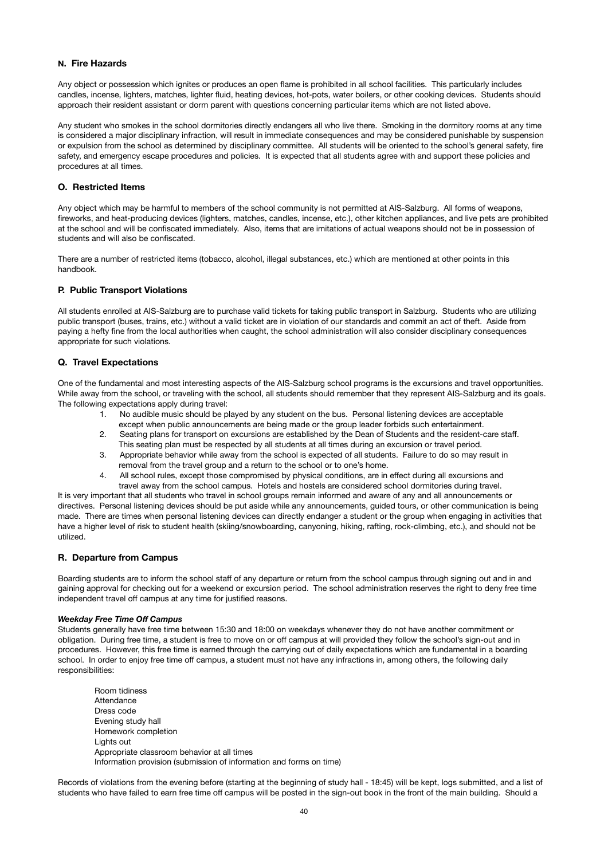### **N. Fire Hazards**

Any object or possession which ignites or produces an open flame is prohibited in all school facilities. This particularly includes candles, incense, lighters, matches, lighter fluid, heating devices, hot-pots, water boilers, or other cooking devices. Students should approach their resident assistant or dorm parent with questions concerning particular items which are not listed above.

Any student who smokes in the school dormitories directly endangers all who live there. Smoking in the dormitory rooms at any time is considered a major disciplinary infraction, will result in immediate consequences and may be considered punishable by suspension or expulsion from the school as determined by disciplinary committee. All students will be oriented to the school's general safety, fire safety, and emergency escape procedures and policies. It is expected that all students agree with and support these policies and procedures at all times.

### **O. Restricted Items**

Any object which may be harmful to members of the school community is not permitted at AIS-Salzburg. All forms of weapons, fireworks, and heat-producing devices (lighters, matches, candles, incense, etc.), other kitchen appliances, and live pets are prohibited at the school and will be confiscated immediately. Also, items that are imitations of actual weapons should not be in possession of students and will also be confiscated.

There are a number of restricted items (tobacco, alcohol, illegal substances, etc.) which are mentioned at other points in this handbook.

### **P. Public Transport Violations**

All students enrolled at AIS-Salzburg are to purchase valid tickets for taking public transport in Salzburg. Students who are utilizing public transport (buses, trains, etc.) without a valid ticket are in violation of our standards and commit an act of theft. Aside from paying a hefty fine from the local authorities when caught, the school administration will also consider disciplinary consequences appropriate for such violations.

### **Q. Travel Expectations**

One of the fundamental and most interesting aspects of the AIS-Salzburg school programs is the excursions and travel opportunities. While away from the school, or traveling with the school, all students should remember that they represent AIS-Salzburg and its goals. The following expectations apply during travel:

- 1. No audible music should be played by any student on the bus. Personal listening devices are acceptable except when public announcements are being made or the group leader forbids such entertainment.
- 2. Seating plans for transport on excursions are established by the Dean of Students and the resident-care staff. This seating plan must be respected by all students at all times during an excursion or travel period.
- 3. Appropriate behavior while away from the school is expected of all students. Failure to do so may result in removal from the travel group and a return to the school or to one's home.
- 4. All school rules, except those compromised by physical conditions, are in effect during all excursions and travel away from the school campus. Hotels and hostels are considered school dormitories during travel.

It is very important that all students who travel in school groups remain informed and aware of any and all announcements or directives. Personal listening devices should be put aside while any announcements, guided tours, or other communication is being made. There are times when personal listening devices can directly endanger a student or the group when engaging in activities that have a higher level of risk to student health (skiing/snowboarding, canyoning, hiking, rafting, rock-climbing, etc.), and should not be utilized.

### **R. Departure from Campus**

Boarding students are to inform the school staff of any departure or return from the school campus through signing out and in and gaining approval for checking out for a weekend or excursion period. The school administration reserves the right to deny free time independent travel off campus at any time for justified reasons.

### *Weekday Free Time Off Campus*

Students generally have free time between 15:30 and 18:00 on weekdays whenever they do not have another commitment or obligation. During free time, a student is free to move on or off campus at will provided they follow the school's sign-out and in procedures. However, this free time is earned through the carrying out of daily expectations which are fundamental in a boarding school. In order to enjoy free time off campus, a student must not have any infractions in, among others, the following daily responsibilities:

Room tidiness **Attendance** Dress code Evening study hall Homework completion Lights out Appropriate classroom behavior at all times Information provision (submission of information and forms on time)

Records of violations from the evening before (starting at the beginning of study hall - 18:45) will be kept, logs submitted, and a list of students who have failed to earn free time off campus will be posted in the sign-out book in the front of the main building. Should a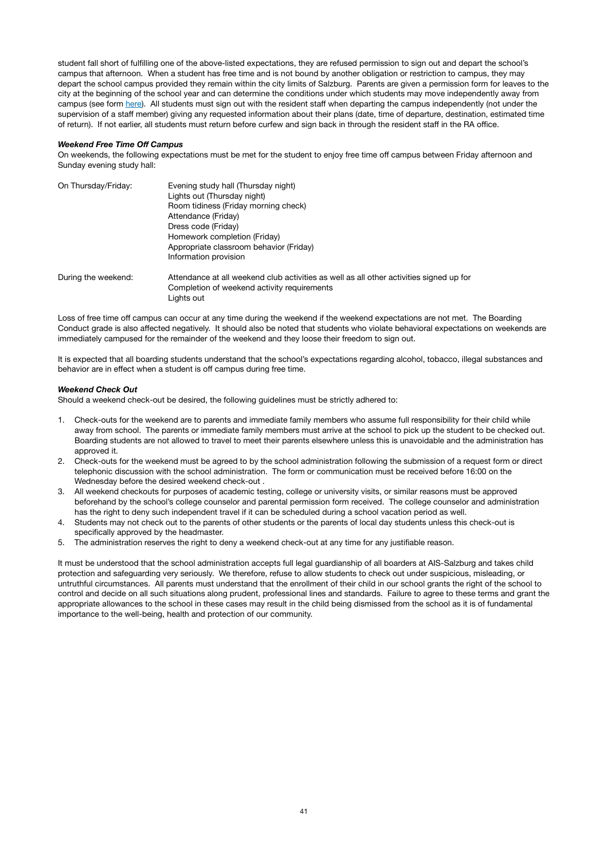student fall short of fulfilling one of the above-listed expectations, they are refused permission to sign out and depart the school's campus that afternoon. When a student has free time and is not bound by another obligation or restriction to campus, they may depart the school campus provided they remain within the city limits of Salzburg. Parents are given a permission form for leaves to the city at the beginning of the school year and can determine the conditions under which students may move independently away from campus (see form [here\)](https://www.ais-salzburg.at/wp-content/uploads/2021/07/PermissionFormsBoarders2021.pdf). All students must sign out with the resident staff when departing the campus independently (not under the supervision of a staff member) giving any requested information about their plans (date, time of departure, destination, estimated time of return). If not earlier, all students must return before curfew and sign back in through the resident staff in the RA office.

#### *Weekend Free Time Off Campus*

On weekends, the following expectations must be met for the student to enjoy free time off campus between Friday afternoon and Sunday evening study hall:

| On Thursday/Friday: | Evening study hall (Thursday night)<br>Lights out (Thursday night)<br>Room tidiness (Friday morning check) |  |  |  |
|---------------------|------------------------------------------------------------------------------------------------------------|--|--|--|
|                     |                                                                                                            |  |  |  |
|                     |                                                                                                            |  |  |  |
|                     | Dress code (Friday)                                                                                        |  |  |  |
|                     | Homework completion (Friday)                                                                               |  |  |  |
|                     | Appropriate classroom behavior (Friday)                                                                    |  |  |  |
|                     | Information provision                                                                                      |  |  |  |
| During the weekend: | Attendance at all weekend club activities as well as all other activities signed up for                    |  |  |  |
|                     | Completion of weekend activity requirements                                                                |  |  |  |
|                     | Lights out                                                                                                 |  |  |  |

Loss of free time off campus can occur at any time during the weekend if the weekend expectations are not met. The Boarding Conduct grade is also affected negatively. It should also be noted that students who violate behavioral expectations on weekends are immediately campused for the remainder of the weekend and they loose their freedom to sign out.

It is expected that all boarding students understand that the school's expectations regarding alcohol, tobacco, illegal substances and behavior are in effect when a student is off campus during free time.

#### *Weekend Check Out*

Should a weekend check-out be desired, the following guidelines must be strictly adhered to:

- 1. Check-outs for the weekend are to parents and immediate family members who assume full responsibility for their child while away from school. The parents or immediate family members must arrive at the school to pick up the student to be checked out. Boarding students are not allowed to travel to meet their parents elsewhere unless this is unavoidable and the administration has approved it.
- 2. Check-outs for the weekend must be agreed to by the school administration following the submission of a request form or direct telephonic discussion with the school administration. The form or communication must be received before 16:00 on the Wednesday before the desired weekend check-out .
- 3. All weekend checkouts for purposes of academic testing, college or university visits, or similar reasons must be approved beforehand by the school's college counselor and parental permission form received. The college counselor and administration has the right to deny such independent travel if it can be scheduled during a school vacation period as well.
- 4. Students may not check out to the parents of other students or the parents of local day students unless this check-out is specifically approved by the headmaster.
- 5. The administration reserves the right to deny a weekend check-out at any time for any justifiable reason.

It must be understood that the school administration accepts full legal guardianship of all boarders at AIS-Salzburg and takes child protection and safeguarding very seriously. We therefore, refuse to allow students to check out under suspicious, misleading, or untruthful circumstances. All parents must understand that the enrollment of their child in our school grants the right of the school to control and decide on all such situations along prudent, professional lines and standards. Failure to agree to these terms and grant the appropriate allowances to the school in these cases may result in the child being dismissed from the school as it is of fundamental importance to the well-being, health and protection of our community.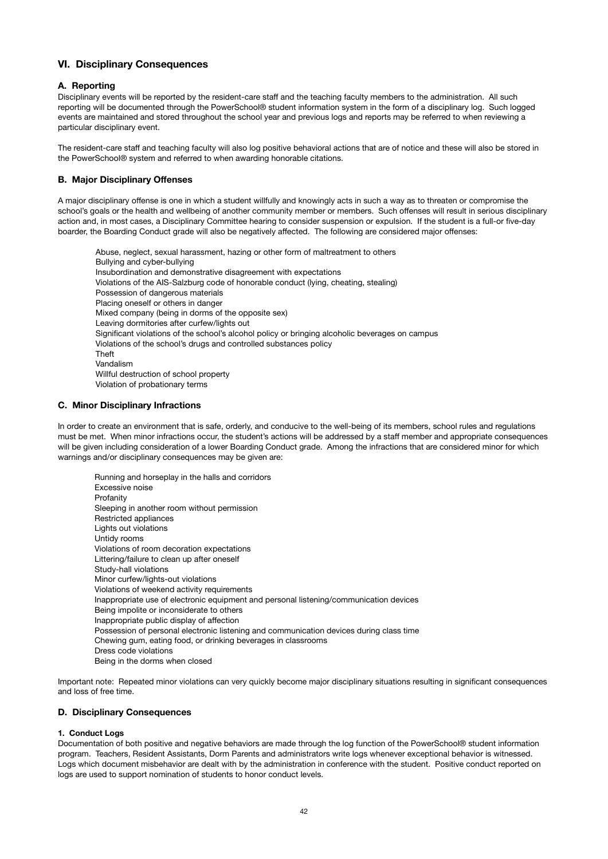# **VI. Disciplinary Consequences**

### **A. Reporting**

Disciplinary events will be reported by the resident-care staff and the teaching faculty members to the administration. All such reporting will be documented through the PowerSchool® student information system in the form of a disciplinary log. Such logged events are maintained and stored throughout the school year and previous logs and reports may be referred to when reviewing a particular disciplinary event.

The resident-care staff and teaching faculty will also log positive behavioral actions that are of notice and these will also be stored in the PowerSchool® system and referred to when awarding honorable citations.

### **B. Major Disciplinary Offenses**

A major disciplinary offense is one in which a student willfully and knowingly acts in such a way as to threaten or compromise the school's goals or the health and wellbeing of another community member or members. Such offenses will result in serious disciplinary action and, in most cases, a Disciplinary Committee hearing to consider suspension or expulsion. If the student is a full-or five-day boarder, the Boarding Conduct grade will also be negatively affected. The following are considered major offenses:

Abuse, neglect, sexual harassment, hazing or other form of maltreatment to others Bullying and cyber-bullying Insubordination and demonstrative disagreement with expectations Violations of the AIS-Salzburg code of honorable conduct (lying, cheating, stealing) Possession of dangerous materials Placing oneself or others in danger Mixed company (being in dorms of the opposite sex) Leaving dormitories after curfew/lights out Significant violations of the school's alcohol policy or bringing alcoholic beverages on campus Violations of the school's drugs and controlled substances policy Theft Vandalism Willful destruction of school property Violation of probationary terms

### **C. Minor Disciplinary Infractions**

In order to create an environment that is safe, orderly, and conducive to the well-being of its members, school rules and regulations must be met. When minor infractions occur, the student's actions will be addressed by a staff member and appropriate consequences will be given including consideration of a lower Boarding Conduct grade. Among the infractions that are considered minor for which warnings and/or disciplinary consequences may be given are:

Running and horseplay in the halls and corridors Excessive noise Profanity Sleeping in another room without permission Restricted appliances Lights out violations Untidy rooms Violations of room decoration expectations Littering/failure to clean up after oneself Study-hall violations Minor curfew/lights-out violations Violations of weekend activity requirements Inappropriate use of electronic equipment and personal listening/communication devices Being impolite or inconsiderate to others Inappropriate public display of affection Possession of personal electronic listening and communication devices during class time Chewing gum, eating food, or drinking beverages in classrooms Dress code violations Being in the dorms when closed

Important note: Repeated minor violations can very quickly become major disciplinary situations resulting in significant consequences and loss of free time.

### **D. Disciplinary Consequences**

#### **1. Conduct Logs**

Documentation of both positive and negative behaviors are made through the log function of the PowerSchool® student information program. Teachers, Resident Assistants, Dorm Parents and administrators write logs whenever exceptional behavior is witnessed. Logs which document misbehavior are dealt with by the administration in conference with the student. Positive conduct reported on logs are used to support nomination of students to honor conduct levels.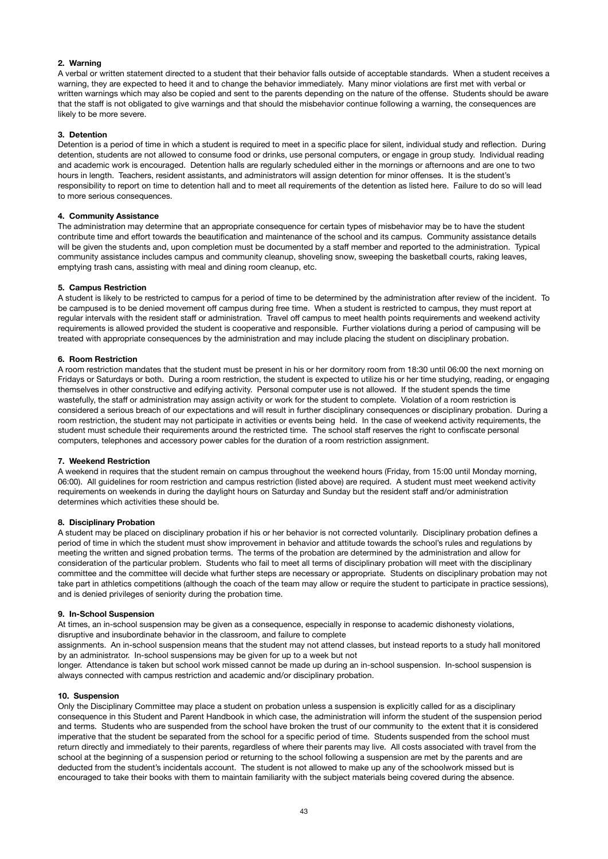### **2. Warning**

A verbal or written statement directed to a student that their behavior falls outside of acceptable standards. When a student receives a warning, they are expected to heed it and to change the behavior immediately. Many minor violations are first met with verbal or written warnings which may also be copied and sent to the parents depending on the nature of the offense. Students should be aware that the staff is not obligated to give warnings and that should the misbehavior continue following a warning, the consequences are likely to be more severe.

#### **3. Detention**

Detention is a period of time in which a student is required to meet in a specific place for silent, individual study and reflection. During detention, students are not allowed to consume food or drinks, use personal computers, or engage in group study. Individual reading and academic work is encouraged. Detention halls are regularly scheduled either in the mornings or afternoons and are one to two hours in length. Teachers, resident assistants, and administrators will assign detention for minor offenses. It is the student's responsibility to report on time to detention hall and to meet all requirements of the detention as listed here. Failure to do so will lead to more serious consequences.

### **4. Community Assistance**

The administration may determine that an appropriate consequence for certain types of misbehavior may be to have the student contribute time and effort towards the beautification and maintenance of the school and its campus. Community assistance details will be given the students and, upon completion must be documented by a staff member and reported to the administration. Typical community assistance includes campus and community cleanup, shoveling snow, sweeping the basketball courts, raking leaves, emptying trash cans, assisting with meal and dining room cleanup, etc.

#### **5. Campus Restriction**

A student is likely to be restricted to campus for a period of time to be determined by the administration after review of the incident. To be campused is to be denied movement off campus during free time. When a student is restricted to campus, they must report at regular intervals with the resident staff or administration. Travel off campus to meet health points requirements and weekend activity requirements is allowed provided the student is cooperative and responsible. Further violations during a period of campusing will be treated with appropriate consequences by the administration and may include placing the student on disciplinary probation.

#### **6. Room Restriction**

A room restriction mandates that the student must be present in his or her dormitory room from 18:30 until 06:00 the next morning on Fridays or Saturdays or both. During a room restriction, the student is expected to utilize his or her time studying, reading, or engaging themselves in other constructive and edifying activity. Personal computer use is not allowed. If the student spends the time wastefully, the staff or administration may assign activity or work for the student to complete. Violation of a room restriction is considered a serious breach of our expectations and will result in further disciplinary consequences or disciplinary probation. During a room restriction, the student may not participate in activities or events being held. In the case of weekend activity requirements, the student must schedule their requirements around the restricted time. The school staff reserves the right to confiscate personal computers, telephones and accessory power cables for the duration of a room restriction assignment.

#### **7. Weekend Restriction**

A weekend in requires that the student remain on campus throughout the weekend hours (Friday, from 15:00 until Monday morning, 06:00). All guidelines for room restriction and campus restriction (listed above) are required. A student must meet weekend activity requirements on weekends in during the daylight hours on Saturday and Sunday but the resident staff and/or administration determines which activities these should be.

#### **8. Disciplinary Probation**

A student may be placed on disciplinary probation if his or her behavior is not corrected voluntarily. Disciplinary probation defines a period of time in which the student must show improvement in behavior and attitude towards the school's rules and regulations by meeting the written and signed probation terms. The terms of the probation are determined by the administration and allow for consideration of the particular problem. Students who fail to meet all terms of disciplinary probation will meet with the disciplinary committee and the committee will decide what further steps are necessary or appropriate. Students on disciplinary probation may not take part in athletics competitions (although the coach of the team may allow or require the student to participate in practice sessions), and is denied privileges of seniority during the probation time.

#### **9. In-School Suspension**

At times, an in-school suspension may be given as a consequence, especially in response to academic dishonesty violations, disruptive and insubordinate behavior in the classroom, and failure to complete

assignments. An in-school suspension means that the student may not attend classes, but instead reports to a study hall monitored by an administrator. In-school suspensions may be given for up to a week but not

longer. Attendance is taken but school work missed cannot be made up during an in-school suspension. In-school suspension is always connected with campus restriction and academic and/or disciplinary probation.

#### **10. Suspension**

Only the Disciplinary Committee may place a student on probation unless a suspension is explicitly called for as a disciplinary consequence in this Student and Parent Handbook in which case, the administration will inform the student of the suspension period and terms. Students who are suspended from the school have broken the trust of our community to the extent that it is considered imperative that the student be separated from the school for a specific period of time. Students suspended from the school must return directly and immediately to their parents, regardless of where their parents may live. All costs associated with travel from the school at the beginning of a suspension period or returning to the school following a suspension are met by the parents and are deducted from the student's incidentals account. The student is not allowed to make up any of the schoolwork missed but is encouraged to take their books with them to maintain familiarity with the subject materials being covered during the absence.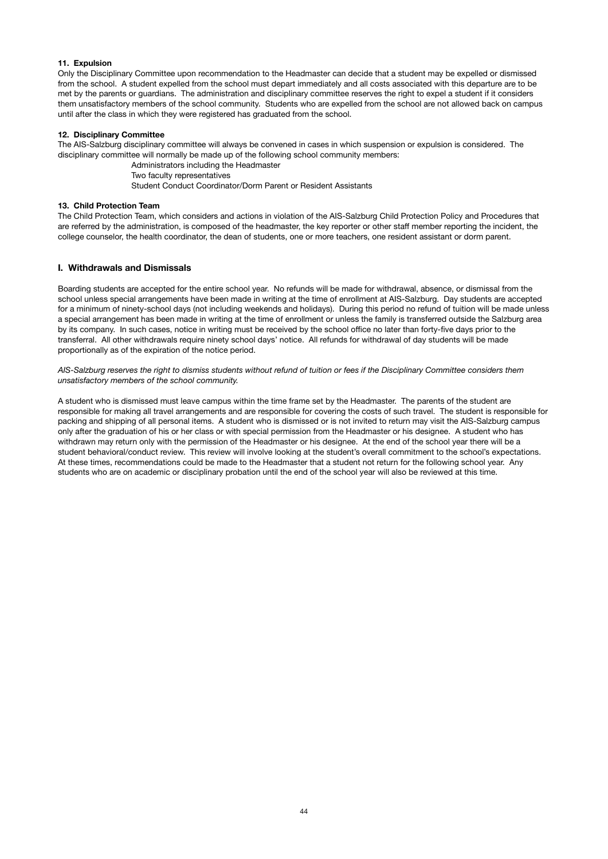### **11. Expulsion**

Only the Disciplinary Committee upon recommendation to the Headmaster can decide that a student may be expelled or dismissed from the school. A student expelled from the school must depart immediately and all costs associated with this departure are to be met by the parents or guardians. The administration and disciplinary committee reserves the right to expel a student if it considers them unsatisfactory members of the school community. Students who are expelled from the school are not allowed back on campus until after the class in which they were registered has graduated from the school.

#### **12. Disciplinary Committee**

The AIS-Salzburg disciplinary committee will always be convened in cases in which suspension or expulsion is considered. The disciplinary committee will normally be made up of the following school community members:

 Administrators including the Headmaster

 Two faculty representatives

 Student Conduct Coordinator/Dorm Parent or Resident Assistants

### **13. Child Protection Team**

The Child Protection Team, which considers and actions in violation of the AIS-Salzburg Child Protection Policy and Procedures that are referred by the administration, is composed of the headmaster, the key reporter or other staff member reporting the incident, the college counselor, the health coordinator, the dean of students, one or more teachers, one resident assistant or dorm parent.

### **I. Withdrawals and Dismissals**

Boarding students are accepted for the entire school year. No refunds will be made for withdrawal, absence, or dismissal from the school unless special arrangements have been made in writing at the time of enrollment at AIS-Salzburg. Day students are accepted for a minimum of ninety-school days (not including weekends and holidays). During this period no refund of tuition will be made unless a special arrangement has been made in writing at the time of enrollment or unless the family is transferred outside the Salzburg area by its company. In such cases, notice in writing must be received by the school office no later than forty-five days prior to the transferral. All other withdrawals require ninety school days' notice. All refunds for withdrawal of day students will be made proportionally as of the expiration of the notice period.

*AIS-Salzburg reserves the right to dismiss students without refund of tuition or fees if the Disciplinary Committee considers them unsatisfactory members of the school community.*

A student who is dismissed must leave campus within the time frame set by the Headmaster. The parents of the student are responsible for making all travel arrangements and are responsible for covering the costs of such travel. The student is responsible for packing and shipping of all personal items. A student who is dismissed or is not invited to return may visit the AIS-Salzburg campus only after the graduation of his or her class or with special permission from the Headmaster or his designee. A student who has withdrawn may return only with the permission of the Headmaster or his designee. At the end of the school year there will be a student behavioral/conduct review. This review will involve looking at the student's overall commitment to the school's expectations. At these times, recommendations could be made to the Headmaster that a student not return for the following school year. Any students who are on academic or disciplinary probation until the end of the school year will also be reviewed at this time.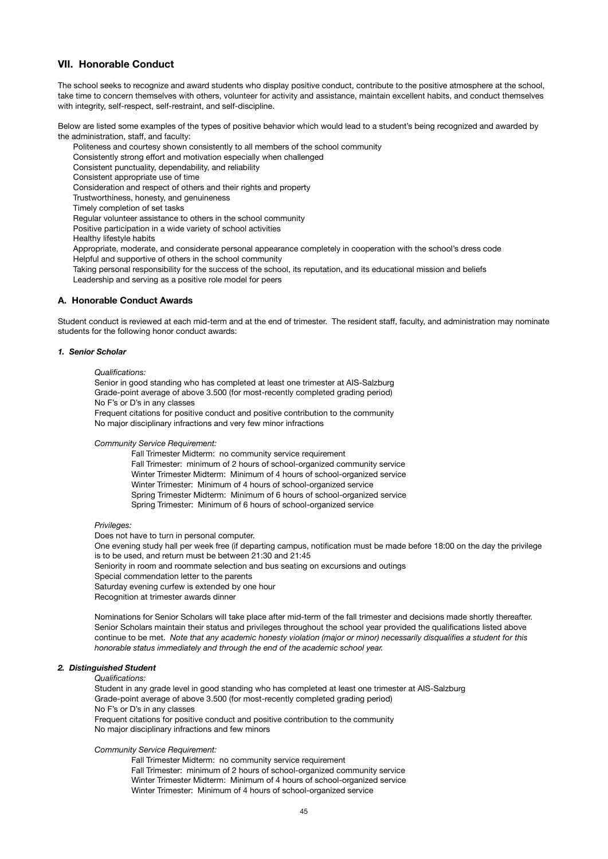### **VII. Honorable Conduct**

The school seeks to recognize and award students who display positive conduct, contribute to the positive atmosphere at the school, take time to concern themselves with others, volunteer for activity and assistance, maintain excellent habits, and conduct themselves with integrity, self-respect, self-restraint, and self-discipline.

Below are listed some examples of the types of positive behavior which would lead to a student's being recognized and awarded by the administration, staff, and faculty:

Politeness and courtesy shown consistently to all members of the school community

Consistently strong effort and motivation especially when challenged

Consistent punctuality, dependability, and reliability

Consistent appropriate use of time

Consideration and respect of others and their rights and property

Trustworthiness, honesty, and genuineness

Timely completion of set tasks

Regular volunteer assistance to others in the school community

Positive participation in a wide variety of school activities

Healthy lifestyle habits

Appropriate, moderate, and considerate personal appearance completely in cooperation with the school's dress code Helpful and supportive of others in the school community

Taking personal responsibility for the success of the school, its reputation, and its educational mission and beliefs Leadership and serving as a positive role model for peers

#### **A. Honorable Conduct Awards**

Student conduct is reviewed at each mid-term and at the end of trimester. The resident staff, faculty, and administration may nominate students for the following honor conduct awards:

### *1. Senior Scholar*

### *Qualifications:*

Senior in good standing who has completed at least one trimester at AIS-Salzburg Grade-point average of above 3.500 (for most-recently completed grading period) No F's or D's in any classes Frequent citations for positive conduct and positive contribution to the community No major disciplinary infractions and very few minor infractions

*Community Service Requirement:* 

 Fall Trimester Midterm: no community service requirement Fall Trimester: minimum of 2 hours of school-organized community service Winter Trimester Midterm: Minimum of 4 hours of school-organized service Winter Trimester: Minimum of 4 hours of school-organized service Spring Trimester Midterm: Minimum of 6 hours of school-organized service Spring Trimester: Minimum of 6 hours of school-organized service

#### *Privileges:*

Does not have to turn in personal computer. 

One evening study hall per week free (if departing campus, notification must be made before 18:00 on the day the privilege is to be used, and return must be between 21:30 and 21:45

Seniority in room and roommate selection and bus seating on excursions and outings

Special commendation letter to the parents

Saturday evening curfew is extended by one hour

Recognition at trimester awards dinner

Nominations for Senior Scholars will take place after mid-term of the fall trimester and decisions made shortly thereafter. Senior Scholars maintain their status and privileges throughout the school year provided the qualifications listed above continue to be met. Note that any academic honesty violation (major or minor) necessarily disqualifies a student for this *honorable status immediately and through the end of the academic school year.*

### *2. Distinguished Student*

### *Qualifications:*

Student in any grade level in good standing who has completed at least one trimester at AIS-Salzburg Grade-point average of above 3.500 (for most-recently completed grading period) No F's or D's in any classes Frequent citations for positive conduct and positive contribution to the community No major disciplinary infractions and few minors

*Community Service Requirement:* 

 Fall Trimester Midterm: no community service requirement Fall Trimester: minimum of 2 hours of school-organized community service Winter Trimester Midterm: Minimum of 4 hours of school-organized service Winter Trimester: Minimum of 4 hours of school-organized service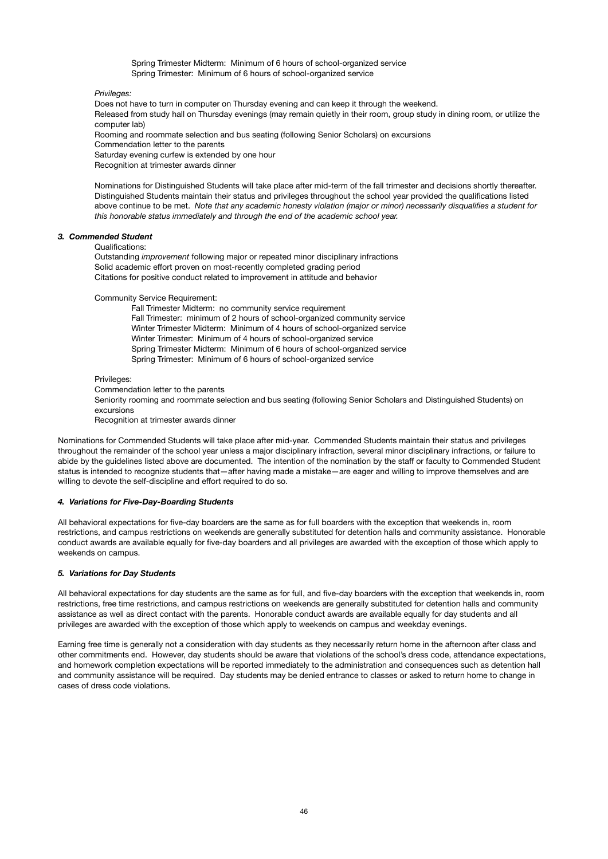Spring Trimester Midterm: Minimum of 6 hours of school-organized service Spring Trimester: Minimum of 6 hours of school-organized service

*Privileges:* 

Does not have to turn in computer on Thursday evening and can keep it through the weekend. Released from study hall on Thursday evenings (may remain quietly in their room, group study in dining room, or utilize the computer lab) Rooming and roommate selection and bus seating (following Senior Scholars) on excursions

Commendation letter to the parents

Saturday evening curfew is extended by one hour

Recognition at trimester awards dinner

Nominations for Distinguished Students will take place after mid-term of the fall trimester and decisions shortly thereafter. Distinguished Students maintain their status and privileges throughout the school year provided the qualifications listed above continue to be met. *Note that any academic honesty violation (major or minor) necessarily disqualifies a student for this honorable status immediately and through the end of the academic school year.*

### *3. Commended Student*

### Qualifications:

Outstanding *improvement* following major or repeated minor disciplinary infractions Solid academic effort proven on most-recently completed grading period Citations for positive conduct related to improvement in attitude and behavior

Community Service Requirement:

 Fall Trimester Midterm: no community service requirement Fall Trimester: minimum of 2 hours of school-organized community service Winter Trimester Midterm: Minimum of 4 hours of school-organized service Winter Trimester: Minimum of 4 hours of school-organized service Spring Trimester Midterm: Minimum of 6 hours of school-organized service Spring Trimester: Minimum of 6 hours of school-organized service

#### Privileges:

Commendation letter to the parents

Seniority rooming and roommate selection and bus seating (following Senior Scholars and Distinguished Students) on excursions

Recognition at trimester awards dinner

Nominations for Commended Students will take place after mid-year. Commended Students maintain their status and privileges throughout the remainder of the school year unless a major disciplinary infraction, several minor disciplinary infractions, or failure to abide by the guidelines listed above are documented. The intention of the nomination by the staff or faculty to Commended Student status is intended to recognize students that—after having made a mistake—are eager and willing to improve themselves and are willing to devote the self-discipline and effort required to do so.

### *4. Variations for Five-Day-Boarding Students*

All behavioral expectations for five-day boarders are the same as for full boarders with the exception that weekends in, room restrictions, and campus restrictions on weekends are generally substituted for detention halls and community assistance. Honorable conduct awards are available equally for five-day boarders and all privileges are awarded with the exception of those which apply to weekends on campus.

### *5. Variations for Day Students*

All behavioral expectations for day students are the same as for full, and five-day boarders with the exception that weekends in, room restrictions, free time restrictions, and campus restrictions on weekends are generally substituted for detention halls and community assistance as well as direct contact with the parents. Honorable conduct awards are available equally for day students and all privileges are awarded with the exception of those which apply to weekends on campus and weekday evenings.

Earning free time is generally not a consideration with day students as they necessarily return home in the afternoon after class and other commitments end. However, day students should be aware that violations of the school's dress code, attendance expectations, and homework completion expectations will be reported immediately to the administration and consequences such as detention hall and community assistance will be required. Day students may be denied entrance to classes or asked to return home to change in cases of dress code violations.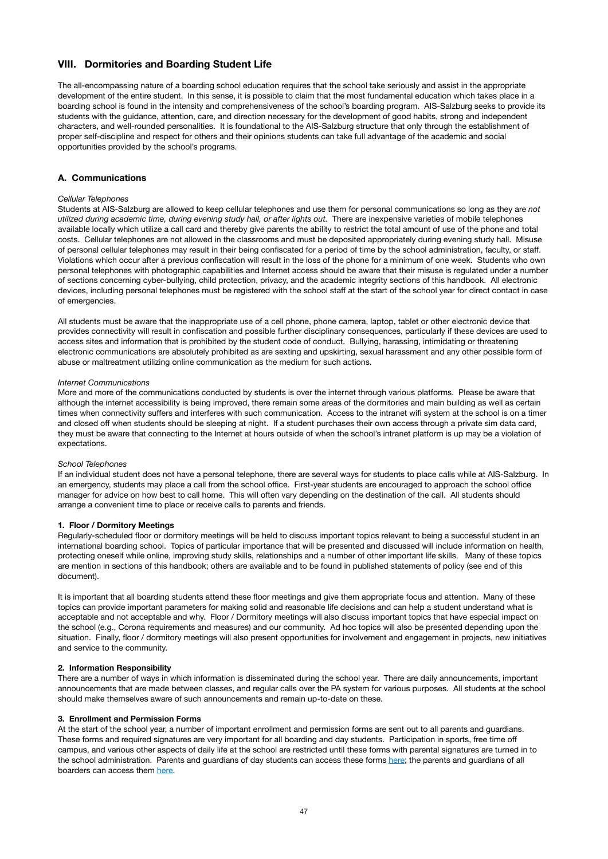# **VIII. Dormitories and Boarding Student Life**

The all-encompassing nature of a boarding school education requires that the school take seriously and assist in the appropriate development of the entire student. In this sense, it is possible to claim that the most fundamental education which takes place in a boarding school is found in the intensity and comprehensiveness of the school's boarding program. AIS-Salzburg seeks to provide its students with the guidance, attention, care, and direction necessary for the development of good habits, strong and independent characters, and well-rounded personalities. It is foundational to the AIS-Salzburg structure that only through the establishment of proper self-discipline and respect for others and their opinions students can take full advantage of the academic and social opportunities provided by the school's programs.

### **A. Communications**

#### *Cellular Telephones*

Students at AIS-Salzburg are allowed to keep cellular telephones and use them for personal communications so long as they are *not utilized during academic time, during evening study hall, or after lights out.* There are inexpensive varieties of mobile telephones available locally which utilize a call card and thereby give parents the ability to restrict the total amount of use of the phone and total costs. Cellular telephones are not allowed in the classrooms and must be deposited appropriately during evening study hall. Misuse of personal cellular telephones may result in their being confiscated for a period of time by the school administration, faculty, or staff. Violations which occur after a previous confiscation will result in the loss of the phone for a minimum of one week. Students who own personal telephones with photographic capabilities and Internet access should be aware that their misuse is regulated under a number of sections concerning cyber-bullying, child protection, privacy, and the academic integrity sections of this handbook. All electronic devices, including personal telephones must be registered with the school staff at the start of the school year for direct contact in case of emergencies.

All students must be aware that the inappropriate use of a cell phone, phone camera, laptop, tablet or other electronic device that provides connectivity will result in confiscation and possible further disciplinary consequences, particularly if these devices are used to access sites and information that is prohibited by the student code of conduct. Bullying, harassing, intimidating or threatening electronic communications are absolutely prohibited as are sexting and upskirting, sexual harassment and any other possible form of abuse or maltreatment utilizing online communication as the medium for such actions.

#### *Internet Communications*

More and more of the communications conducted by students is over the internet through various platforms. Please be aware that although the internet accessibility is being improved, there remain some areas of the dormitories and main building as well as certain times when connectivity suffers and interferes with such communication. Access to the intranet wifi system at the school is on a timer and closed off when students should be sleeping at night. If a student purchases their own access through a private sim data card. they must be aware that connecting to the Internet at hours outside of when the school's intranet platform is up may be a violation of expectations.

#### *School Telephones*

If an individual student does not have a personal telephone, there are several ways for students to place calls while at AIS-Salzburg. In an emergency, students may place a call from the school office. First-year students are encouraged to approach the school office manager for advice on how best to call home. This will often vary depending on the destination of the call. All students should arrange a convenient time to place or receive calls to parents and friends.

#### **1. Floor / Dormitory Meetings**

Regularly-scheduled floor or dormitory meetings will be held to discuss important topics relevant to being a successful student in an international boarding school. Topics of particular importance that will be presented and discussed will include information on health, protecting oneself while online, improving study skills, relationships and a number of other important life skills. Many of these topics are mention in sections of this handbook; others are available and to be found in published statements of policy (see end of this document).

It is important that all boarding students attend these floor meetings and give them appropriate focus and attention. Many of these topics can provide important parameters for making solid and reasonable life decisions and can help a student understand what is acceptable and not acceptable and why. Floor / Dormitory meetings will also discuss important topics that have especial impact on the school (e.g., Corona requirements and measures) and our community. Ad hoc topics will also be presented depending upon the situation. Finally, floor / dormitory meetings will also present opportunities for involvement and engagement in projects, new initiatives and service to the community.

### **2. Information Responsibility**

There are a number of ways in which information is disseminated during the school year. There are daily announcements, important announcements that are made between classes, and regular calls over the PA system for various purposes. All students at the school should make themselves aware of such announcements and remain up-to-date on these.

### **3. Enrollment and Permission Forms**

At the start of the school year, a number of important enrollment and permission forms are sent out to all parents and guardians. These forms and required signatures are very important for all boarding and day students. Participation in sports, free time off campus, and various other aspects of daily life at the school are restricted until these forms with parental signatures are turned in to the school administration. Parents and guardians of day students can access these forms [here](https://www.ais-salzburg.at/wp-content/uploads/2021/07/PermissionFormsDay2021.pdf); the parents and guardians of all boarders can access them [here](https://www.ais-salzburg.at/wp-content/uploads/2021/07/PermissionFormsBoarders2021.pdf).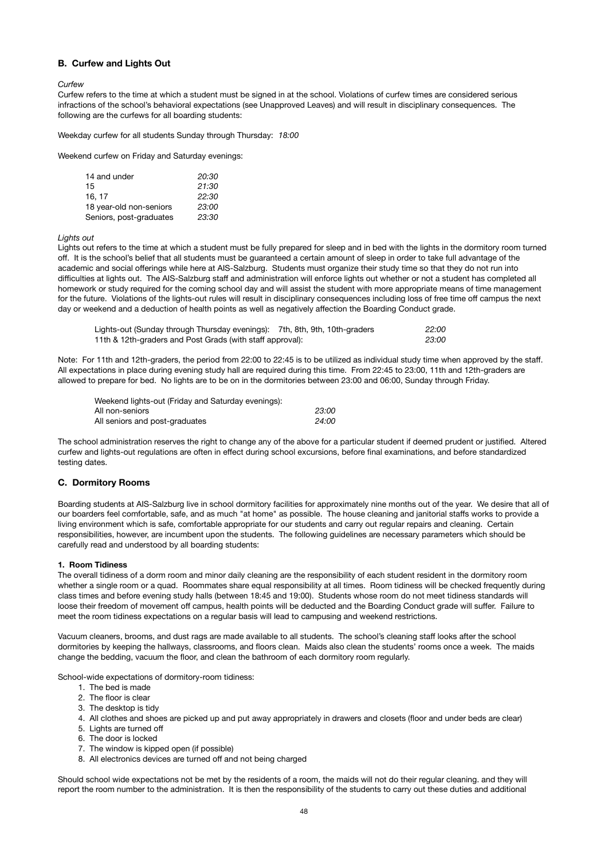### **B. Curfew and Lights Out**

*Curfew*  

Curfew refers to the time at which a student must be signed in at the school. Violations of curfew times are considered serious infractions of the school's behavioral expectations (see Unapproved Leaves) and will result in disciplinary consequences. The following are the curfews for all boarding students:

Weekday curfew for all students Sunday through Thursday: *18:00* 

Weekend curfew on Friday and Saturday evenings: 

| 14 and under            | 20:30 |  |  |
|-------------------------|-------|--|--|
| 15                      | 21:30 |  |  |
| 16.17                   | 22:30 |  |  |
| 18 year-old non-seniors | 23:00 |  |  |
| Seniors, post-graduates | 23:30 |  |  |

*Lights out* 

Lights out refers to the time at which a student must be fully prepared for sleep and in bed with the lights in the dormitory room turned off. It is the school's belief that all students must be guaranteed a certain amount of sleep in order to take full advantage of the academic and social offerings while here at AIS-Salzburg. Students must organize their study time so that they do not run into difficulties at lights out. The AIS-Salzburg staff and administration will enforce lights out whether or not a student has completed all homework or study required for the coming school day and will assist the student with more appropriate means of time management for the future. Violations of the lights-out rules will result in disciplinary consequences including loss of free time off campus the next day or weekend and a deduction of health points as well as negatively affection the Boarding Conduct grade.

| Lights-out (Sunday through Thursday evenings): 7th, 8th, 9th, 10th-graders | 22:00 |
|----------------------------------------------------------------------------|-------|
| 11th & 12th-graders and Post Grads (with staff approval):                  | 23:00 |

Note: For 11th and 12th-graders, the period from 22:00 to 22:45 is to be utilized as individual study time when approved by the staff. All expectations in place during evening study hall are required during this time. From 22:45 to 23:00, 11th and 12th-graders are allowed to prepare for bed. No lights are to be on in the dormitories between 23:00 and 06:00, Sunday through Friday.

| Weekend lights-out (Friday and Saturday evenings): |       |
|----------------------------------------------------|-------|
| All non-seniors                                    | 23:00 |
| All seniors and post-graduates                     | 24:00 |

The school administration reserves the right to change any of the above for a particular student if deemed prudent or justified. Altered curfew and lights-out regulations are often in effect during school excursions, before final examinations, and before standardized testing dates.

### **C. Dormitory Rooms**

Boarding students at AIS-Salzburg live in school dormitory facilities for approximately nine months out of the year. We desire that all of our boarders feel comfortable, safe, and as much "at home" as possible. The house cleaning and janitorial staffs works to provide a living environment which is safe, comfortable appropriate for our students and carry out regular repairs and cleaning. Certain responsibilities, however, are incumbent upon the students. The following guidelines are necessary parameters which should be carefully read and understood by all boarding students:

#### **1. Room Tidiness**

The overall tidiness of a dorm room and minor daily cleaning are the responsibility of each student resident in the dormitory room whether a single room or a quad. Roommates share equal responsibility at all times. Room tidiness will be checked frequently during class times and before evening study halls (between 18:45 and 19:00). Students whose room do not meet tidiness standards will loose their freedom of movement off campus, health points will be deducted and the Boarding Conduct grade will suffer. Failure to meet the room tidiness expectations on a regular basis will lead to campusing and weekend restrictions.

Vacuum cleaners, brooms, and dust rags are made available to all students. The school's cleaning staff looks after the school dormitories by keeping the hallways, classrooms, and floors clean. Maids also clean the students' rooms once a week. The maids change the bedding, vacuum the floor, and clean the bathroom of each dormitory room regularly.

School-wide expectations of dormitory-room tidiness:

- 1. The bed is made
- 2. The floor is clear
- 3. The desktop is tidy
- 4. All clothes and shoes are picked up and put away appropriately in drawers and closets (floor and under beds are clear)
- 5. Lights are turned off
- 6. The door is locked
- 7. The window is kipped open (if possible)
- 8. All electronics devices are turned off and not being charged

Should school wide expectations not be met by the residents of a room, the maids will not do their regular cleaning. and they will report the room number to the administration. It is then the responsibility of the students to carry out these duties and additional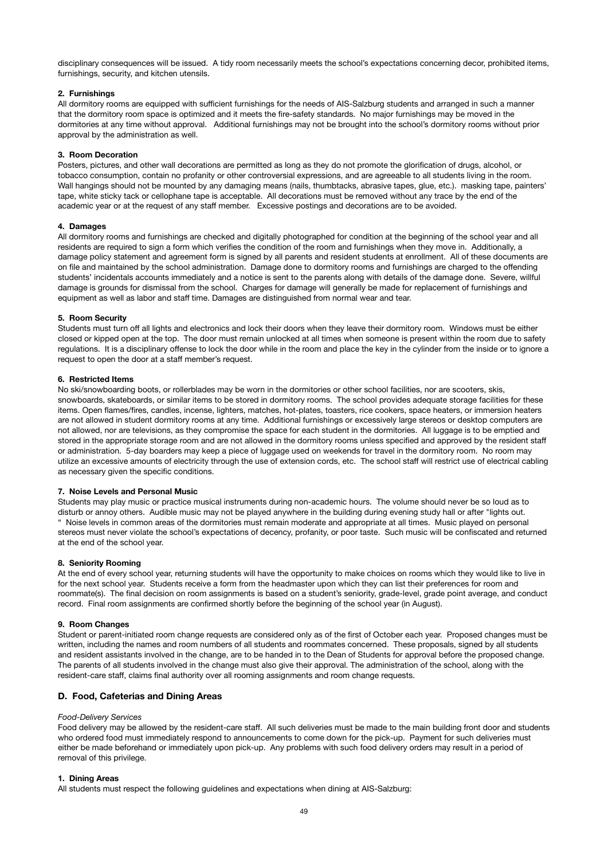disciplinary consequences will be issued. A tidy room necessarily meets the school's expectations concerning decor, prohibited items, furnishings, security, and kitchen utensils.

### **2. Furnishings**

All dormitory rooms are equipped with sufficient furnishings for the needs of AIS-Salzburg students and arranged in such a manner that the dormitory room space is optimized and it meets the fire-safety standards. No major furnishings may be moved in the dormitories at any time without approval. Additional furnishings may not be brought into the school's dormitory rooms without prior approval by the administration as well.

### **3. Room Decoration**

Posters, pictures, and other wall decorations are permitted as long as they do not promote the glorification of drugs, alcohol, or tobacco consumption, contain no profanity or other controversial expressions, and are agreeable to all students living in the room. Wall hangings should not be mounted by any damaging means (nails, thumbtacks, abrasive tapes, glue, etc.). masking tape, painters' tape, white sticky tack or cellophane tape is acceptable. All decorations must be removed without any trace by the end of the academic year or at the request of any staff member. Excessive postings and decorations are to be avoided.

#### **4. Damages**

All dormitory rooms and furnishings are checked and digitally photographed for condition at the beginning of the school year and all residents are required to sign a form which verifies the condition of the room and furnishings when they move in. Additionally, a damage policy statement and agreement form is signed by all parents and resident students at enrollment. All of these documents are on file and maintained by the school administration. Damage done to dormitory rooms and furnishings are charged to the offending students' incidentals accounts immediately and a notice is sent to the parents along with details of the damage done. Severe, willful damage is grounds for dismissal from the school. Charges for damage will generally be made for replacement of furnishings and equipment as well as labor and staff time. Damages are distinguished from normal wear and tear.

### **5. Room Security**

Students must turn off all lights and electronics and lock their doors when they leave their dormitory room. Windows must be either closed or kipped open at the top. The door must remain unlocked at all times when someone is present within the room due to safety regulations. It is a disciplinary offense to lock the door while in the room and place the key in the cylinder from the inside or to ignore a request to open the door at a staff member's request.

### **6. Restricted Items**

No ski/snowboarding boots, or rollerblades may be worn in the dormitories or other school facilities, nor are scooters, skis, snowboards, skateboards, or similar items to be stored in dormitory rooms. The school provides adequate storage facilities for these items. Open flames/fires, candles, incense, lighters, matches, hot-plates, toasters, rice cookers, space heaters, or immersion heaters are not allowed in student dormitory rooms at any time. Additional furnishings or excessively large stereos or desktop computers are not allowed, nor are televisions, as they compromise the space for each student in the dormitories. All luggage is to be emptied and stored in the appropriate storage room and are not allowed in the dormitory rooms unless specified and approved by the resident staff or administration. 5-day boarders may keep a piece of luggage used on weekends for travel in the dormitory room. No room may utilize an excessive amounts of electricity through the use of extension cords, etc. The school staff will restrict use of electrical cabling as necessary given the specific conditions.

#### **7. Noise Levels and Personal Music**

Students may play music or practice musical instruments during non-academic hours. The volume should never be so loud as to disturb or annoy others. Audible music may not be played anywhere in the building during evening study hall or after "lights out. " Noise levels in common areas of the dormitories must remain moderate and appropriate at all times. Music played on personal stereos must never violate the school's expectations of decency, profanity, or poor taste. Such music will be confiscated and returned at the end of the school year.

#### **8. Seniority Rooming**

At the end of every school year, returning students will have the opportunity to make choices on rooms which they would like to live in for the next school year. Students receive a form from the headmaster upon which they can list their preferences for room and roommate(s). The final decision on room assignments is based on a student's seniority, grade-level, grade point average, and conduct record. Final room assignments are confirmed shortly before the beginning of the school year (in August).

### **9. Room Changes**

Student or parent-initiated room change requests are considered only as of the first of October each year. Proposed changes must be written, including the names and room numbers of all students and roommates concerned. These proposals, signed by all students and resident assistants involved in the change, are to be handed in to the Dean of Students for approval before the proposed change. The parents of all students involved in the change must also give their approval. The administration of the school, along with the resident-care staff, claims final authority over all rooming assignments and room change requests.

### **D. Food, Cafeterias and Dining Areas**

#### *Food-Delivery Services*

Food delivery may be allowed by the resident-care staff. All such deliveries must be made to the main building front door and students who ordered food must immediately respond to announcements to come down for the pick-up. Payment for such deliveries must either be made beforehand or immediately upon pick-up. Any problems with such food delivery orders may result in a period of removal of this privilege.

#### **1. Dining Areas**

All students must respect the following guidelines and expectations when dining at AIS-Salzburg: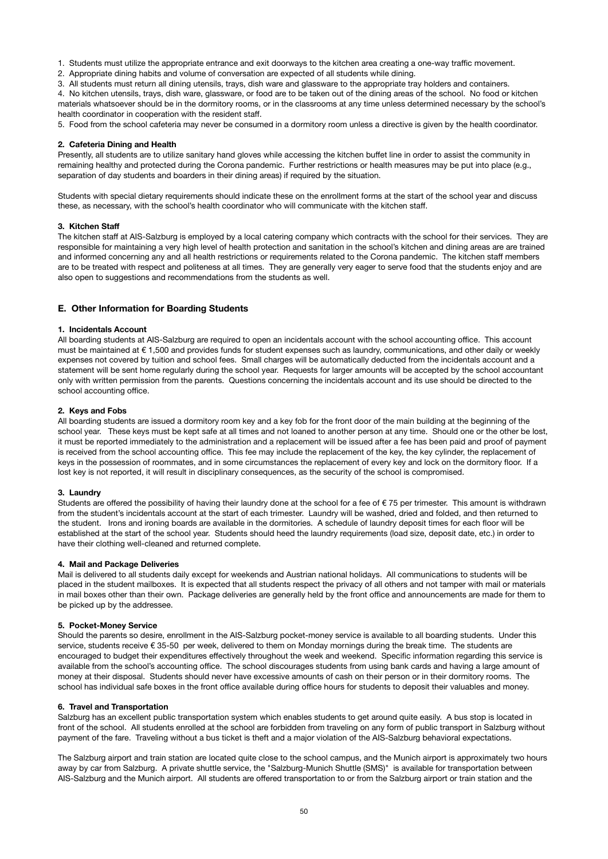1. Students must utilize the appropriate entrance and exit doorways to the kitchen area creating a one-way traffic movement.

2. Appropriate dining habits and volume of conversation are expected of all students while dining.

3. All students must return all dining utensils, trays, dish ware and glassware to the appropriate tray holders and containers.

4. No kitchen utensils, trays, dish ware, glassware, or food are to be taken out of the dining areas of the school. No food or kitchen materials whatsoever should be in the dormitory rooms, or in the classrooms at any time unless determined necessary by the school's health coordinator in cooperation with the resident staff.

5. Food from the school cafeteria may never be consumed in a dormitory room unless a directive is given by the health coordinator.

#### **2. Cafeteria Dining and Health**

Presently, all students are to utilize sanitary hand gloves while accessing the kitchen buffet line in order to assist the community in remaining healthy and protected during the Corona pandemic. Further restrictions or health measures may be put into place (e.g., separation of day students and boarders in their dining areas) if required by the situation.

Students with special dietary requirements should indicate these on the enrollment forms at the start of the school year and discuss these, as necessary, with the school's health coordinator who will communicate with the kitchen staff.

#### **3. Kitchen Staff**

The kitchen staff at AIS-Salzburg is employed by a local catering company which contracts with the school for their services. They are responsible for maintaining a very high level of health protection and sanitation in the school's kitchen and dining areas are are trained and informed concerning any and all health restrictions or requirements related to the Corona pandemic. The kitchen staff members are to be treated with respect and politeness at all times. They are generally very eager to serve food that the students enjoy and are also open to suggestions and recommendations from the students as well.

### **E. Other Information for Boarding Students**

### **1. Incidentals Account**

All boarding students at AIS-Salzburg are required to open an incidentals account with the school accounting office. This account must be maintained at € 1,500 and provides funds for student expenses such as laundry, communications, and other daily or weekly expenses not covered by tuition and school fees. Small charges will be automatically deducted from the incidentals account and a statement will be sent home regularly during the school year. Requests for larger amounts will be accepted by the school accountant only with written permission from the parents. Questions concerning the incidentals account and its use should be directed to the school accounting office.

#### **2. Keys and Fobs**

All boarding students are issued a dormitory room key and a key fob for the front door of the main building at the beginning of the school year. These keys must be kept safe at all times and not loaned to another person at any time. Should one or the other be lost, it must be reported immediately to the administration and a replacement will be issued after a fee has been paid and proof of payment is received from the school accounting office. This fee may include the replacement of the key, the key cylinder, the replacement of keys in the possession of roommates, and in some circumstances the replacement of every key and lock on the dormitory floor. If a lost key is not reported, it will result in disciplinary consequences, as the security of the school is compromised.

#### **3. Laundry**

Students are offered the possibility of having their laundry done at the school for a fee of  $\epsilon$  75 per trimester. This amount is withdrawn from the student's incidentals account at the start of each trimester. Laundry will be washed, dried and folded, and then returned to the student. Irons and ironing boards are available in the dormitories. A schedule of laundry deposit times for each floor will be established at the start of the school year. Students should heed the laundry requirements (load size, deposit date, etc.) in order to have their clothing well-cleaned and returned complete.

### **4. Mail and Package Deliveries**

Mail is delivered to all students daily except for weekends and Austrian national holidays. All communications to students will be placed in the student mailboxes. It is expected that all students respect the privacy of all others and not tamper with mail or materials in mail boxes other than their own. Package deliveries are generally held by the front office and announcements are made for them to be picked up by the addressee.

#### **5. Pocket-Money Service**

Should the parents so desire, enrollment in the AIS-Salzburg pocket-money service is available to all boarding students. Under this service, students receive € 35-50 per week, delivered to them on Monday mornings during the break time. The students are encouraged to budget their expenditures effectively throughout the week and weekend. Specific information regarding this service is available from the school's accounting office. The school discourages students from using bank cards and having a large amount of money at their disposal. Students should never have excessive amounts of cash on their person or in their dormitory rooms. The school has individual safe boxes in the front office available during office hours for students to deposit their valuables and money.

#### **6. Travel and Transportation**

Salzburg has an excellent public transportation system which enables students to get around quite easily. A bus stop is located in front of the school. All students enrolled at the school are forbidden from traveling on any form of public transport in Salzburg without payment of the fare. Traveling without a bus ticket is theft and a major violation of the AIS-Salzburg behavioral expectations.

The Salzburg airport and train station are located quite close to the school campus, and the Munich airport is approximately two hours away by car from Salzburg. A private shuttle service, the "Salzburg-Munich Shuttle (SMS)" is available for transportation between AIS-Salzburg and the Munich airport. All students are offered transportation to or from the Salzburg airport or train station and the